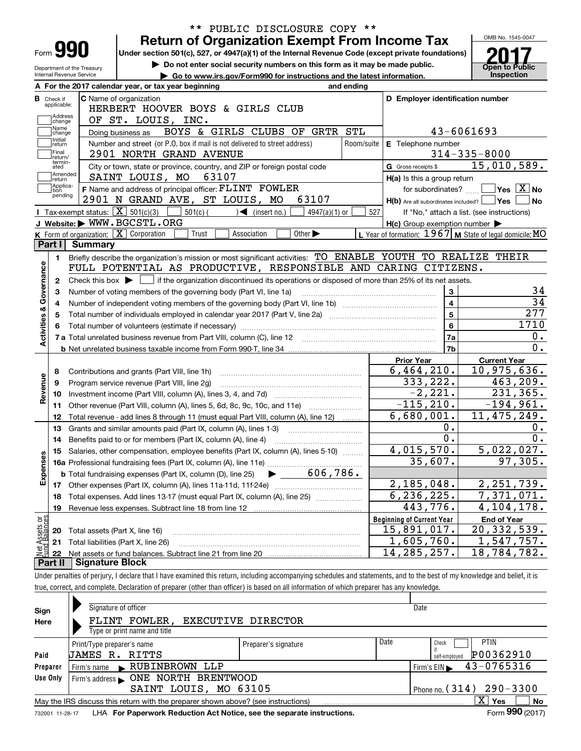| <b>Return of Organization Exempt From Income Tax</b><br>Form <b>990</b><br>Under section 501(c), 527, or 4947(a)(1) of the Internal Revenue Code (except private foundations)<br>Do not enter social security numbers on this form as it may be made public.<br>Department of the Treasury<br>Internal Revenue Service<br>Go to www.irs.gov/Form990 for instructions and the latest information.<br>A For the 2017 calendar year, or tax year beginning<br>and ending |                                                           | OMB No. 1545-0047                                            |
|-----------------------------------------------------------------------------------------------------------------------------------------------------------------------------------------------------------------------------------------------------------------------------------------------------------------------------------------------------------------------------------------------------------------------------------------------------------------------|-----------------------------------------------------------|--------------------------------------------------------------|
|                                                                                                                                                                                                                                                                                                                                                                                                                                                                       |                                                           |                                                              |
|                                                                                                                                                                                                                                                                                                                                                                                                                                                                       |                                                           |                                                              |
|                                                                                                                                                                                                                                                                                                                                                                                                                                                                       |                                                           | <b>Open to Public</b>                                        |
|                                                                                                                                                                                                                                                                                                                                                                                                                                                                       |                                                           | Inspection                                                   |
|                                                                                                                                                                                                                                                                                                                                                                                                                                                                       |                                                           |                                                              |
| C Name of organization<br><b>B</b> Check if<br>applicable:                                                                                                                                                                                                                                                                                                                                                                                                            | D Employer identification number                          |                                                              |
| HERBERT HOOVER BOYS & GIRLS CLUB<br>Address                                                                                                                                                                                                                                                                                                                                                                                                                           |                                                           |                                                              |
| OF ST. LOUIS, INC.<br>change<br>Name                                                                                                                                                                                                                                                                                                                                                                                                                                  |                                                           |                                                              |
| BOYS & GIRLS CLUBS OF GRTR STL<br>Doing business as<br>change<br>Initial                                                                                                                                                                                                                                                                                                                                                                                              | 43-6061693                                                |                                                              |
| Number and street (or P.O. box if mail is not delivered to street address)<br>Room/suite<br>return                                                                                                                                                                                                                                                                                                                                                                    | E Telephone number                                        |                                                              |
| Final<br>2901 NORTH GRAND AVENUE<br>return/<br>termin-                                                                                                                                                                                                                                                                                                                                                                                                                |                                                           | $314 - 335 - 8000$                                           |
| City or town, state or province, country, and ZIP or foreign postal code<br>ated<br>Amended                                                                                                                                                                                                                                                                                                                                                                           | G Gross receipts \$                                       | 15,010,589.                                                  |
| SAINT LOUIS, MO<br>63107<br> return<br>Applica-                                                                                                                                                                                                                                                                                                                                                                                                                       | H(a) Is this a group return                               |                                                              |
| F Name and address of principal officer: FLINT FOWLER<br>tion<br>pending                                                                                                                                                                                                                                                                                                                                                                                              | for subordinates?                                         | $\blacksquare$ Yes $\lceil$ $\overline{\mathrm{X}}\rceil$ No |
| 2901 N GRAND AVE, ST LOUIS, MO<br>63107                                                                                                                                                                                                                                                                                                                                                                                                                               | $H(b)$ Are all subordinates included? $\Box$ Yes          | ∣No                                                          |
| <b>I</b> Tax-exempt status: $\boxed{\mathbf{X}}$ 501(c)(3)<br>$501(c)$ (<br>$\sqrt{\bullet}$ (insert no.)<br>$4947(a)(1)$ or                                                                                                                                                                                                                                                                                                                                          | 527                                                       | If "No," attach a list. (see instructions)                   |
| J Website: WWW.BGCSTL.ORG                                                                                                                                                                                                                                                                                                                                                                                                                                             | $H(c)$ Group exemption number $\blacktriangleright$       |                                                              |
| K Form of organization: $\boxed{\mathbf{X}}$ Corporation<br>Trust<br>Association<br>Other $\blacktriangleright$<br>Part I<br>Summary                                                                                                                                                                                                                                                                                                                                  | L Year of formation: $1967$ M State of legal domicile: MO |                                                              |
|                                                                                                                                                                                                                                                                                                                                                                                                                                                                       |                                                           |                                                              |
| Briefly describe the organization's mission or most significant activities: TO ENABLE YOUTH TO REALIZE THEIR<br>1.                                                                                                                                                                                                                                                                                                                                                    |                                                           |                                                              |
| FULL POTENTIAL AS PRODUCTIVE, RESPONSIBLE AND CARING CITIZENS.                                                                                                                                                                                                                                                                                                                                                                                                        |                                                           |                                                              |
| Check this box $\blacktriangleright$ $\blacksquare$ if the organization discontinued its operations or disposed of more than 25% of its net assets.<br>2                                                                                                                                                                                                                                                                                                              |                                                           |                                                              |
| Number of voting members of the governing body (Part VI, line 1a)<br>3                                                                                                                                                                                                                                                                                                                                                                                                | $\mathbf{3}$                                              |                                                              |
|                                                                                                                                                                                                                                                                                                                                                                                                                                                                       | $\overline{4}$                                            |                                                              |
| Total number of individuals employed in calendar year 2017 (Part V, line 2a) manufacture controller to intervent                                                                                                                                                                                                                                                                                                                                                      | $\overline{5}$                                            | $\overline{277}$                                             |
|                                                                                                                                                                                                                                                                                                                                                                                                                                                                       | $6\phantom{a}$                                            | 1710                                                         |
|                                                                                                                                                                                                                                                                                                                                                                                                                                                                       | 7a                                                        | 0.                                                           |
|                                                                                                                                                                                                                                                                                                                                                                                                                                                                       | 7b                                                        | $\overline{0}$ .                                             |
|                                                                                                                                                                                                                                                                                                                                                                                                                                                                       | <b>Prior Year</b>                                         | <b>Current Year</b>                                          |
| Contributions and grants (Part VIII, line 1h)<br>8                                                                                                                                                                                                                                                                                                                                                                                                                    | 6,464,210.                                                | 10,975,636.                                                  |
| Program service revenue (Part VIII, line 2g)<br>9                                                                                                                                                                                                                                                                                                                                                                                                                     | 333,222.                                                  | 463,209.                                                     |
| 10                                                                                                                                                                                                                                                                                                                                                                                                                                                                    | $-2, 221.$                                                | 231,365.                                                     |
| Other revenue (Part VIII, column (A), lines 5, 6d, 8c, 9c, 10c, and 11e) <i>mummum</i><br>11                                                                                                                                                                                                                                                                                                                                                                          | $-115, 210.$                                              | $-194,961.$                                                  |
| Total revenue - add lines 8 through 11 (must equal Part VIII, column (A), line 12)<br>12                                                                                                                                                                                                                                                                                                                                                                              | 6,680,001.                                                | 11, 475, 249.                                                |
| Grants and similar amounts paid (Part IX, column (A), lines 1-3)<br>13                                                                                                                                                                                                                                                                                                                                                                                                | $0$ .                                                     |                                                              |
| Benefits paid to or for members (Part IX, column (A), line 4)<br>14                                                                                                                                                                                                                                                                                                                                                                                                   | $\overline{0}$ .                                          |                                                              |
| 15 Salaries, other compensation, employee benefits (Part IX, column (A), lines 5-10)                                                                                                                                                                                                                                                                                                                                                                                  | 4,015,570.                                                | 5,022,027.                                                   |
|                                                                                                                                                                                                                                                                                                                                                                                                                                                                       | 35,607.                                                   | 97,305.                                                      |
|                                                                                                                                                                                                                                                                                                                                                                                                                                                                       |                                                           |                                                              |
|                                                                                                                                                                                                                                                                                                                                                                                                                                                                       | 2,185,048.                                                | 2, 251, 739.                                                 |
|                                                                                                                                                                                                                                                                                                                                                                                                                                                                       | 6, 236, 225.                                              | 7,371,071.                                                   |
| Total expenses. Add lines 13-17 (must equal Part IX, column (A), line 25) [<br>18                                                                                                                                                                                                                                                                                                                                                                                     | $\overline{4}$ 43,776.                                    | 4, 104, 178.                                                 |
| Revenue less expenses. Subtract line 18 from line 12<br>19                                                                                                                                                                                                                                                                                                                                                                                                            |                                                           |                                                              |
|                                                                                                                                                                                                                                                                                                                                                                                                                                                                       | <b>Beginning of Current Year</b>                          | <b>End of Year</b>                                           |
| Total assets (Part X, line 16)<br>20                                                                                                                                                                                                                                                                                                                                                                                                                                  | 15,891,017.                                               |                                                              |
| Total liabilities (Part X, line 26)<br>21                                                                                                                                                                                                                                                                                                                                                                                                                             | 1,605,760.                                                | 20,332,539.<br>1,547,757.                                    |
| 22                                                                                                                                                                                                                                                                                                                                                                                                                                                                    | 14, 285, 257.                                             | $\overline{18}$ , 784, 782.                                  |
| <b>Signature Block</b><br>Part II                                                                                                                                                                                                                                                                                                                                                                                                                                     |                                                           |                                                              |
| Under penalties of perjury, I declare that I have examined this return, including accompanying schedules and statements, and to the best of my knowledge and belief, it is                                                                                                                                                                                                                                                                                            |                                                           |                                                              |

| Sign     | Signature of officer                                                                                          |                      | Date                                           |    |
|----------|---------------------------------------------------------------------------------------------------------------|----------------------|------------------------------------------------|----|
| Here     | FLINT FOWLER,                                                                                                 | EXECUTIVE DIRECTOR   |                                                |    |
|          | Type or print name and title                                                                                  |                      |                                                |    |
|          | Print/Type preparer's name                                                                                    | Preparer's signature | Date<br><b>PTIN</b><br>Check                   |    |
| Paid     | <b>JAMES R. RITTS</b>                                                                                         |                      | P00362910<br>self-emploved                     |    |
| Preparer | RUBINBROWN LLP<br>Firm's name                                                                                 |                      | 43-0765316<br>$Firm's EIN \blacktriangleright$ |    |
| Use Only | ONE NORTH BRENTWOOD<br>Firm's address                                                                         |                      |                                                |    |
|          | SAINT LOUIS, MO 63105                                                                                         |                      | Phone no. $(314)$ 290 - 3300                   |    |
|          | May the IRS discuss this return with the preparer shown above? (see instructions)                             |                      | X<br>Yes                                       | No |
|          | a 1990 - Anima III de Marcellon, Marcellon de Alexandro de Marcellon, estadounidense en 1990 - Carlos Gordona |                      | $F = 000 \text{ (001.7)}$                      |    |

732001 11-28-17 **For Paperwork Reduction Act Notice, see the separate instructions.** LHA Form (2017)

**990**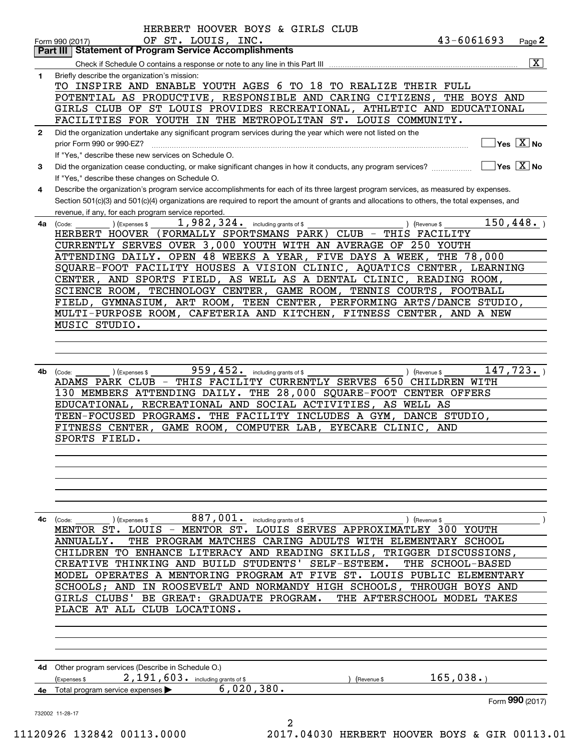|              | <b>Part III   Statement of Program Service Accomplishments</b>                                                                                                   |
|--------------|------------------------------------------------------------------------------------------------------------------------------------------------------------------|
|              | $\overline{\mathbf{x}}$                                                                                                                                          |
| 1            | Briefly describe the organization's mission:                                                                                                                     |
|              | TO INSPIRE AND ENABLE YOUTH AGES 6 TO 18 TO REALIZE THEIR FULL                                                                                                   |
|              | POTENTIAL AS PRODUCTIVE, RESPONSIBLE AND CARING CITIZENS,<br>THE BOYS AND                                                                                        |
|              | GIRLS CLUB OF ST LOUIS PROVIDES RECREATIONAL, ATHLETIC AND EDUCATIONAL                                                                                           |
|              | FACILITIES FOR YOUTH IN THE METROPOLITAN ST. LOUIS COMMUNITY.                                                                                                    |
| $\mathbf{2}$ | Did the organization undertake any significant program services during the year which were not listed on the                                                     |
|              | $\sqrt{}$ Yes $\sqrt{X}$ No                                                                                                                                      |
|              | If "Yes," describe these new services on Schedule O.                                                                                                             |
| 3            | $\overline{\ }$ Yes $\overline{\phantom{a}X}$ No<br>Did the organization cease conducting, or make significant changes in how it conducts, any program services? |
|              | If "Yes," describe these changes on Schedule O.                                                                                                                  |
| 4            | Describe the organization's program service accomplishments for each of its three largest program services, as measured by expenses.                             |
|              | Section 501(c)(3) and 501(c)(4) organizations are required to report the amount of grants and allocations to others, the total expenses, and                     |
|              | revenue, if any, for each program service reported.                                                                                                              |
| 4a           | 1,982,324. including grants of \$<br>150,448.<br>(Code:<br>(Expenses \$<br>Revenue \$                                                                            |
|              | HERBERT HOOVER (FORMALLY SPORTSMANS PARK) CLUB - THIS FACILITY                                                                                                   |
|              | CURRENTLY SERVES OVER 3,000 YOUTH WITH AN AVERAGE OF 250 YOUTH                                                                                                   |
|              | ATTENDING DAILY. OPEN 48 WEEKS A YEAR, FIVE DAYS A WEEK,<br>THE 78,000                                                                                           |
|              | SQUARE-FOOT FACILITY HOUSES A VISION CLINIC, AQUATICS CENTER, LEARNING                                                                                           |
|              | CENTER, AND SPORTS FIELD, AS WELL AS A DENTAL CLINIC, READING ROOM,                                                                                              |
|              | SCIENCE ROOM, TECHNOLOGY CENTER, GAME ROOM, TENNIS COURTS, FOOTBALL                                                                                              |
|              | FIELD, GYMNASIUM, ART ROOM, TEEN CENTER, PERFORMING ARTS/DANCE STUDIO,                                                                                           |
|              | MULTI-PURPOSE ROOM, CAFETERIA AND KITCHEN, FITNESS CENTER, AND A NEW                                                                                             |
|              | MUSIC STUDIO.                                                                                                                                                    |
|              |                                                                                                                                                                  |
|              |                                                                                                                                                                  |
|              |                                                                                                                                                                  |
| 4b           | 959, 452. including grants of \$<br>147,723.<br>(Code:<br>(Expenses \$<br>) (Revenue \$                                                                          |
|              | ADAMS PARK CLUB - THIS FACILITY CURRENTLY SERVES 650 CHILDREN WITH                                                                                               |
|              | 130 MEMBERS ATTENDING DAILY. THE 28,000 SQUARE-FOOT CENTER OFFERS                                                                                                |
|              | EDUCATIONAL, RECREATIONAL AND SOCIAL ACTIVITIES, AS WELL AS                                                                                                      |
|              | TEEN-FOCUSED PROGRAMS. THE FACILITY INCLUDES A GYM, DANCE STUDIO,                                                                                                |
|              | FITNESS CENTER, GAME ROOM, COMPUTER LAB, EYECARE CLINIC, AND                                                                                                     |
|              | SPORTS FIELD.                                                                                                                                                    |
|              |                                                                                                                                                                  |
|              |                                                                                                                                                                  |
|              |                                                                                                                                                                  |
|              |                                                                                                                                                                  |
|              |                                                                                                                                                                  |
|              |                                                                                                                                                                  |
|              |                                                                                                                                                                  |
|              |                                                                                                                                                                  |
| 4с           | 887,001. including grants of \$<br>(Expenses \$<br>(Revenue \$<br>(Code:                                                                                         |
|              | MENTOR ST. LOUIS - MENTOR ST. LOUIS SERVES APPROXIMATLEY 300 YOUTH                                                                                               |
|              | THE PROGRAM MATCHES CARING ADULTS WITH ELEMENTARY SCHOOL<br>ANNUALLY.                                                                                            |
|              | TO ENHANCE LITERACY AND READING SKILLS,<br>TRIGGER DISCUSSIONS,<br>CHILDREN                                                                                      |
|              | THINKING AND BUILD STUDENTS'<br>SELF-ESTEEM.<br>THE SCHOOL-BASED<br>CREATIVE                                                                                     |
|              | MODEL OPERATES A MENTORING PROGRAM AT FIVE ST. LOUIS PUBLIC ELEMENTARY                                                                                           |
|              | SCHOOLS; AND IN ROOSEVELT AND NORMANDY HIGH SCHOOLS, THROUGH BOYS AND                                                                                            |
|              | THE AFTERSCHOOL MODEL TAKES<br>GIRLS CLUBS'<br>BE GREAT: GRADUATE PROGRAM.                                                                                       |
|              | PLACE AT ALL CLUB LOCATIONS.                                                                                                                                     |
|              |                                                                                                                                                                  |
|              |                                                                                                                                                                  |
|              |                                                                                                                                                                  |
|              |                                                                                                                                                                  |
|              | 4d Other program services (Describe in Schedule O.)                                                                                                              |
|              | 2,191,603. including grants of \$<br>165,038.<br>(Expenses \$<br>Revenue \$                                                                                      |
|              | 6,020,380.<br>Total program service expenses                                                                                                                     |
|              | Form 990 (2017)                                                                                                                                                  |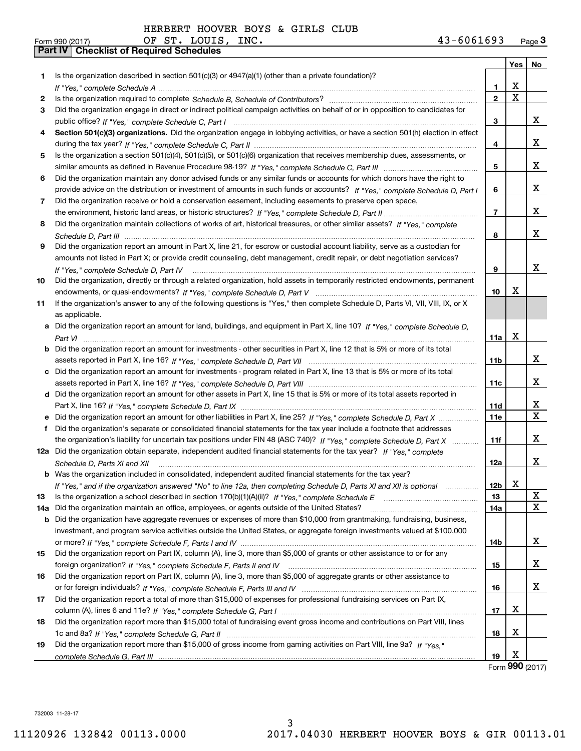OF ST. LOUIS,

|     | Part IV   Checklist of Required Schedules                                                                                            |                 |                         |                                                 |
|-----|--------------------------------------------------------------------------------------------------------------------------------------|-----------------|-------------------------|-------------------------------------------------|
|     |                                                                                                                                      |                 | Yes                     | No                                              |
| 1.  | Is the organization described in section 501(c)(3) or 4947(a)(1) (other than a private foundation)?                                  |                 |                         |                                                 |
|     |                                                                                                                                      | 1.              | x                       |                                                 |
| 2   |                                                                                                                                      | $\mathbf{2}$    | $\overline{\mathbf{x}}$ |                                                 |
| З   | Did the organization engage in direct or indirect political campaign activities on behalf of or in opposition to candidates for      |                 |                         |                                                 |
|     |                                                                                                                                      | 3               |                         | X                                               |
| 4   | Section 501(c)(3) organizations. Did the organization engage in lobbying activities, or have a section 501(h) election in effect     |                 |                         |                                                 |
|     |                                                                                                                                      | 4               |                         | x                                               |
| 5   | Is the organization a section 501(c)(4), 501(c)(5), or 501(c)(6) organization that receives membership dues, assessments, or         |                 |                         |                                                 |
|     |                                                                                                                                      | 5               |                         | x                                               |
| 6   | Did the organization maintain any donor advised funds or any similar funds or accounts for which donors have the right to            |                 |                         |                                                 |
|     | provide advice on the distribution or investment of amounts in such funds or accounts? If "Yes," complete Schedule D, Part I         | 6               |                         | x                                               |
| 7   | Did the organization receive or hold a conservation easement, including easements to preserve open space,                            |                 |                         |                                                 |
|     |                                                                                                                                      | $\overline{7}$  |                         | x                                               |
| 8   | Did the organization maintain collections of works of art, historical treasures, or other similar assets? If "Yes," complete         |                 |                         |                                                 |
|     |                                                                                                                                      | 8               |                         | x                                               |
| 9   | Did the organization report an amount in Part X, line 21, for escrow or custodial account liability, serve as a custodian for        |                 |                         |                                                 |
|     | amounts not listed in Part X; or provide credit counseling, debt management, credit repair, or debt negotiation services?            |                 |                         |                                                 |
|     | If "Yes," complete Schedule D, Part IV                                                                                               | 9               |                         | X                                               |
| 10  | Did the organization, directly or through a related organization, hold assets in temporarily restricted endowments, permanent        |                 |                         |                                                 |
|     |                                                                                                                                      | 10              | х                       |                                                 |
| 11  | If the organization's answer to any of the following questions is "Yes," then complete Schedule D, Parts VI, VII, VIII, IX, or X     |                 |                         |                                                 |
|     | as applicable.                                                                                                                       |                 |                         |                                                 |
|     | a Did the organization report an amount for land, buildings, and equipment in Part X, line 10? If "Yes," complete Schedule D,        |                 |                         |                                                 |
|     |                                                                                                                                      | 11a             | х                       |                                                 |
|     | <b>b</b> Did the organization report an amount for investments - other securities in Part X, line 12 that is 5% or more of its total |                 |                         |                                                 |
|     |                                                                                                                                      | 11 <sub>b</sub> |                         | X                                               |
|     |                                                                                                                                      |                 |                         |                                                 |
|     | c Did the organization report an amount for investments - program related in Part X, line 13 that is 5% or more of its total         |                 |                         | x                                               |
|     |                                                                                                                                      | 11c             |                         |                                                 |
|     | d Did the organization report an amount for other assets in Part X, line 15 that is 5% or more of its total assets reported in       |                 |                         | X                                               |
|     |                                                                                                                                      | <b>11d</b>      |                         | $\mathbf{x}$                                    |
|     |                                                                                                                                      | 11e             |                         |                                                 |
| f   | Did the organization's separate or consolidated financial statements for the tax year include a footnote that addresses              |                 |                         | X.                                              |
|     | the organization's liability for uncertain tax positions under FIN 48 (ASC 740)? If "Yes," complete Schedule D, Part X               | 11f             |                         |                                                 |
|     | 12a Did the organization obtain separate, independent audited financial statements for the tax year? If "Yes." complete              |                 |                         | x                                               |
|     | Schedule D, Parts XI and XII                                                                                                         | 12a             |                         |                                                 |
|     | <b>b</b> Was the organization included in consolidated, independent audited financial statements for the tax year?                   |                 | х                       |                                                 |
|     | If "Yes," and if the organization answered "No" to line 12a, then completing Schedule D, Parts XI and XII is optional                | 12b             |                         |                                                 |
| 13  |                                                                                                                                      | 13              |                         | $\mathbf{X}_{\perp}$<br>$\overline{\mathbf{x}}$ |
| 14a | Did the organization maintain an office, employees, or agents outside of the United States?                                          | 14a             |                         |                                                 |
|     | <b>b</b> Did the organization have aggregate revenues or expenses of more than \$10,000 from grantmaking, fundraising, business,     |                 |                         |                                                 |
|     | investment, and program service activities outside the United States, or aggregate foreign investments valued at \$100,000           |                 |                         | x                                               |
|     |                                                                                                                                      | 14b             |                         |                                                 |
| 15  | Did the organization report on Part IX, column (A), line 3, more than \$5,000 of grants or other assistance to or for any            |                 |                         |                                                 |
|     |                                                                                                                                      | 15              |                         | x                                               |
| 16  | Did the organization report on Part IX, column (A), line 3, more than \$5,000 of aggregate grants or other assistance to             |                 |                         | x                                               |
|     |                                                                                                                                      | 16              |                         |                                                 |
| 17  | Did the organization report a total of more than \$15,000 of expenses for professional fundraising services on Part IX,              |                 |                         |                                                 |
|     |                                                                                                                                      | 17              | х                       |                                                 |
| 18  | Did the organization report more than \$15,000 total of fundraising event gross income and contributions on Part VIII, lines         |                 |                         |                                                 |
|     |                                                                                                                                      | 18              | х                       |                                                 |
| 19  | Did the organization report more than \$15,000 of gross income from gaming activities on Part VIII, line 9a? If "Yes."               |                 |                         |                                                 |
|     |                                                                                                                                      | 19              | X                       |                                                 |

Form (2017) **990**

732003 11-28-17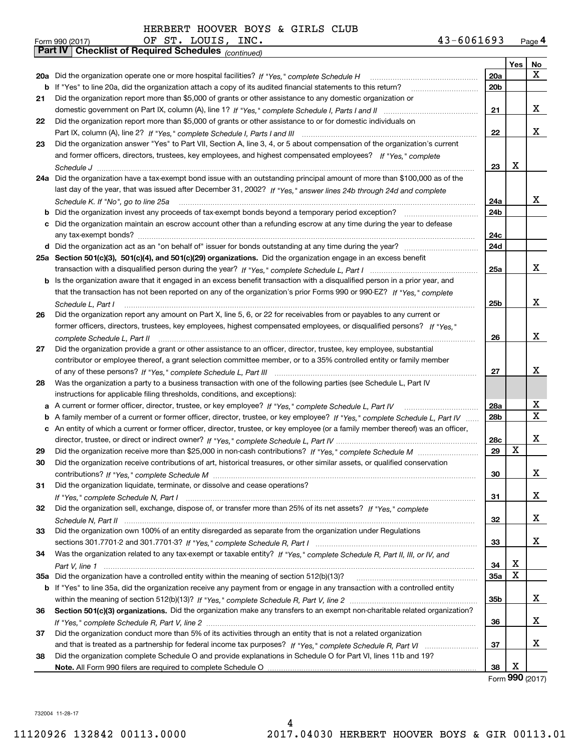| 43-6061693<br>Page 4 |
|----------------------|
|----------------------|

|    | OF ST. LOUIS, INC.<br>43-6061693<br>Form 990 (2017)                                                                                                                                                                                                                                                                                                                                                                                                                                                                         |                 |     | Page 4          |
|----|-----------------------------------------------------------------------------------------------------------------------------------------------------------------------------------------------------------------------------------------------------------------------------------------------------------------------------------------------------------------------------------------------------------------------------------------------------------------------------------------------------------------------------|-----------------|-----|-----------------|
|    | Part IV   Checklist of Required Schedules (continued)                                                                                                                                                                                                                                                                                                                                                                                                                                                                       |                 |     |                 |
|    |                                                                                                                                                                                                                                                                                                                                                                                                                                                                                                                             |                 | Yes | No              |
|    | 20a Did the organization operate one or more hospital facilities? If "Yes," complete Schedule H                                                                                                                                                                                                                                                                                                                                                                                                                             | 20a             |     | X               |
|    | <b>b</b> If "Yes" to line 20a, did the organization attach a copy of its audited financial statements to this return?                                                                                                                                                                                                                                                                                                                                                                                                       | 20b             |     |                 |
| 21 | Did the organization report more than \$5,000 of grants or other assistance to any domestic organization or                                                                                                                                                                                                                                                                                                                                                                                                                 |                 |     |                 |
|    |                                                                                                                                                                                                                                                                                                                                                                                                                                                                                                                             | 21              |     | X               |
| 22 | Did the organization report more than \$5,000 of grants or other assistance to or for domestic individuals on                                                                                                                                                                                                                                                                                                                                                                                                               |                 |     |                 |
|    |                                                                                                                                                                                                                                                                                                                                                                                                                                                                                                                             | 22              |     | X               |
| 23 | Did the organization answer "Yes" to Part VII, Section A, line 3, 4, or 5 about compensation of the organization's current                                                                                                                                                                                                                                                                                                                                                                                                  |                 |     |                 |
|    | and former officers, directors, trustees, key employees, and highest compensated employees? If "Yes," complete                                                                                                                                                                                                                                                                                                                                                                                                              |                 |     |                 |
|    |                                                                                                                                                                                                                                                                                                                                                                                                                                                                                                                             | 23              | Χ   |                 |
|    | 24a Did the organization have a tax-exempt bond issue with an outstanding principal amount of more than \$100,000 as of the                                                                                                                                                                                                                                                                                                                                                                                                 |                 |     |                 |
|    | last day of the year, that was issued after December 31, 2002? If "Yes," answer lines 24b through 24d and complete                                                                                                                                                                                                                                                                                                                                                                                                          |                 |     |                 |
|    | Schedule K. If "No", go to line 25a<br>$\label{eq:1} \begin{minipage}{0.9\textwidth} \begin{minipage}{0.9\textwidth} \centering \begin{tabular}{ c c c c c } \hline & \multicolumn{1}{ c }{0.9\textwidth} \centering \begin{tabular}{ c c c c c } \hline & \multicolumn{1}{ c }{0.9\textwidth} \centering \centering \end{tabular} & \multicolumn{1}{ c }{0.9\textwidth} \centering \begin{tabular}{ c c c c c } \hline & \multicolumn{1}{ c }{0.9\textwidth} \centering \centering \end{tabular} & \multicolumn{1}{ c }{0$ | 24a             |     | x               |
|    |                                                                                                                                                                                                                                                                                                                                                                                                                                                                                                                             | 24b             |     |                 |
|    | c Did the organization maintain an escrow account other than a refunding escrow at any time during the year to defease                                                                                                                                                                                                                                                                                                                                                                                                      |                 |     |                 |
|    |                                                                                                                                                                                                                                                                                                                                                                                                                                                                                                                             | 24с             |     |                 |
|    |                                                                                                                                                                                                                                                                                                                                                                                                                                                                                                                             | 24d             |     |                 |
|    | 25a Section 501(c)(3), 501(c)(4), and 501(c)(29) organizations. Did the organization engage in an excess benefit                                                                                                                                                                                                                                                                                                                                                                                                            |                 |     |                 |
|    |                                                                                                                                                                                                                                                                                                                                                                                                                                                                                                                             | 25a             |     | x               |
|    | b Is the organization aware that it engaged in an excess benefit transaction with a disqualified person in a prior year, and                                                                                                                                                                                                                                                                                                                                                                                                |                 |     |                 |
|    | that the transaction has not been reported on any of the organization's prior Forms 990 or 990-EZ? If "Yes," complete                                                                                                                                                                                                                                                                                                                                                                                                       |                 |     |                 |
|    |                                                                                                                                                                                                                                                                                                                                                                                                                                                                                                                             | 25b             |     | X               |
|    | Schedule L. Part I<br>Did the organization report any amount on Part X, line 5, 6, or 22 for receivables from or payables to any current or                                                                                                                                                                                                                                                                                                                                                                                 |                 |     |                 |
| 26 | former officers, directors, trustees, key employees, highest compensated employees, or disqualified persons? If "Yes."                                                                                                                                                                                                                                                                                                                                                                                                      |                 |     |                 |
|    |                                                                                                                                                                                                                                                                                                                                                                                                                                                                                                                             | 26              |     | x               |
|    | complete Schedule L, Part II                                                                                                                                                                                                                                                                                                                                                                                                                                                                                                |                 |     |                 |
| 27 | Did the organization provide a grant or other assistance to an officer, director, trustee, key employee, substantial<br>contributor or employee thereof, a grant selection committee member, or to a 35% controlled entity or family member                                                                                                                                                                                                                                                                                 |                 |     |                 |
|    |                                                                                                                                                                                                                                                                                                                                                                                                                                                                                                                             | 27              |     | x               |
| 28 | Was the organization a party to a business transaction with one of the following parties (see Schedule L, Part IV                                                                                                                                                                                                                                                                                                                                                                                                           |                 |     |                 |
|    | instructions for applicable filing thresholds, conditions, and exceptions):                                                                                                                                                                                                                                                                                                                                                                                                                                                 |                 |     |                 |
|    |                                                                                                                                                                                                                                                                                                                                                                                                                                                                                                                             | 28a             |     | х               |
|    | b A family member of a current or former officer, director, trustee, or key employee? If "Yes," complete Schedule L, Part IV                                                                                                                                                                                                                                                                                                                                                                                                | 28 <sub>b</sub> |     | X               |
|    | c An entity of which a current or former officer, director, trustee, or key employee (or a family member thereof) was an officer,                                                                                                                                                                                                                                                                                                                                                                                           |                 |     |                 |
|    |                                                                                                                                                                                                                                                                                                                                                                                                                                                                                                                             | 28c             |     | X               |
|    |                                                                                                                                                                                                                                                                                                                                                                                                                                                                                                                             | 29              | X   |                 |
| 29 | Did the organization receive contributions of art, historical treasures, or other similar assets, or qualified conservation                                                                                                                                                                                                                                                                                                                                                                                                 |                 |     |                 |
|    |                                                                                                                                                                                                                                                                                                                                                                                                                                                                                                                             | 30              |     | X               |
|    | Did the organization liquidate, terminate, or dissolve and cease operations?                                                                                                                                                                                                                                                                                                                                                                                                                                                |                 |     |                 |
| 31 |                                                                                                                                                                                                                                                                                                                                                                                                                                                                                                                             | 31              |     | X               |
| 32 | Did the organization sell, exchange, dispose of, or transfer more than 25% of its net assets? If "Yes." complete                                                                                                                                                                                                                                                                                                                                                                                                            |                 |     |                 |
|    |                                                                                                                                                                                                                                                                                                                                                                                                                                                                                                                             | 32              |     | x               |
| 33 | Did the organization own 100% of an entity disregarded as separate from the organization under Regulations                                                                                                                                                                                                                                                                                                                                                                                                                  |                 |     |                 |
|    |                                                                                                                                                                                                                                                                                                                                                                                                                                                                                                                             | 33              |     | x               |
| 34 | Was the organization related to any tax-exempt or taxable entity? If "Yes," complete Schedule R, Part II, III, or IV, and                                                                                                                                                                                                                                                                                                                                                                                                   |                 |     |                 |
|    |                                                                                                                                                                                                                                                                                                                                                                                                                                                                                                                             | 34              | х   |                 |
|    |                                                                                                                                                                                                                                                                                                                                                                                                                                                                                                                             | 35a             | X   |                 |
|    | b If "Yes" to line 35a, did the organization receive any payment from or engage in any transaction with a controlled entity                                                                                                                                                                                                                                                                                                                                                                                                 |                 |     |                 |
|    |                                                                                                                                                                                                                                                                                                                                                                                                                                                                                                                             | 35b             |     | X               |
|    |                                                                                                                                                                                                                                                                                                                                                                                                                                                                                                                             |                 |     |                 |
| 36 | Section 501(c)(3) organizations. Did the organization make any transfers to an exempt non-charitable related organization?                                                                                                                                                                                                                                                                                                                                                                                                  |                 |     | x               |
|    |                                                                                                                                                                                                                                                                                                                                                                                                                                                                                                                             | 36              |     |                 |
| 37 | Did the organization conduct more than 5% of its activities through an entity that is not a related organization                                                                                                                                                                                                                                                                                                                                                                                                            |                 |     | x               |
|    |                                                                                                                                                                                                                                                                                                                                                                                                                                                                                                                             | 37              |     |                 |
| 38 | Did the organization complete Schedule O and provide explanations in Schedule O for Part VI, lines 11b and 19?                                                                                                                                                                                                                                                                                                                                                                                                              | 38              | x   |                 |
|    |                                                                                                                                                                                                                                                                                                                                                                                                                                                                                                                             |                 |     | Form 990 (2017) |
|    |                                                                                                                                                                                                                                                                                                                                                                                                                                                                                                                             |                 |     |                 |

732004 11-28-17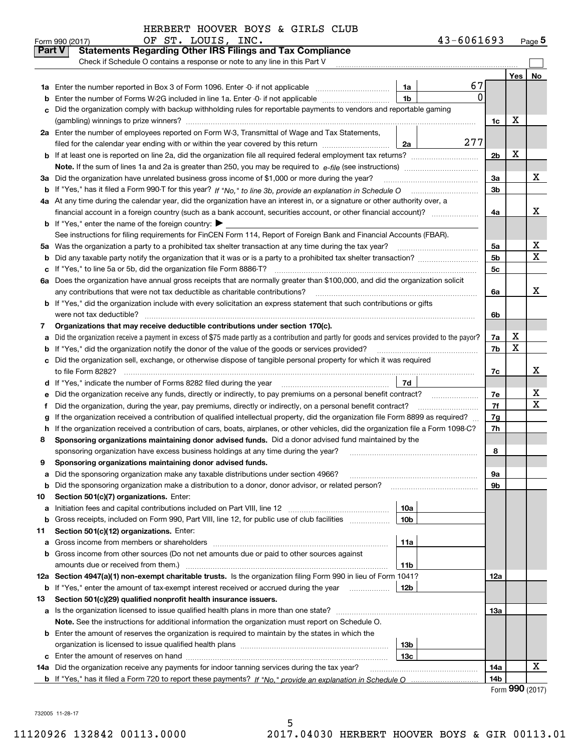|        | OF ST. LOUIS, INC.<br>Form 990 (2017)                                                                                                           |                 | 43-6061693   |                |     | $_{\text{Page}}$ 5 |
|--------|-------------------------------------------------------------------------------------------------------------------------------------------------|-----------------|--------------|----------------|-----|--------------------|
| Part V | <b>Statements Regarding Other IRS Filings and Tax Compliance</b>                                                                                |                 |              |                |     |                    |
|        | Check if Schedule O contains a response or note to any line in this Part V                                                                      |                 |              |                |     |                    |
|        |                                                                                                                                                 |                 |              |                | Yes | No                 |
| 1a     | Enter the number reported in Box 3 of Form 1096. Enter -0- if not applicable                                                                    | 1a              | 67           |                |     |                    |
| b      | Enter the number of Forms W-2G included in line 1a. Enter -0- if not applicable                                                                 | 1 <sub>b</sub>  | $\mathbf{0}$ |                |     |                    |
| c      | Did the organization comply with backup withholding rules for reportable payments to vendors and reportable gaming                              |                 |              |                |     |                    |
|        |                                                                                                                                                 |                 |              | 1c             | х   |                    |
|        | 2a Enter the number of employees reported on Form W-3, Transmittal of Wage and Tax Statements,                                                  |                 |              |                |     |                    |
|        | filed for the calendar year ending with or within the year covered by this return                                                               | 2a              | 277          |                |     |                    |
|        |                                                                                                                                                 |                 |              | 2 <sub>b</sub> | х   |                    |
|        |                                                                                                                                                 |                 |              |                |     |                    |
| За     | Did the organization have unrelated business gross income of \$1,000 or more during the year?                                                   |                 |              | 3a             |     | х                  |
|        |                                                                                                                                                 |                 |              | 3b             |     |                    |
|        | 4a At any time during the calendar year, did the organization have an interest in, or a signature or other authority over, a                    |                 |              |                |     |                    |
|        | financial account in a foreign country (such as a bank account, securities account, or other financial account)?                                |                 |              | 4a             |     | X                  |
|        | <b>b</b> If "Yes," enter the name of the foreign country: $\blacktriangleright$                                                                 |                 |              |                |     |                    |
|        | See instructions for filing requirements for FinCEN Form 114, Report of Foreign Bank and Financial Accounts (FBAR).                             |                 |              |                |     |                    |
|        | 5a Was the organization a party to a prohibited tax shelter transaction at any time during the tax year?                                        |                 |              | 5a             |     | x                  |
| b      |                                                                                                                                                 |                 |              | 5 <sub>b</sub> |     | X                  |
|        | c If "Yes," to line 5a or 5b, did the organization file Form 8886-T?                                                                            |                 |              | 5с             |     |                    |
|        | 6a Does the organization have annual gross receipts that are normally greater than \$100,000, and did the organization solicit                  |                 |              |                |     |                    |
|        |                                                                                                                                                 |                 |              | 6a             |     | x                  |
|        | <b>b</b> If "Yes," did the organization include with every solicitation an express statement that such contributions or gifts                   |                 |              |                |     |                    |
|        | were not tax deductible?                                                                                                                        |                 |              | 6b             |     |                    |
| 7      | Organizations that may receive deductible contributions under section 170(c).                                                                   |                 |              |                |     |                    |
| a      | Did the organization receive a payment in excess of \$75 made partly as a contribution and partly for goods and services provided to the payor? |                 |              | 7a             | х   |                    |
|        | <b>b</b> If "Yes," did the organization notify the donor of the value of the goods or services provided?                                        |                 |              | 7b             | X   |                    |
|        | c Did the organization sell, exchange, or otherwise dispose of tangible personal property for which it was required                             |                 |              |                |     |                    |
|        |                                                                                                                                                 |                 |              | 7c             |     | х                  |
|        | d If "Yes," indicate the number of Forms 8282 filed during the year [11,111] The Section of Holder and The Year                                 | 7d              |              |                |     |                    |
| е      | Did the organization receive any funds, directly or indirectly, to pay premiums on a personal benefit contract?                                 |                 |              | 7e             |     | х                  |
| f      | Did the organization, during the year, pay premiums, directly or indirectly, on a personal benefit contract?                                    |                 |              | 7f             |     | X                  |
| g      | If the organization received a contribution of qualified intellectual property, did the organization file Form 8899 as required?                |                 |              | 7g             |     |                    |
|        | h If the organization received a contribution of cars, boats, airplanes, or other vehicles, did the organization file a Form 1098-C?            |                 |              | 7h             |     |                    |
| 8      | Sponsoring organizations maintaining donor advised funds. Did a donor advised fund maintained by the                                            |                 |              |                |     |                    |
|        | sponsoring organization have excess business holdings at any time during the year?                                                              |                 |              | 8              |     |                    |
|        | Sponsoring organizations maintaining donor advised funds.                                                                                       |                 |              |                |     |                    |
| a      | Did the sponsoring organization make any taxable distributions under section 4966?                                                              |                 |              | 9а             |     |                    |
| b      | Did the sponsoring organization make a distribution to a donor, donor advisor, or related person?                                               |                 |              | 9b             |     |                    |
| 10     | Section 501(c)(7) organizations. Enter:                                                                                                         |                 |              |                |     |                    |
| а      | Initiation fees and capital contributions included on Part VIII, line 12 <i>manuarous controllers</i>                                           | 10a             |              |                |     |                    |
| b      | Gross receipts, included on Form 990, Part VIII, line 12, for public use of club facilities                                                     | 10 <sub>b</sub> |              |                |     |                    |
| 11     | Section 501(c)(12) organizations. Enter:                                                                                                        |                 |              |                |     |                    |
|        | <b>a</b> Gross income from members or shareholders                                                                                              | 11a             |              |                |     |                    |
|        | b Gross income from other sources (Do not net amounts due or paid to other sources against                                                      |                 |              |                |     |                    |
|        | amounts due or received from them.)                                                                                                             | 11b             |              |                |     |                    |
|        | 12a Section 4947(a)(1) non-exempt charitable trusts. Is the organization filing Form 990 in lieu of Form 1041?                                  |                 |              | 12a            |     |                    |
|        | <b>b</b> If "Yes," enter the amount of tax-exempt interest received or accrued during the year <i>manument</i>                                  | 12b             |              |                |     |                    |
| 13     | Section 501(c)(29) qualified nonprofit health insurance issuers.                                                                                |                 |              |                |     |                    |
|        | a Is the organization licensed to issue qualified health plans in more than one state?                                                          |                 |              | 13а            |     |                    |
|        | Note. See the instructions for additional information the organization must report on Schedule O.                                               |                 |              |                |     |                    |
|        | <b>b</b> Enter the amount of reserves the organization is required to maintain by the states in which the                                       |                 |              |                |     |                    |
|        |                                                                                                                                                 | 13b             |              |                |     |                    |
|        |                                                                                                                                                 | 13с             |              |                |     |                    |
|        | 14a Did the organization receive any payments for indoor tanning services during the tax year?                                                  |                 |              | 14a            |     | x                  |
|        |                                                                                                                                                 |                 |              | 14b            |     |                    |

Form **990** (2017)

732005 11-28-17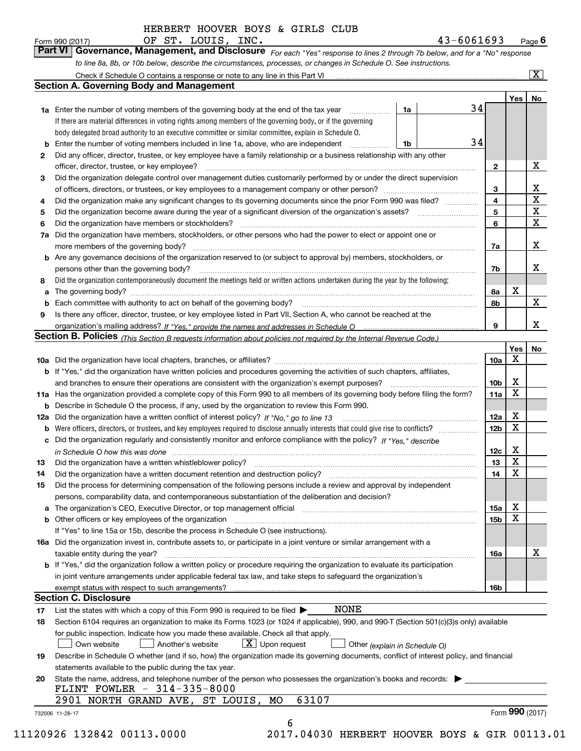*For each "Yes" response to lines 2 through 7b below, and for a "No" response to line 8a, 8b, or 10b below, describe the circumstances, processes, or changes in Schedule O. See instructions.* Form 990 (2017) **CHECT. LOUIS, INC.** Page 6<br>**Part VI Governance, Management, and Disclosure** For each "Yes" response to lines 2 through 7b below, and for a "No" response

|    | <b>1a</b> Enter the number of voting members of the governing body at the end of the tax year                                                                                                                                  | 1a | 34 |                         | Yes             | No                      |
|----|--------------------------------------------------------------------------------------------------------------------------------------------------------------------------------------------------------------------------------|----|----|-------------------------|-----------------|-------------------------|
|    | If there are material differences in voting rights among members of the governing body, or if the governing                                                                                                                    |    |    |                         |                 |                         |
|    | body delegated broad authority to an executive committee or similar committee, explain in Schedule O.                                                                                                                          |    |    |                         |                 |                         |
| b  | Enter the number of voting members included in line 1a, above, who are independent                                                                                                                                             | 1b | 34 |                         |                 |                         |
| 2  | Did any officer, director, trustee, or key employee have a family relationship or a business relationship with any other                                                                                                       |    |    |                         |                 |                         |
|    | officer, director, trustee, or key employee?                                                                                                                                                                                   |    |    | $\mathbf{2}$            |                 | X                       |
| З  | Did the organization delegate control over management duties customarily performed by or under the direct supervision                                                                                                          |    |    |                         |                 |                         |
|    |                                                                                                                                                                                                                                |    |    | 3                       |                 | X                       |
| 4  | Did the organization make any significant changes to its governing documents since the prior Form 990 was filed?                                                                                                               |    |    | $\overline{\mathbf{4}}$ |                 | $\overline{\mathbf{x}}$ |
| 5  | Did the organization become aware during the year of a significant diversion of the organization's assets? <i>manageranian</i> managerance.                                                                                    |    |    | 5                       |                 | $\overline{\mathbf{x}}$ |
| 6  | Did the organization have members or stockholders?                                                                                                                                                                             |    |    | 6                       |                 | $\overline{\mathbf{x}}$ |
| 7a | Did the organization have members, stockholders, or other persons who had the power to elect or appoint one or                                                                                                                 |    |    |                         |                 |                         |
|    |                                                                                                                                                                                                                                |    |    | 7a                      |                 | X                       |
|    | <b>b</b> Are any governance decisions of the organization reserved to (or subject to approval by) members, stockholders, or                                                                                                    |    |    |                         |                 |                         |
|    | persons other than the governing body?                                                                                                                                                                                         |    |    | 7b                      |                 | х                       |
| 8  | Did the organization contemporaneously document the meetings held or written actions undertaken during the year by the following:                                                                                              |    |    |                         |                 |                         |
| a  |                                                                                                                                                                                                                                |    |    | 8а                      | X               |                         |
| b  |                                                                                                                                                                                                                                |    |    | 8b                      |                 | $\mathbf x$             |
| 9  | Is there any officer, director, trustee, or key employee listed in Part VII, Section A, who cannot be reached at the                                                                                                           |    |    |                         |                 |                         |
|    |                                                                                                                                                                                                                                |    |    | 9                       |                 | X                       |
|    | Section B. Policies (This Section B requests information about policies not required by the Internal Revenue Code.)                                                                                                            |    |    |                         |                 |                         |
|    |                                                                                                                                                                                                                                |    |    |                         | Yes             | No                      |
|    |                                                                                                                                                                                                                                |    |    | 10a                     | x               |                         |
|    | <b>b</b> If "Yes," did the organization have written policies and procedures governing the activities of such chapters, affiliates,                                                                                            |    |    |                         |                 |                         |
|    |                                                                                                                                                                                                                                |    |    | 10 <sub>b</sub>         | X               |                         |
|    | 11a Has the organization provided a complete copy of this Form 990 to all members of its governing body before filing the form?                                                                                                |    |    | 11a                     | X               |                         |
|    | <b>b</b> Describe in Schedule O the process, if any, used by the organization to review this Form 990.                                                                                                                         |    |    |                         |                 |                         |
|    | 12a Did the organization have a written conflict of interest policy? If "No," go to line 13                                                                                                                                    |    |    | 12a                     | X               |                         |
|    | <b>b</b> Were officers, directors, or trustees, and key employees required to disclose annually interests that could give rise to conflicts?                                                                                   |    |    | 12 <sub>b</sub>         | х               |                         |
|    | c Did the organization regularly and consistently monitor and enforce compliance with the policy? If "Yes." describe                                                                                                           |    |    |                         |                 |                         |
|    | in Schedule O how this was done manufactured and continuum control of the Schedule O how this was done manufactured and continuum control of the Schedule O how this was done                                                  |    |    | 12c                     | X               |                         |
| 13 |                                                                                                                                                                                                                                |    |    | 13                      | X               |                         |
| 14 |                                                                                                                                                                                                                                |    |    | 14                      | X               |                         |
| 15 | Did the process for determining compensation of the following persons include a review and approval by independent                                                                                                             |    |    |                         |                 |                         |
|    | persons, comparability data, and contemporaneous substantiation of the deliberation and decision?                                                                                                                              |    |    |                         |                 |                         |
|    | a The organization's CEO, Executive Director, or top management official manufactured content content of the organization's CEO, Executive Director, or top management official manufactured content of the state of the conte |    |    | 15a                     | X               |                         |
|    |                                                                                                                                                                                                                                |    |    | 15b                     | X               |                         |
|    | If "Yes" to line 15a or 15b, describe the process in Schedule O (see instructions).                                                                                                                                            |    |    |                         |                 |                         |
|    | 16a Did the organization invest in, contribute assets to, or participate in a joint venture or similar arrangement with a                                                                                                      |    |    |                         |                 |                         |
|    | taxable entity during the year?                                                                                                                                                                                                |    |    | 16a                     |                 | X                       |
|    | b If "Yes," did the organization follow a written policy or procedure requiring the organization to evaluate its participation                                                                                                 |    |    |                         |                 |                         |
|    | in joint venture arrangements under applicable federal tax law, and take steps to safeguard the organization's                                                                                                                 |    |    |                         |                 |                         |
|    | exempt status with respect to such arrangements?                                                                                                                                                                               |    |    | 16b                     |                 |                         |
|    | <b>Section C. Disclosure</b>                                                                                                                                                                                                   |    |    |                         |                 |                         |
| 17 | <b>NONE</b><br>List the states with which a copy of this Form 990 is required to be filed $\blacktriangleright$                                                                                                                |    |    |                         |                 |                         |
| 18 | Section 6104 requires an organization to make its Forms 1023 (or 1024 if applicable), 990, and 990-T (Section 501(c)(3)s only) available                                                                                       |    |    |                         |                 |                         |
|    | for public inspection. Indicate how you made these available. Check all that apply.                                                                                                                                            |    |    |                         |                 |                         |
|    | $X$ Upon request<br>Own website<br>Another's website<br>Other (explain in Schedule O)                                                                                                                                          |    |    |                         |                 |                         |
| 19 | Describe in Schedule O whether (and if so, how) the organization made its governing documents, conflict of interest policy, and financial                                                                                      |    |    |                         |                 |                         |
|    | statements available to the public during the tax year.                                                                                                                                                                        |    |    |                         |                 |                         |
| 20 | State the name, address, and telephone number of the person who possesses the organization's books and records:                                                                                                                |    |    |                         |                 |                         |
|    | FLINT FOWLER $-314-335-8000$                                                                                                                                                                                                   |    |    |                         |                 |                         |
|    | 63107<br>2901 NORTH GRAND AVE, ST LOUIS,<br>MО                                                                                                                                                                                 |    |    |                         |                 |                         |
|    |                                                                                                                                                                                                                                |    |    |                         | Form 990 (2017) |                         |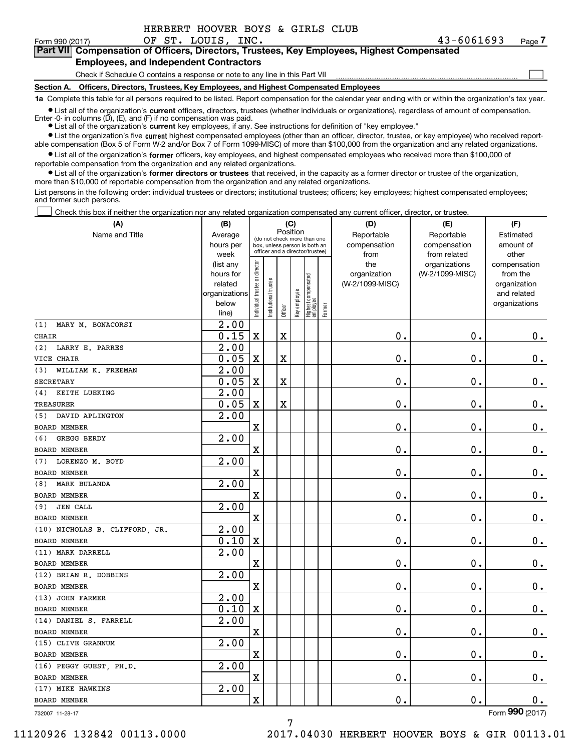| HERBERT HOOVER BOYS & GIRLS CLUB |
|----------------------------------|
|----------------------------------|

 $\mathcal{L}^{\text{max}}$ 

**7Part VII Compensation of Officers, Directors, Trustees, Key Employees, Highest Compensated Employees, and Independent Contractors**

Check if Schedule O contains a response or note to any line in this Part VII

**Section A. Officers, Directors, Trustees, Key Employees, and Highest Compensated Employees**

**1a**  Complete this table for all persons required to be listed. Report compensation for the calendar year ending with or within the organization's tax year. **•** List all of the organization's current officers, directors, trustees (whether individuals or organizations), regardless of amount of compensation.

Enter -0- in columns (D), (E), and (F) if no compensation was paid.

**(A)**

● List all of the organization's **current** key employees, if any. See instructions for definition of "key employee."

**•** List the organization's five current highest compensated employees (other than an officer, director, trustee, or key employee) who received reportable compensation (Box 5 of Form W-2 and/or Box 7 of Form 1099-MISC) of more than \$100,000 from the organization and any related organizations.

 $\bullet$  List all of the organization's **former** officers, key employees, and highest compensated employees who received more than \$100,000 of reportable compensation from the organization and any related organizations.

**•** List all of the organization's former directors or trustees that received, in the capacity as a former director or trustee of the organization, more than \$10,000 of reportable compensation from the organization and any related organizations.

List persons in the following order: individual trustees or directors; institutional trustees; officers; key employees; highest compensated employees; and former such persons.

Check this box if neither the organization nor any related organization compensated any current officer, director, or trustee.  $\mathcal{L}^{\text{max}}$ 

| (A)                            | (B)                    |                                |                                                                  | (C)      |              |                                   |        | (D)                             | (E)                              | (F)                      |
|--------------------------------|------------------------|--------------------------------|------------------------------------------------------------------|----------|--------------|-----------------------------------|--------|---------------------------------|----------------------------------|--------------------------|
| Name and Title                 | Average                |                                | (do not check more than one                                      | Position |              |                                   |        | Reportable                      | Reportable                       | Estimated                |
|                                | hours per              |                                | box, unless person is both an<br>officer and a director/trustee) |          |              |                                   |        | compensation                    | compensation                     | amount of                |
|                                | week                   |                                |                                                                  |          |              |                                   |        | from                            | from related                     | other                    |
|                                | (list any<br>hours for |                                |                                                                  |          |              |                                   |        | the                             | organizations<br>(W-2/1099-MISC) | compensation<br>from the |
|                                | related                |                                |                                                                  |          |              |                                   |        | organization<br>(W-2/1099-MISC) |                                  | organization             |
|                                | organizations          |                                | trustee                                                          |          |              |                                   |        |                                 |                                  | and related              |
|                                | below                  | Individual trustee or director |                                                                  |          | Key employee |                                   |        |                                 |                                  | organizations            |
|                                | line)                  |                                | Institutional t                                                  | Officer  |              | Highest compensated<br>  employee | Former |                                 |                                  |                          |
| (1)<br>MARY M. BONACORSI       | 2.00                   |                                |                                                                  |          |              |                                   |        |                                 |                                  |                          |
| <b>CHAIR</b>                   | 0.15                   | $\mathbf X$                    |                                                                  | X        |              |                                   |        | $\mathbf 0$ .                   | 0.                               | $\mathbf 0$ .            |
| LARRY E. PARRES<br>(2)         | $\overline{2.00}$      |                                |                                                                  |          |              |                                   |        |                                 |                                  |                          |
| VICE CHAIR                     | 0.05                   | $\mathbf X$                    |                                                                  | X        |              |                                   |        | $\mathbf{0}$ .                  | $\mathbf 0$ .                    | $\mathbf 0$ .            |
| WILLIAM K. FREEMAN<br>(3)      | $\overline{2.00}$      |                                |                                                                  |          |              |                                   |        |                                 |                                  |                          |
| <b>SECRETARY</b>               | 0.05                   | $\mathbf X$                    |                                                                  | X        |              |                                   |        | $\mathbf 0$ .                   | $\mathbf 0$ .                    | $\mathbf 0$ .            |
| KEITH LUEKING<br>(4)           | $\overline{2.00}$      |                                |                                                                  |          |              |                                   |        |                                 |                                  |                          |
| <b>TREASURER</b>               | 0.05                   | $\mathbf X$                    |                                                                  | X        |              |                                   |        | $\mathbf 0$ .                   | $\mathbf 0$ .                    | $\mathbf 0$ .            |
| (5)<br>DAVID APLINGTON         | 2.00                   |                                |                                                                  |          |              |                                   |        |                                 |                                  |                          |
| <b>BOARD MEMBER</b>            |                        | $\mathbf X$                    |                                                                  |          |              |                                   |        | 0.                              | $\mathbf 0$ .                    | $\mathbf 0$ .            |
| GREGG BERDY<br>(6)             | 2.00                   |                                |                                                                  |          |              |                                   |        |                                 |                                  |                          |
| <b>BOARD MEMBER</b>            |                        | $\mathbf X$                    |                                                                  |          |              |                                   |        | Ο.                              | $\mathbf 0$ .                    | $\mathbf 0$ .            |
| LORENZO M. BOYD<br>(7)         | 2.00                   |                                |                                                                  |          |              |                                   |        |                                 |                                  |                          |
| <b>BOARD MEMBER</b>            |                        | $\mathbf x$                    |                                                                  |          |              |                                   |        | $\mathbf 0$ .                   | $\mathbf 0$ .                    | $\mathbf 0$ .            |
| <b>MARK BULANDA</b><br>(8)     | 2.00                   |                                |                                                                  |          |              |                                   |        |                                 |                                  |                          |
| <b>BOARD MEMBER</b>            |                        | $\mathbf X$                    |                                                                  |          |              |                                   |        | $\mathbf 0$ .                   | $\mathbf 0$ .                    | $\mathbf 0$ .            |
| <b>JEN CALL</b><br>(9)         | 2.00                   |                                |                                                                  |          |              |                                   |        |                                 |                                  |                          |
| <b>BOARD MEMBER</b>            |                        | $\mathbf X$                    |                                                                  |          |              |                                   |        | $\mathbf 0$ .                   | $\mathbf 0$ .                    | $\mathbf 0$ .            |
| (10) NICHOLAS B. CLIFFORD, JR. | $\overline{2.00}$      |                                |                                                                  |          |              |                                   |        |                                 |                                  |                          |
| <b>BOARD MEMBER</b>            | 0.10                   | $\mathbf X$                    |                                                                  |          |              |                                   |        | 0.                              | $\mathbf 0$ .                    | $\mathbf 0$ .            |
| (11) MARK DARRELL              | 2.00                   |                                |                                                                  |          |              |                                   |        |                                 |                                  |                          |
| <b>BOARD MEMBER</b>            |                        | $\mathbf X$                    |                                                                  |          |              |                                   |        | $\mathbf 0$ .                   | $\mathbf 0$ .                    | 0.                       |
| (12) BRIAN R. DOBBINS          | 2.00                   |                                |                                                                  |          |              |                                   |        |                                 |                                  |                          |
| <b>BOARD MEMBER</b>            |                        | $\mathbf X$                    |                                                                  |          |              |                                   |        | $\mathbf 0$ .                   | $\mathbf 0$ .                    | $\mathbf 0$ .            |
| (13) JOHN FARMER               | 2.00                   |                                |                                                                  |          |              |                                   |        |                                 |                                  |                          |
| <b>BOARD MEMBER</b>            | 0.10                   | $\mathbf X$                    |                                                                  |          |              |                                   |        | $\mathbf 0$ .                   | $\mathbf 0$ .                    | $\mathbf 0$ .            |
| (14) DANIEL S. FARRELL         | $\overline{2.00}$      |                                |                                                                  |          |              |                                   |        |                                 |                                  |                          |
| <b>BOARD MEMBER</b>            |                        | $\mathbf X$                    |                                                                  |          |              |                                   |        | 0.                              | $\mathbf 0$ .                    | 0.                       |
| (15) CLIVE GRANNUM             | 2.00                   |                                |                                                                  |          |              |                                   |        |                                 |                                  |                          |
| <b>BOARD MEMBER</b>            |                        | $\mathbf X$                    |                                                                  |          |              |                                   |        | $\mathbf 0$ .                   | $\mathbf 0$ .                    | $\mathbf 0$ .            |
| (16) PEGGY GUEST, PH.D.        | 2.00                   |                                |                                                                  |          |              |                                   |        |                                 |                                  |                          |
| <b>BOARD MEMBER</b>            |                        | $\mathbf X$                    |                                                                  |          |              |                                   |        | $\mathbf 0$ .                   | $\mathbf 0$ .                    | 0.                       |
| (17) MIKE HAWKINS              | 2.00                   |                                |                                                                  |          |              |                                   |        |                                 |                                  |                          |
| <b>BOARD MEMBER</b>            |                        | $\mathbf X$                    |                                                                  |          |              |                                   |        | $0$ .                           | $\mathbf 0$ .                    | $0$ .                    |
| 732007 11-28-17                |                        |                                |                                                                  |          |              |                                   |        |                                 |                                  | Form 990 (2017)          |

732007 11-28-17

11120926 132842 00113.0000 2017.04030 HERBERT HOOVER BOYS & GIR 00113.01

7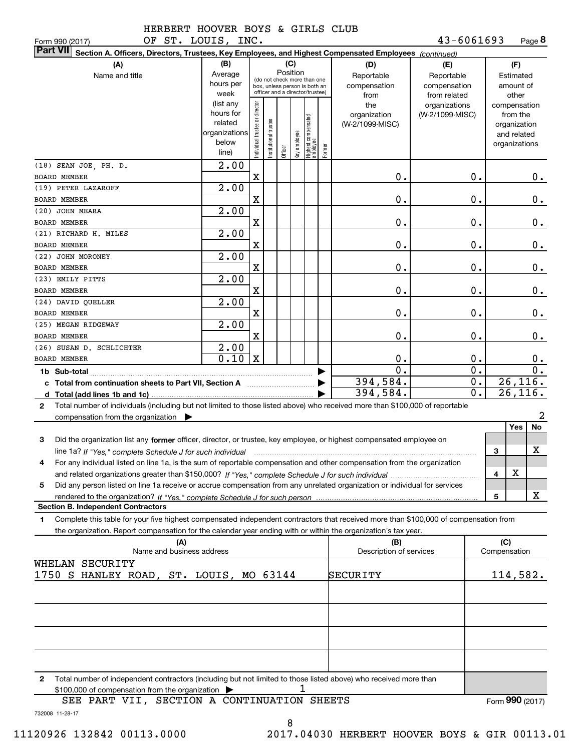| HERBERT HOOVER BOYS & GIRLS CLUB |  |  |  |
|----------------------------------|--|--|--|
|                                  |  |  |  |

| OF ST. LOUIS, INC.<br>Form 990 (2017)                                                                                                           |                   |                               |                                                              |         |          |                                                 |        |                         | 43-6061693      |       |              |               | Page 8           |
|-------------------------------------------------------------------------------------------------------------------------------------------------|-------------------|-------------------------------|--------------------------------------------------------------|---------|----------|-------------------------------------------------|--------|-------------------------|-----------------|-------|--------------|---------------|------------------|
| <b>Part VII</b><br>Section A. Officers, Directors, Trustees, Key Employees, and Highest Compensated Employees (continued)                       |                   |                               |                                                              |         |          |                                                 |        |                         |                 |       |              |               |                  |
| (A)                                                                                                                                             | (B)               |                               |                                                              |         | (C)      |                                                 |        | (D)                     | (E)             |       |              | (F)           |                  |
| Name and title                                                                                                                                  | Average           |                               |                                                              |         | Position |                                                 |        | Reportable              | Reportable      |       |              | Estimated     |                  |
|                                                                                                                                                 | hours per         |                               | (do not check more than one<br>box, unless person is both an |         |          |                                                 |        | compensation            | compensation    |       |              | amount of     |                  |
|                                                                                                                                                 | week              |                               | officer and a director/trustee)                              |         |          |                                                 |        | from                    | from related    |       |              | other         |                  |
|                                                                                                                                                 | (list any         |                               |                                                              |         |          |                                                 |        | the                     | organizations   |       |              | compensation  |                  |
|                                                                                                                                                 | hours for         |                               |                                                              |         |          |                                                 |        | organization            | (W-2/1099-MISC) |       |              | from the      |                  |
|                                                                                                                                                 | related           |                               |                                                              |         |          |                                                 |        | (W-2/1099-MISC)         |                 |       |              | organization  |                  |
|                                                                                                                                                 | organizations     |                               |                                                              |         |          |                                                 |        |                         |                 |       |              | and related   |                  |
|                                                                                                                                                 | below             |                               |                                                              |         |          |                                                 |        |                         |                 |       |              | organizations |                  |
|                                                                                                                                                 | line)             | ndividual trustee or director | Institutional trustee                                        | Officer |          | key employee<br>Highest compensated<br>employee | Former |                         |                 |       |              |               |                  |
| (18) SEAN JOE, PH. D.                                                                                                                           | $\overline{2.00}$ |                               |                                                              |         |          |                                                 |        |                         |                 |       |              |               |                  |
|                                                                                                                                                 |                   |                               |                                                              |         |          |                                                 |        |                         |                 | 0.    |              |               |                  |
| <b>BOARD MEMBER</b>                                                                                                                             |                   | X                             |                                                              |         |          |                                                 |        | 0.                      |                 |       |              |               | 0.               |
| (19) PETER LAZAROFF                                                                                                                             | 2.00              |                               |                                                              |         |          |                                                 |        |                         |                 |       |              |               |                  |
| BOARD MEMBER                                                                                                                                    |                   | X                             |                                                              |         |          |                                                 |        | 0.                      |                 | 0.    |              |               | 0.               |
| (20) JOHN MEARA                                                                                                                                 | 2.00              |                               |                                                              |         |          |                                                 |        |                         |                 |       |              |               |                  |
| BOARD MEMBER                                                                                                                                    |                   | X                             |                                                              |         |          |                                                 |        | 0.                      |                 | 0.    |              |               | 0.               |
| (21) RICHARD H. MILES                                                                                                                           | 2.00              |                               |                                                              |         |          |                                                 |        |                         |                 |       |              |               |                  |
| <b>BOARD MEMBER</b>                                                                                                                             |                   | X                             |                                                              |         |          |                                                 |        | 0.                      |                 | 0.    |              |               | 0.               |
| (22) JOHN MORONEY                                                                                                                               | 2.00              |                               |                                                              |         |          |                                                 |        |                         |                 |       |              |               |                  |
|                                                                                                                                                 |                   |                               |                                                              |         |          |                                                 |        |                         |                 |       |              |               |                  |
| BOARD MEMBER                                                                                                                                    |                   | X                             |                                                              |         |          |                                                 |        | 0.                      |                 | $0$ . |              |               | 0.               |
| (23) EMILY PITTS                                                                                                                                | 2.00              |                               |                                                              |         |          |                                                 |        |                         |                 |       |              |               |                  |
| BOARD MEMBER                                                                                                                                    |                   | X                             |                                                              |         |          |                                                 |        | 0.                      |                 | $0$ . |              |               | 0.               |
| (24) DAVID QUELLER                                                                                                                              | 2.00              |                               |                                                              |         |          |                                                 |        |                         |                 |       |              |               |                  |
| <b>BOARD MEMBER</b>                                                                                                                             |                   | X                             |                                                              |         |          |                                                 |        | 0.                      |                 | $0$ . |              |               | 0.               |
| (25) MEGAN RIDGEWAY                                                                                                                             | 2.00              |                               |                                                              |         |          |                                                 |        |                         |                 |       |              |               |                  |
| BOARD MEMBER                                                                                                                                    |                   | X                             |                                                              |         |          |                                                 |        | 0.                      |                 | 0.    |              |               | 0.               |
|                                                                                                                                                 |                   |                               |                                                              |         |          |                                                 |        |                         |                 |       |              |               |                  |
| (26) SUSAN D. SCHLICHTER                                                                                                                        | 2.00              |                               |                                                              |         |          |                                                 |        |                         |                 |       |              |               |                  |
| <b>BOARD MEMBER</b>                                                                                                                             | 0.10              | $\mathbf{X}$                  |                                                              |         |          |                                                 |        | 0.                      |                 | 0.    |              |               | 0.               |
|                                                                                                                                                 |                   |                               |                                                              |         |          |                                                 |        | $\overline{0}$ .        |                 | 0.    |              |               | $\overline{0}$ . |
| c Total from continuation sheets to Part VII, Section A manufactured by                                                                         |                   |                               |                                                              |         |          |                                                 |        | 394,584.                |                 | $0$ . |              |               | 26, 116.         |
|                                                                                                                                                 |                   |                               |                                                              |         |          |                                                 |        | 394,584.                |                 | 0.    |              |               | 26,116.          |
| Total number of individuals (including but not limited to those listed above) who received more than \$100,000 of reportable<br>$\mathbf{2}$    |                   |                               |                                                              |         |          |                                                 |        |                         |                 |       |              |               |                  |
| compensation from the organization $\blacktriangleright$                                                                                        |                   |                               |                                                              |         |          |                                                 |        |                         |                 |       |              |               | 2                |
|                                                                                                                                                 |                   |                               |                                                              |         |          |                                                 |        |                         |                 |       |              | Yes           | No               |
|                                                                                                                                                 |                   |                               |                                                              |         |          |                                                 |        |                         |                 |       |              |               |                  |
| 3<br>Did the organization list any former officer, director, or trustee, key employee, or highest compensated employee on                       |                   |                               |                                                              |         |          |                                                 |        |                         |                 |       |              |               |                  |
| line 1a? If "Yes," complete Schedule J for such individual manufactured contained and the 1a? If "Yes," complete Schedule J for such individual |                   |                               |                                                              |         |          |                                                 |        |                         |                 |       | 3            |               | x                |
| For any individual listed on line 1a, is the sum of reportable compensation and other compensation from the organization                        |                   |                               |                                                              |         |          |                                                 |        |                         |                 |       |              |               |                  |
|                                                                                                                                                 |                   |                               |                                                              |         |          |                                                 |        |                         |                 |       | 4            | х             |                  |
| Did any person listed on line 1a receive or accrue compensation from any unrelated organization or individual for services<br>5                 |                   |                               |                                                              |         |          |                                                 |        |                         |                 |       |              |               |                  |
|                                                                                                                                                 |                   |                               |                                                              |         |          |                                                 |        |                         |                 |       | 5            |               | X                |
| <b>Section B. Independent Contractors</b>                                                                                                       |                   |                               |                                                              |         |          |                                                 |        |                         |                 |       |              |               |                  |
|                                                                                                                                                 |                   |                               |                                                              |         |          |                                                 |        |                         |                 |       |              |               |                  |
| Complete this table for your five highest compensated independent contractors that received more than \$100,000 of compensation from<br>1       |                   |                               |                                                              |         |          |                                                 |        |                         |                 |       |              |               |                  |
| the organization. Report compensation for the calendar year ending with or within the organization's tax year.                                  |                   |                               |                                                              |         |          |                                                 |        |                         |                 |       |              |               |                  |
| (A)                                                                                                                                             |                   |                               |                                                              |         |          |                                                 |        | (B)                     |                 |       | (C)          |               |                  |
| Name and business address                                                                                                                       |                   |                               |                                                              |         |          |                                                 |        | Description of services |                 |       | Compensation |               |                  |
| WHELAN SECURITY                                                                                                                                 |                   |                               |                                                              |         |          |                                                 |        |                         |                 |       |              |               |                  |
| 1750 S HANLEY ROAD, ST. LOUIS, MO 63144                                                                                                         |                   |                               |                                                              |         |          |                                                 |        | SECURITY                |                 |       |              |               | 114,582.         |
|                                                                                                                                                 |                   |                               |                                                              |         |          |                                                 |        |                         |                 |       |              |               |                  |
|                                                                                                                                                 |                   |                               |                                                              |         |          |                                                 |        |                         |                 |       |              |               |                  |
|                                                                                                                                                 |                   |                               |                                                              |         |          |                                                 |        |                         |                 |       |              |               |                  |
|                                                                                                                                                 |                   |                               |                                                              |         |          |                                                 |        |                         |                 |       |              |               |                  |
|                                                                                                                                                 |                   |                               |                                                              |         |          |                                                 |        |                         |                 |       |              |               |                  |
|                                                                                                                                                 |                   |                               |                                                              |         |          |                                                 |        |                         |                 |       |              |               |                  |
|                                                                                                                                                 |                   |                               |                                                              |         |          |                                                 |        |                         |                 |       |              |               |                  |
|                                                                                                                                                 |                   |                               |                                                              |         |          |                                                 |        |                         |                 |       |              |               |                  |
|                                                                                                                                                 |                   |                               |                                                              |         |          |                                                 |        |                         |                 |       |              |               |                  |
| Total number of independent contractors (including but not limited to those listed above) who received more than<br>2                           |                   |                               |                                                              |         |          |                                                 |        |                         |                 |       |              |               |                  |
| \$100,000 of compensation from the organization                                                                                                 |                   |                               |                                                              |         |          | 1                                               |        |                         |                 |       |              |               |                  |
|                                                                                                                                                 |                   |                               |                                                              |         |          |                                                 |        |                         |                 |       |              |               |                  |

732008 11-28-17 SEE PART VII, SECTION A CONTINUATION SHEETS

8

Form (2017) **990**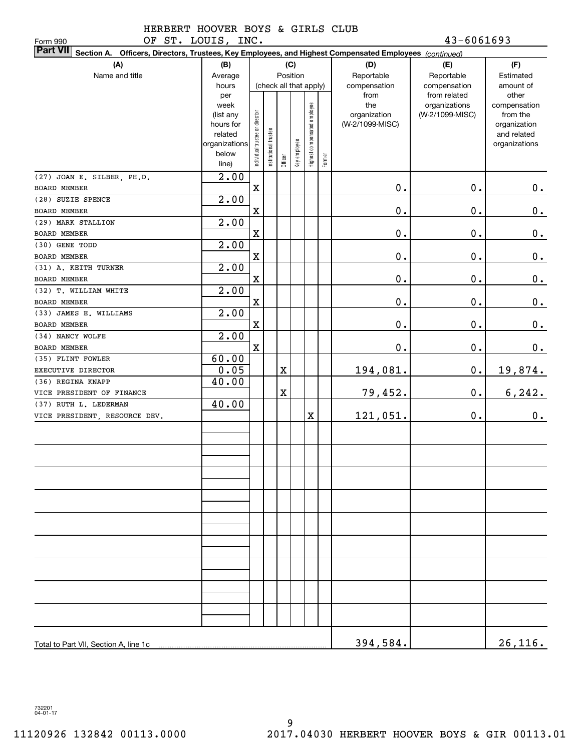OF ST. LOUIS, INC. 43-6061693

| OF ST. LOUIS, INC.<br>Form 990                                                                                  |                        |                                |                        |             |              |                              |        |                 | 43-6061693      |                             |
|-----------------------------------------------------------------------------------------------------------------|------------------------|--------------------------------|------------------------|-------------|--------------|------------------------------|--------|-----------------|-----------------|-----------------------------|
| Part VII Section A. Officers, Directors, Trustees, Key Employees, and Highest Compensated Employees (continued) |                        |                                |                        |             |              |                              |        |                 |                 |                             |
| (A)                                                                                                             | (B)                    |                                |                        |             | (C)          |                              |        | (D)             | (E)             | (F)                         |
| Name and title                                                                                                  | Average                |                                |                        |             | Position     |                              |        | Reportable      | Reportable      | Estimated                   |
|                                                                                                                 | hours                  |                                | (check all that apply) |             |              |                              |        | compensation    | compensation    | amount of                   |
|                                                                                                                 | per                    |                                |                        |             |              |                              |        | from            | from related    | other                       |
|                                                                                                                 | week                   |                                |                        |             |              | Highest compensated employee |        | the             | organizations   | compensation                |
|                                                                                                                 | (list any<br>hours for |                                |                        |             |              |                              |        | organization    | (W-2/1099-MISC) | from the                    |
|                                                                                                                 | related                |                                |                        |             |              |                              |        | (W-2/1099-MISC) |                 | organization<br>and related |
|                                                                                                                 | organizations          |                                |                        |             |              |                              |        |                 |                 | organizations               |
|                                                                                                                 | below                  | Individual trustee or director | Institutional trustee  |             | Key employee |                              |        |                 |                 |                             |
|                                                                                                                 | line)                  |                                |                        | Officer     |              |                              | Former |                 |                 |                             |
| (27) JOAN E. SILBER, PH.D.                                                                                      | $\overline{2.00}$      |                                |                        |             |              |                              |        |                 |                 |                             |
| BOARD MEMBER                                                                                                    |                        | $\mathbf X$                    |                        |             |              |                              |        | $0$ .           | $\mathbf 0$ .   | $0$ .                       |
| (28) SUZIE SPENCE                                                                                               | 2.00                   |                                |                        |             |              |                              |        |                 |                 |                             |
| BOARD MEMBER                                                                                                    |                        | $\mathbf X$                    |                        |             |              |                              |        | $\mathbf 0$ .   | $\mathbf 0$ .   | 0.                          |
| (29) MARK STALLION                                                                                              | 2.00                   |                                |                        |             |              |                              |        |                 |                 |                             |
| <b>BOARD MEMBER</b>                                                                                             |                        | $\mathbf X$                    |                        |             |              |                              |        | $\mathbf 0$ .   | $\mathbf 0$ .   | 0.                          |
| (30) GENE TODD                                                                                                  | 2.00                   |                                |                        |             |              |                              |        |                 |                 |                             |
| BOARD MEMBER                                                                                                    |                        | $\mathbf X$                    |                        |             |              |                              |        | $\mathbf 0$ .   | $\mathbf 0$ .   | 0.                          |
| (31) A. KEITH TURNER                                                                                            | 2.00                   |                                |                        |             |              |                              |        |                 |                 |                             |
| <b>BOARD MEMBER</b>                                                                                             |                        | $\mathbf X$                    |                        |             |              |                              |        | $\mathbf 0$ .   | $\mathbf 0$ .   | 0.                          |
| (32) T. WILLIAM WHITE                                                                                           | 2.00                   |                                |                        |             |              |                              |        |                 |                 |                             |
| BOARD MEMBER                                                                                                    |                        | $\mathbf X$                    |                        |             |              |                              |        | $0$ .           | $\mathbf 0$ .   | 0.                          |
| (33) JAMES E. WILLIAMS                                                                                          | 2.00                   |                                |                        |             |              |                              |        |                 |                 |                             |
| BOARD MEMBER                                                                                                    |                        | $\mathbf X$                    |                        |             |              |                              |        | $\mathbf 0$ .   | $\mathbf 0$ .   | 0.                          |
| (34) NANCY WOLFE                                                                                                | 2.00                   |                                |                        |             |              |                              |        |                 |                 |                             |
| BOARD MEMBER                                                                                                    |                        | $\mathbf X$                    |                        |             |              |                              |        | $0$ .           | $\mathbf 0$ .   | 0.                          |
| (35) FLINT FOWLER                                                                                               | 60.00                  |                                |                        |             |              |                              |        |                 |                 |                             |
| EXECUTIVE DIRECTOR                                                                                              | 0.05                   |                                |                        | $\mathbf X$ |              |                              |        | 194,081.        | $\mathbf 0$ .   | <u>19,874.</u>              |
| (36) REGINA KNAPP                                                                                               | 40.00                  |                                |                        |             |              |                              |        |                 |                 |                             |
| VICE PRESIDENT OF FINANCE                                                                                       |                        |                                |                        | $\mathbf X$ |              |                              |        | 79,452.         | 0.              | 6, 242.                     |
| (37) RUTH L. LEDERMAN                                                                                           | 40.00                  |                                |                        |             |              |                              |        |                 |                 |                             |
| VICE PRESIDENT, RESOURCE DEV.                                                                                   |                        |                                |                        |             |              | X                            |        | 121,051.        | $\mathbf 0$ .   | 0.                          |
|                                                                                                                 |                        |                                |                        |             |              |                              |        |                 |                 |                             |
|                                                                                                                 |                        |                                |                        |             |              |                              |        |                 |                 |                             |
|                                                                                                                 |                        |                                |                        |             |              |                              |        |                 |                 |                             |
|                                                                                                                 |                        |                                |                        |             |              |                              |        |                 |                 |                             |
|                                                                                                                 |                        |                                |                        |             |              |                              |        |                 |                 |                             |
|                                                                                                                 |                        |                                |                        |             |              |                              |        |                 |                 |                             |
|                                                                                                                 |                        |                                |                        |             |              |                              |        |                 |                 |                             |
|                                                                                                                 |                        |                                |                        |             |              |                              |        |                 |                 |                             |
|                                                                                                                 |                        |                                |                        |             |              |                              |        |                 |                 |                             |
|                                                                                                                 |                        |                                |                        |             |              |                              |        |                 |                 |                             |
|                                                                                                                 |                        |                                |                        |             |              |                              |        |                 |                 |                             |
|                                                                                                                 |                        |                                |                        |             |              |                              |        |                 |                 |                             |
|                                                                                                                 |                        |                                |                        |             |              |                              |        |                 |                 |                             |
|                                                                                                                 |                        |                                |                        |             |              |                              |        |                 |                 |                             |
|                                                                                                                 |                        |                                |                        |             |              |                              |        |                 |                 |                             |
|                                                                                                                 |                        |                                |                        |             |              |                              |        |                 |                 |                             |
|                                                                                                                 |                        |                                |                        |             |              |                              |        |                 |                 |                             |
|                                                                                                                 |                        |                                |                        |             |              |                              |        |                 |                 |                             |
|                                                                                                                 |                        |                                |                        |             |              |                              |        | 394,584.        |                 | 26, 116.                    |

732201 04-01-17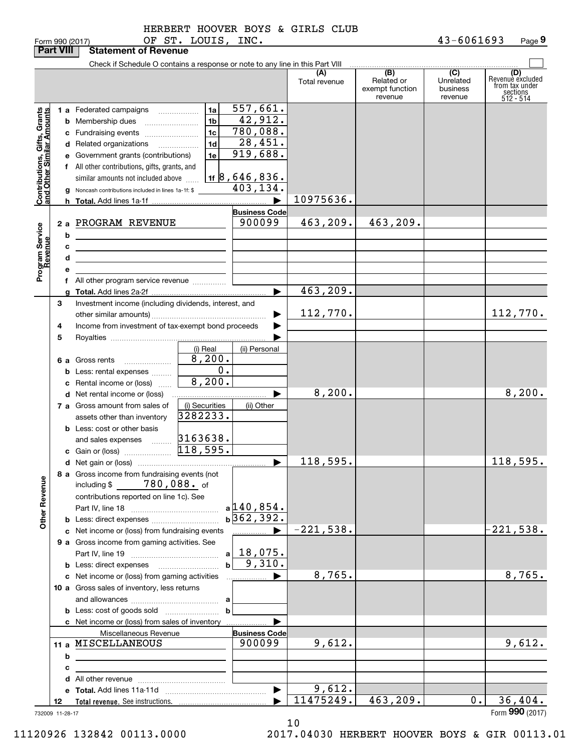| orm 990 (2017: |  |
|----------------|--|

| Check if Schedule O contains a response or note to any line in this Part VIII<br>(B)<br>(C)<br>(A)<br>Related or<br>Unrelated<br>Total revenue<br>exempt function<br>business<br>revenue<br>revenue<br>557,661.<br>1a<br>Contributions, Gifts, Grants<br>and Other Similar Amounts<br>1 a Federated campaigns<br>$\overline{42,912}$ .<br>1 <sub>b</sub><br><b>b</b> Membership dues<br>780,088.<br>1 <sub>c</sub><br>c Fundraising events<br>28,451. | (D)<br>Revenuè excluded<br>from tax under<br>sections<br>512 - 514 |
|-------------------------------------------------------------------------------------------------------------------------------------------------------------------------------------------------------------------------------------------------------------------------------------------------------------------------------------------------------------------------------------------------------------------------------------------------------|--------------------------------------------------------------------|
|                                                                                                                                                                                                                                                                                                                                                                                                                                                       |                                                                    |
|                                                                                                                                                                                                                                                                                                                                                                                                                                                       |                                                                    |
|                                                                                                                                                                                                                                                                                                                                                                                                                                                       |                                                                    |
|                                                                                                                                                                                                                                                                                                                                                                                                                                                       |                                                                    |
|                                                                                                                                                                                                                                                                                                                                                                                                                                                       |                                                                    |
| 1 <sub>d</sub><br>d Related organizations                                                                                                                                                                                                                                                                                                                                                                                                             |                                                                    |
| 919,688.<br>1e<br>e Government grants (contributions)                                                                                                                                                                                                                                                                                                                                                                                                 |                                                                    |
| f All other contributions, gifts, grants, and                                                                                                                                                                                                                                                                                                                                                                                                         |                                                                    |
| $118,646,836$ .<br>similar amounts not included above                                                                                                                                                                                                                                                                                                                                                                                                 |                                                                    |
| 403,134.<br>Noncash contributions included in lines 1a-1f: \$                                                                                                                                                                                                                                                                                                                                                                                         |                                                                    |
| 10975636.<br>▶                                                                                                                                                                                                                                                                                                                                                                                                                                        |                                                                    |
| <b>Business Code</b>                                                                                                                                                                                                                                                                                                                                                                                                                                  |                                                                    |
| 900099<br>463, 209.<br>463,209.<br>2 a PROGRAM REVENUE                                                                                                                                                                                                                                                                                                                                                                                                |                                                                    |
| b                                                                                                                                                                                                                                                                                                                                                                                                                                                     |                                                                    |
| c                                                                                                                                                                                                                                                                                                                                                                                                                                                     |                                                                    |
| <u> 1989 - Johann Stein, marwolaethau a bhann an t-Amhair an t-Amhair an t-Amhair an t-Amhair an t-Amhair an t-A</u><br>d                                                                                                                                                                                                                                                                                                                             |                                                                    |
| <u> 1989 - Johann Stein, marwolaethau a bhann an t-Amhair an t-Amhair an t-Amhair an t-Amhair an t-Amhair an t-A</u><br>е                                                                                                                                                                                                                                                                                                                             |                                                                    |
| Program Service<br>Revenue<br>f All other program service revenue                                                                                                                                                                                                                                                                                                                                                                                     |                                                                    |
| 463, 209.<br>▶                                                                                                                                                                                                                                                                                                                                                                                                                                        |                                                                    |
| 3<br>Investment income (including dividends, interest, and                                                                                                                                                                                                                                                                                                                                                                                            |                                                                    |
| 112,770.                                                                                                                                                                                                                                                                                                                                                                                                                                              | 112,770.                                                           |
| Income from investment of tax-exempt bond proceeds<br>4                                                                                                                                                                                                                                                                                                                                                                                               |                                                                    |
| 5                                                                                                                                                                                                                                                                                                                                                                                                                                                     |                                                                    |
| (i) Real<br>(ii) Personal                                                                                                                                                                                                                                                                                                                                                                                                                             |                                                                    |
| 8,200.<br>6 a Gross rents                                                                                                                                                                                                                                                                                                                                                                                                                             |                                                                    |
| 0.<br>Less: rental expenses<br>b                                                                                                                                                                                                                                                                                                                                                                                                                      |                                                                    |
| 8,200.<br>c Rental income or (loss)                                                                                                                                                                                                                                                                                                                                                                                                                   |                                                                    |
| 8, 200.<br>▶<br><b>d</b> Net rental income or (loss)                                                                                                                                                                                                                                                                                                                                                                                                  | 8,200.                                                             |
| (i) Securities<br>7 a Gross amount from sales of<br>(ii) Other                                                                                                                                                                                                                                                                                                                                                                                        |                                                                    |
| 3282233.<br>assets other than inventory                                                                                                                                                                                                                                                                                                                                                                                                               |                                                                    |
| <b>b</b> Less: cost or other basis                                                                                                                                                                                                                                                                                                                                                                                                                    |                                                                    |
|                                                                                                                                                                                                                                                                                                                                                                                                                                                       |                                                                    |
|                                                                                                                                                                                                                                                                                                                                                                                                                                                       |                                                                    |
| 118,595.<br>$\blacktriangleright$                                                                                                                                                                                                                                                                                                                                                                                                                     | 118,595.                                                           |
| 8 a Gross income from fundraising events (not                                                                                                                                                                                                                                                                                                                                                                                                         |                                                                    |
| including $$780,088$ . of                                                                                                                                                                                                                                                                                                                                                                                                                             |                                                                    |
| contributions reported on line 1c). See                                                                                                                                                                                                                                                                                                                                                                                                               |                                                                    |
| $a$ 140,854.                                                                                                                                                                                                                                                                                                                                                                                                                                          |                                                                    |
| <b>Other Revenue</b><br>$b\overline{362,392.}$                                                                                                                                                                                                                                                                                                                                                                                                        |                                                                    |
| $-221,538.$<br>c Net income or (loss) from fundraising events<br>_____________ ▶                                                                                                                                                                                                                                                                                                                                                                      | $-221,538.$                                                        |
| 9 a Gross income from gaming activities. See                                                                                                                                                                                                                                                                                                                                                                                                          |                                                                    |
| <u>18,075.</u><br>a                                                                                                                                                                                                                                                                                                                                                                                                                                   |                                                                    |
| 9,310.                                                                                                                                                                                                                                                                                                                                                                                                                                                |                                                                    |
| 8,765.<br>c Net income or (loss) from gaming activities<br>▶<br>.                                                                                                                                                                                                                                                                                                                                                                                     | 8,765.                                                             |
| 10 a Gross sales of inventory, less returns                                                                                                                                                                                                                                                                                                                                                                                                           |                                                                    |
|                                                                                                                                                                                                                                                                                                                                                                                                                                                       |                                                                    |
| b                                                                                                                                                                                                                                                                                                                                                                                                                                                     |                                                                    |
| c Net income or (loss) from sales of inventory<br>▶                                                                                                                                                                                                                                                                                                                                                                                                   |                                                                    |
| Miscellaneous Revenue<br><b>Business Code</b><br>9,612.<br>11 a MISCELLANEOUS<br>900099                                                                                                                                                                                                                                                                                                                                                               | 9,612.                                                             |
|                                                                                                                                                                                                                                                                                                                                                                                                                                                       |                                                                    |
| b                                                                                                                                                                                                                                                                                                                                                                                                                                                     |                                                                    |
| c<br><u> 1989 - Johann Barbara, martin amerikan basar dan berasal dalam basar dalam basar dalam basar dalam basar dala</u>                                                                                                                                                                                                                                                                                                                            |                                                                    |
| 9,612.                                                                                                                                                                                                                                                                                                                                                                                                                                                |                                                                    |
| $\blacktriangleright$<br>11475249.<br>463,209.<br>0.<br>12                                                                                                                                                                                                                                                                                                                                                                                            | 36,404.                                                            |
| 732009 11-28-17                                                                                                                                                                                                                                                                                                                                                                                                                                       | Form 990 (2017)                                                    |

10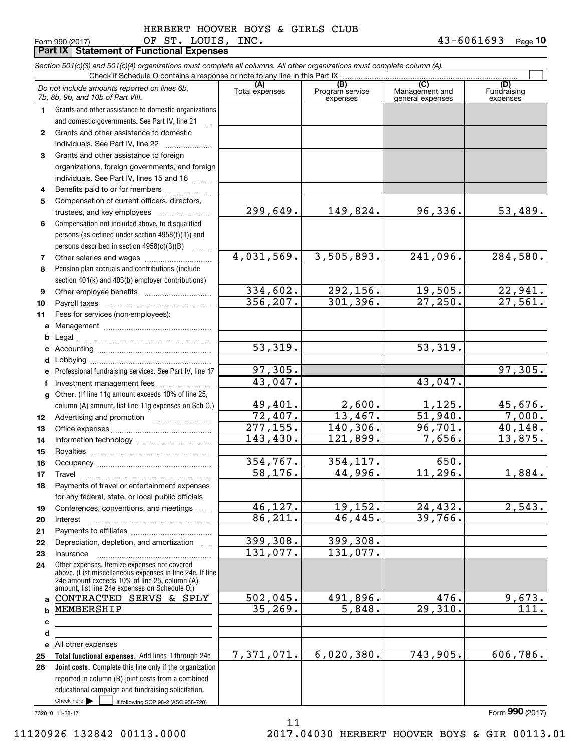Form 990 (2017) OF'S'I'。 山OUIS,INC。 4 3-6 U6 I 6 93 Page **10** OF ST. LOUIS, INC. 43-6061693

|              | Part IX   Statement of Functional Expenses                                                                                 |                        |                             |                                    |                           |
|--------------|----------------------------------------------------------------------------------------------------------------------------|------------------------|-----------------------------|------------------------------------|---------------------------|
|              | Section 501(c)(3) and 501(c)(4) organizations must complete all columns. All other organizations must complete column (A). |                        |                             |                                    |                           |
|              | Check if Schedule O contains a response or note to any line in this Part IX                                                | (A)                    | (B)                         | (C)                                | (D)                       |
|              | Do not include amounts reported on lines 6b,<br>7b, 8b, 9b, and 10b of Part VIII.                                          | Total expenses         | Program service<br>expenses | Management and<br>general expenses | Fundraising<br>expenses   |
| 1            | Grants and other assistance to domestic organizations                                                                      |                        |                             |                                    |                           |
|              | and domestic governments. See Part IV, line 21                                                                             |                        |                             |                                    |                           |
| $\mathbf{2}$ | Grants and other assistance to domestic                                                                                    |                        |                             |                                    |                           |
|              | individuals. See Part IV, line 22                                                                                          |                        |                             |                                    |                           |
| 3            | Grants and other assistance to foreign                                                                                     |                        |                             |                                    |                           |
|              | organizations, foreign governments, and foreign                                                                            |                        |                             |                                    |                           |
|              | individuals. See Part IV, lines 15 and 16                                                                                  |                        |                             |                                    |                           |
| 4            | Benefits paid to or for members                                                                                            |                        |                             |                                    |                           |
| 5            | Compensation of current officers, directors,                                                                               |                        | 149,824.                    |                                    |                           |
|              |                                                                                                                            | 299,649.               |                             | 96,336.                            | 53,489.                   |
| 6            | Compensation not included above, to disqualified                                                                           |                        |                             |                                    |                           |
|              | persons (as defined under section 4958(f)(1)) and                                                                          |                        |                             |                                    |                           |
|              | persons described in section $4958(c)(3)(B)$                                                                               | 4,031,569.             | 3,505,893.                  | 241,096.                           | 284,580.                  |
| 7<br>8       | Pension plan accruals and contributions (include                                                                           |                        |                             |                                    |                           |
|              | section 401(k) and 403(b) employer contributions)                                                                          |                        |                             |                                    |                           |
| 9            |                                                                                                                            | 334,602.               | 292,156.                    | 19,505.                            |                           |
| 10           |                                                                                                                            | 356, 207.              | 301, 396.                   | 27,250.                            | $\frac{22,941.}{27,561.}$ |
| 11           | Fees for services (non-employees):                                                                                         |                        |                             |                                    |                           |
| а            |                                                                                                                            |                        |                             |                                    |                           |
| b            |                                                                                                                            |                        |                             |                                    |                           |
| c            |                                                                                                                            | $\overline{53,319}$ .  |                             | 53,319.                            |                           |
| d            |                                                                                                                            |                        |                             |                                    |                           |
| е            | Professional fundraising services. See Part IV, line 17                                                                    | 97,305.                |                             |                                    | 97,305.                   |
| f            | Investment management fees                                                                                                 | 43,047.                |                             | 43,047.                            |                           |
| g            | Other. (If line 11g amount exceeds 10% of line 25,                                                                         |                        |                             |                                    |                           |
|              | column (A) amount, list line 11g expenses on Sch O.)                                                                       | 49,401.                | 2,600.                      | $\frac{1,125}{51,940}$ .           | 45,676.                   |
| 12           |                                                                                                                            | 72,407.                | 13,467.                     |                                    | 7,000.                    |
| 13           |                                                                                                                            | $\overline{277,155}$ . | 140, 306.                   | 96, 701.                           | 40,148.                   |
| 14           |                                                                                                                            | 143, 430.              | 121,899.                    | 7,656.                             | 13,875.                   |
| 15           |                                                                                                                            |                        |                             |                                    |                           |
| 16           |                                                                                                                            | 354,767.               | 354,117.                    | 650.                               |                           |
| 17           | Travel                                                                                                                     | 58, 176.               | 44,996.                     | 11,296.                            | 1,884.                    |
| 18           | Payments of travel or entertainment expenses                                                                               |                        |                             |                                    |                           |
|              | for any federal, state, or local public officials                                                                          |                        |                             |                                    |                           |
| 19           | Conferences, conventions, and meetings                                                                                     | 46, 127.<br>86, 211.   | 19,152.<br>46,445.          | 24,432.<br>39,766.                 | $\overline{2,543.}$       |
| 20           | Interest                                                                                                                   |                        |                             |                                    |                           |
| 21           | Depreciation, depletion, and amortization                                                                                  | 399,308.               | 399,308.                    |                                    |                           |
| 22<br>23     | Insurance                                                                                                                  | 131,077.               | 131,077.                    |                                    |                           |
| 24           | Other expenses. Itemize expenses not covered                                                                               |                        |                             |                                    |                           |
|              | above. (List miscellaneous expenses in line 24e. If line                                                                   |                        |                             |                                    |                           |
|              | 24e amount exceeds 10% of line 25, column (A)<br>amount, list line 24e expenses on Schedule O.)                            |                        |                             |                                    |                           |
| a            | CONTRACTED SERVS & SPLY                                                                                                    | 502,045.               | 491,896.                    | 476.                               | 9,673.                    |
| b            | MEMBERSHIP                                                                                                                 | 35, 269.               | 5,848.                      | 29,310.                            | $\overline{111}$ .        |
| с            |                                                                                                                            |                        |                             |                                    |                           |
| d            |                                                                                                                            |                        |                             |                                    |                           |
|              | e All other expenses                                                                                                       |                        |                             |                                    |                           |
| 25           | Total functional expenses. Add lines 1 through 24e                                                                         | 7,371,071.             | 6,020,380.                  | 743,905.                           | 606,786.                  |
| 26           | Joint costs. Complete this line only if the organization                                                                   |                        |                             |                                    |                           |
|              | reported in column (B) joint costs from a combined                                                                         |                        |                             |                                    |                           |
|              | educational campaign and fundraising solicitation.                                                                         |                        |                             |                                    |                           |
|              | Check here $\blacktriangleright$<br>if following SOP 98-2 (ASC 958-720)                                                    |                        |                             |                                    |                           |

11

732010 11-28-17

Form (2017) **990**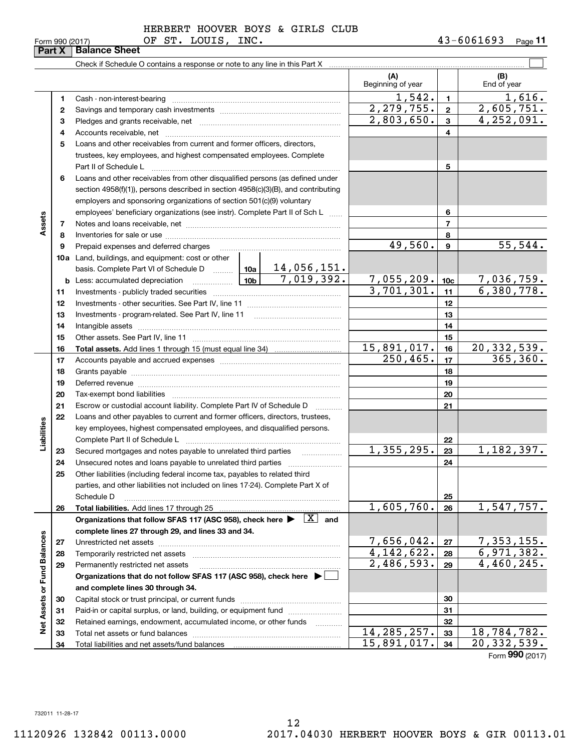|                             |    | Check if Schedule O contains a response or note to any line in this Part X                    |  |    |                           |                 |                           |
|-----------------------------|----|-----------------------------------------------------------------------------------------------|--|----|---------------------------|-----------------|---------------------------|
|                             |    |                                                                                               |  |    | (A)<br>Beginning of year  |                 | (B)<br>End of year        |
|                             | 1. |                                                                                               |  |    | 1,542.                    | $\mathbf{1}$    | <u>1,616.</u>             |
|                             | 2  |                                                                                               |  |    | 2, 279, 755.              | $\mathbf{2}$    | 2,605,751.                |
|                             | з  |                                                                                               |  |    | 2,803,650.                | $\mathbf{3}$    | 4,252,091.                |
|                             | 4  |                                                                                               |  |    |                           | 4               |                           |
|                             | 5  | Loans and other receivables from current and former officers, directors,                      |  |    |                           |                 |                           |
|                             |    | trustees, key employees, and highest compensated employees. Complete                          |  |    |                           |                 |                           |
|                             |    | Part II of Schedule L                                                                         |  |    |                           | 5               |                           |
|                             | 6  | Loans and other receivables from other disqualified persons (as defined under                 |  |    |                           |                 |                           |
|                             |    | section 4958(f)(1)), persons described in section 4958(c)(3)(B), and contributing             |  |    |                           |                 |                           |
|                             |    | employers and sponsoring organizations of section 501(c)(9) voluntary                         |  |    |                           |                 |                           |
|                             |    | employees' beneficiary organizations (see instr). Complete Part II of Sch L                   |  |    |                           | 6               |                           |
| Assets                      | 7  |                                                                                               |  |    |                           | $\overline{7}$  |                           |
|                             | 8  |                                                                                               |  |    |                           | 8               |                           |
|                             | 9  | Prepaid expenses and deferred charges                                                         |  |    | 49,560.                   | 9               | 55,544.                   |
|                             |    | <b>10a</b> Land, buildings, and equipment: cost or other                                      |  |    |                           |                 |                           |
|                             |    |                                                                                               |  |    |                           |                 |                           |
|                             |    | <b>b</b> Less: accumulated depreciation                                                       |  |    | 7,055,209.                | 10 <sub>c</sub> | <u>7,036,759.</u>         |
|                             | 11 |                                                                                               |  |    | 3,701,301.                | 11              | 6,380,778.                |
|                             | 12 |                                                                                               |  |    |                           | 12              |                           |
|                             | 13 |                                                                                               |  |    |                           | 13              |                           |
|                             | 14 |                                                                                               |  | 14 |                           |                 |                           |
|                             | 15 |                                                                                               |  |    |                           | 15              |                           |
|                             | 16 |                                                                                               |  |    | 15,891,017.               | 16              | 20, 332, 539.             |
|                             | 17 |                                                                                               |  |    | 250, 465.                 | 17              | 365, 360.                 |
|                             | 18 |                                                                                               |  |    | 18                        |                 |                           |
|                             | 19 |                                                                                               |  | 19 |                           |                 |                           |
|                             | 20 |                                                                                               |  |    |                           | 20              |                           |
|                             | 21 | Escrow or custodial account liability. Complete Part IV of Schedule D                         |  |    |                           | 21              |                           |
|                             | 22 | Loans and other payables to current and former officers, directors, trustees,                 |  |    |                           |                 |                           |
|                             |    | key employees, highest compensated employees, and disqualified persons.                       |  |    |                           |                 |                           |
| Liabilities                 |    |                                                                                               |  |    | 1,355,295.                | 22              | 1,182,397.                |
|                             | 23 | Secured mortgages and notes payable to unrelated third parties                                |  |    |                           | 23              |                           |
|                             | 24 | Unsecured notes and loans payable to unrelated third parties                                  |  |    |                           | 24              |                           |
|                             | 25 | Other liabilities (including federal income tax, payables to related third                    |  |    |                           |                 |                           |
|                             |    | parties, and other liabilities not included on lines 17-24). Complete Part X of<br>Schedule D |  |    |                           | 25              |                           |
|                             | 26 | Total liabilities. Add lines 17 through 25                                                    |  |    | 1,605,760.                | 26              | 1,547,757.                |
|                             |    | Organizations that follow SFAS 117 (ASC 958), check here $\blacktriangleright \boxed{X}$ and  |  |    |                           |                 |                           |
|                             |    | complete lines 27 through 29, and lines 33 and 34.                                            |  |    |                           |                 |                           |
|                             | 27 |                                                                                               |  |    | 7,656,042.                | 27              | <u>7,353,155.</u>         |
|                             | 28 | Temporarily restricted net assets                                                             |  |    | 4, 142, 622.              | 28              | 6,971,382.                |
|                             | 29 | Permanently restricted net assets                                                             |  |    | $\overline{2,}$ 486, 593. | 29              | $\overline{4,460}$ , 245. |
|                             |    | Organizations that do not follow SFAS 117 (ASC 958), check here ▶ □                           |  |    |                           |                 |                           |
|                             |    | and complete lines 30 through 34.                                                             |  |    |                           |                 |                           |
| Net Assets or Fund Balances | 30 |                                                                                               |  |    |                           | 30              |                           |
|                             | 31 | Paid-in or capital surplus, or land, building, or equipment fund                              |  |    |                           | 31              |                           |
|                             | 32 | Retained earnings, endowment, accumulated income, or other funds                              |  |    |                           | 32              |                           |
|                             | 33 | Total net assets or fund balances                                                             |  |    | 14, 285, 257.             | 33              | 18,784,782.               |
|                             | 34 |                                                                                               |  |    | 15,891,017.               | 34              | 20, 332, 539.             |
|                             |    |                                                                                               |  |    |                           |                 | Form 990 (2017)           |

11120926 132842 00113.0000 2017.04030 HERBERT HOOVER BOYS & GIR 00113.01

**Part X Balance Sheet**<br>**Part X Balance Sheet**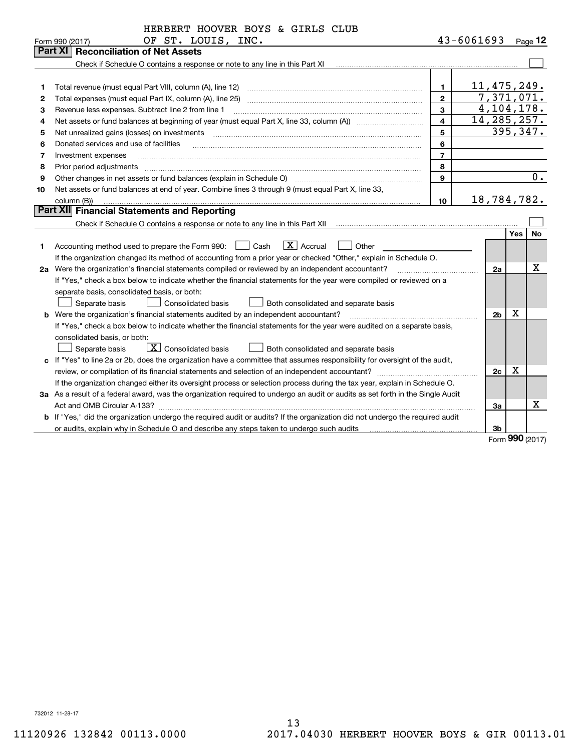|    | HERBERT HOOVER BOYS & GIRLS CLUB                                                                                                                                                                                     |                |               |                  |     |              |
|----|----------------------------------------------------------------------------------------------------------------------------------------------------------------------------------------------------------------------|----------------|---------------|------------------|-----|--------------|
|    | OF ST. LOUIS, INC.<br>Form 990 (2017)                                                                                                                                                                                |                | 43-6061693    |                  |     | Page 12      |
|    | Part XI<br><b>Reconciliation of Net Assets</b>                                                                                                                                                                       |                |               |                  |     |              |
|    |                                                                                                                                                                                                                      |                |               |                  |     |              |
|    |                                                                                                                                                                                                                      |                |               |                  |     |              |
| 1  | Total revenue (must equal Part VIII, column (A), line 12)                                                                                                                                                            | 1              | 11,475,249.   |                  |     |              |
| 2  | Total expenses (must equal Part IX, column (A), line 25)                                                                                                                                                             | $\overline{2}$ |               |                  |     | 7,371,071.   |
| з  | Revenue less expenses. Subtract line 2 from line 1                                                                                                                                                                   | 3              |               |                  |     | 4, 104, 178. |
| 4  |                                                                                                                                                                                                                      | 4              | 14, 285, 257. |                  |     |              |
| 5  | Net unrealized gains (losses) on investments                                                                                                                                                                         | 5              |               |                  |     | 395,347.     |
| 6  | Donated services and use of facilities                                                                                                                                                                               | 6              |               |                  |     |              |
| 7  | Investment expenses                                                                                                                                                                                                  | $\overline{7}$ |               |                  |     |              |
| 8  | Prior period adjustments                                                                                                                                                                                             | 8              |               |                  |     |              |
| 9  | Other changes in net assets or fund balances (explain in Schedule O)                                                                                                                                                 | 9              |               |                  |     | 0.           |
| 10 | Net assets or fund balances at end of year. Combine lines 3 through 9 (must equal Part X, line 33,                                                                                                                   |                |               |                  |     |              |
|    | column (B))                                                                                                                                                                                                          | 10             | 18,784,782.   |                  |     |              |
|    | Part XII Financial Statements and Reporting                                                                                                                                                                          |                |               |                  |     |              |
|    | Check if Schedule O contains a response or note to any line in this Part XII                                                                                                                                         |                |               |                  |     |              |
|    |                                                                                                                                                                                                                      |                |               |                  | Yes | No           |
| 1. | $ X $ Accrual<br>Accounting method used to prepare the Form 990: <u>II</u> Cash<br>Other                                                                                                                             |                |               |                  |     |              |
|    | If the organization changed its method of accounting from a prior year or checked "Other," explain in Schedule O.                                                                                                    |                |               |                  |     |              |
|    | 2a Were the organization's financial statements compiled or reviewed by an independent accountant?<br>and a strategic contract of the contract of the contract of the contract of the contract of the contract of th |                |               | 2a               |     | X            |
|    | If "Yes," check a box below to indicate whether the financial statements for the year were compiled or reviewed on a                                                                                                 |                |               |                  |     |              |
|    | separate basis, consolidated basis, or both:                                                                                                                                                                         |                |               |                  |     |              |
|    | Separate basis<br><b>Consolidated basis</b><br>Both consolidated and separate basis                                                                                                                                  |                |               |                  |     |              |
|    | <b>b</b> Were the organization's financial statements audited by an independent accountant?                                                                                                                          |                |               | 2 <sub>b</sub>   | х   |              |
|    | If "Yes," check a box below to indicate whether the financial statements for the year were audited on a separate basis,                                                                                              |                |               |                  |     |              |
|    | consolidated basis, or both:                                                                                                                                                                                         |                |               |                  |     |              |
|    | $\overline{X}$ Consolidated basis<br>Separate basis<br>Both consolidated and separate basis                                                                                                                          |                |               |                  |     |              |
|    | c If "Yes" to line 2a or 2b, does the organization have a committee that assumes responsibility for oversight of the audit,                                                                                          |                |               |                  |     |              |
|    |                                                                                                                                                                                                                      |                |               | 2c               | х   |              |
|    | If the organization changed either its oversight process or selection process during the tax year, explain in Schedule O.                                                                                            |                |               |                  |     |              |
|    | 3a As a result of a federal award, was the organization required to undergo an audit or audits as set forth in the Single Audit                                                                                      |                |               |                  |     |              |
|    | Act and OMB Circular A-133?                                                                                                                                                                                          |                |               | За               |     | x            |
|    | b If "Yes," did the organization undergo the required audit or audits? If the organization did not undergo the required audit                                                                                        |                |               |                  |     |              |
|    |                                                                                                                                                                                                                      |                |               | 3b               |     |              |
|    |                                                                                                                                                                                                                      |                |               | $E_{\text{arm}}$ |     | $990$ (2017) |

Form (2017) **990**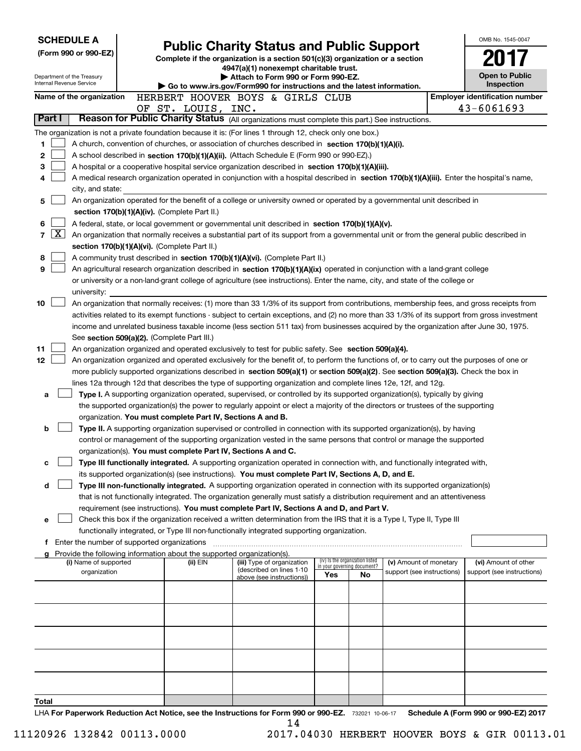|                   | <b>SCHEDULE A</b>                                                                                                                                                                                                                                                                      |  |                                                                        |                                                                                                                                            |                          |                                                                |                            |  | OMB No. 1545-0047                                   |  |  |
|-------------------|----------------------------------------------------------------------------------------------------------------------------------------------------------------------------------------------------------------------------------------------------------------------------------------|--|------------------------------------------------------------------------|--------------------------------------------------------------------------------------------------------------------------------------------|--------------------------|----------------------------------------------------------------|----------------------------|--|-----------------------------------------------------|--|--|
|                   | (Form 990 or 990-EZ)                                                                                                                                                                                                                                                                   |  |                                                                        | <b>Public Charity Status and Public Support</b>                                                                                            |                          |                                                                |                            |  |                                                     |  |  |
|                   |                                                                                                                                                                                                                                                                                        |  |                                                                        | Complete if the organization is a section 501(c)(3) organization or a section<br>4947(a)(1) nonexempt charitable trust.                    |                          |                                                                |                            |  |                                                     |  |  |
|                   | Department of the Treasury<br>Internal Revenue Service                                                                                                                                                                                                                                 |  |                                                                        | Attach to Form 990 or Form 990-EZ.                                                                                                         |                          |                                                                |                            |  | <b>Open to Public</b>                               |  |  |
|                   |                                                                                                                                                                                                                                                                                        |  |                                                                        | Go to www.irs.gov/Form990 for instructions and the latest information.                                                                     |                          |                                                                |                            |  | Inspection                                          |  |  |
|                   | Name of the organization                                                                                                                                                                                                                                                               |  |                                                                        | HERBERT HOOVER BOYS & GIRLS CLUB                                                                                                           |                          |                                                                |                            |  | <b>Employer identification number</b><br>43-6061693 |  |  |
| Part I            |                                                                                                                                                                                                                                                                                        |  | OF ST. LOUIS, INC.                                                     | Reason for Public Charity Status (All organizations must complete this part.) See instructions.                                            |                          |                                                                |                            |  |                                                     |  |  |
|                   |                                                                                                                                                                                                                                                                                        |  |                                                                        | The organization is not a private foundation because it is: (For lines 1 through 12, check only one box.)                                  |                          |                                                                |                            |  |                                                     |  |  |
| 1.                |                                                                                                                                                                                                                                                                                        |  |                                                                        | A church, convention of churches, or association of churches described in section 170(b)(1)(A)(i).                                         |                          |                                                                |                            |  |                                                     |  |  |
| 2                 |                                                                                                                                                                                                                                                                                        |  |                                                                        | A school described in section 170(b)(1)(A)(ii). (Attach Schedule E (Form 990 or 990-EZ).)                                                  |                          |                                                                |                            |  |                                                     |  |  |
| 3                 |                                                                                                                                                                                                                                                                                        |  |                                                                        | A hospital or a cooperative hospital service organization described in section $170(b)(1)(A)(iii)$ .                                       |                          |                                                                |                            |  |                                                     |  |  |
| 4                 |                                                                                                                                                                                                                                                                                        |  |                                                                        | A medical research organization operated in conjunction with a hospital described in section 170(b)(1)(A)(iii). Enter the hospital's name, |                          |                                                                |                            |  |                                                     |  |  |
|                   | city, and state:                                                                                                                                                                                                                                                                       |  |                                                                        |                                                                                                                                            |                          |                                                                |                            |  |                                                     |  |  |
| 5                 |                                                                                                                                                                                                                                                                                        |  |                                                                        | An organization operated for the benefit of a college or university owned or operated by a governmental unit described in                  |                          |                                                                |                            |  |                                                     |  |  |
|                   |                                                                                                                                                                                                                                                                                        |  | section 170(b)(1)(A)(iv). (Complete Part II.)                          |                                                                                                                                            |                          |                                                                |                            |  |                                                     |  |  |
| 6                 | A federal, state, or local government or governmental unit described in section 170(b)(1)(A)(v).                                                                                                                                                                                       |  |                                                                        |                                                                                                                                            |                          |                                                                |                            |  |                                                     |  |  |
| $\mathbf{X}$<br>7 |                                                                                                                                                                                                                                                                                        |  |                                                                        | An organization that normally receives a substantial part of its support from a governmental unit or from the general public described in  |                          |                                                                |                            |  |                                                     |  |  |
|                   |                                                                                                                                                                                                                                                                                        |  | section 170(b)(1)(A)(vi). (Complete Part II.)                          |                                                                                                                                            |                          |                                                                |                            |  |                                                     |  |  |
| 8                 |                                                                                                                                                                                                                                                                                        |  |                                                                        | A community trust described in section 170(b)(1)(A)(vi). (Complete Part II.)                                                               |                          |                                                                |                            |  |                                                     |  |  |
| 9                 |                                                                                                                                                                                                                                                                                        |  |                                                                        | An agricultural research organization described in section 170(b)(1)(A)(ix) operated in conjunction with a land-grant college              |                          |                                                                |                            |  |                                                     |  |  |
|                   |                                                                                                                                                                                                                                                                                        |  |                                                                        | or university or a non-land-grant college of agriculture (see instructions). Enter the name, city, and state of the college or             |                          |                                                                |                            |  |                                                     |  |  |
|                   | university:                                                                                                                                                                                                                                                                            |  |                                                                        |                                                                                                                                            |                          |                                                                |                            |  |                                                     |  |  |
| 10                | An organization that normally receives: (1) more than 33 1/3% of its support from contributions, membership fees, and gross receipts from                                                                                                                                              |  |                                                                        |                                                                                                                                            |                          |                                                                |                            |  |                                                     |  |  |
|                   | activities related to its exempt functions - subject to certain exceptions, and (2) no more than 33 1/3% of its support from gross investment<br>income and unrelated business taxable income (less section 511 tax) from businesses acquired by the organization after June 30, 1975. |  |                                                                        |                                                                                                                                            |                          |                                                                |                            |  |                                                     |  |  |
|                   |                                                                                                                                                                                                                                                                                        |  |                                                                        |                                                                                                                                            |                          |                                                                |                            |  |                                                     |  |  |
| 11                | See section 509(a)(2). (Complete Part III.)<br>An organization organized and operated exclusively to test for public safety. See section 509(a)(4).                                                                                                                                    |  |                                                                        |                                                                                                                                            |                          |                                                                |                            |  |                                                     |  |  |
| 12                |                                                                                                                                                                                                                                                                                        |  |                                                                        | An organization organized and operated exclusively for the benefit of, to perform the functions of, or to carry out the purposes of one or |                          |                                                                |                            |  |                                                     |  |  |
|                   |                                                                                                                                                                                                                                                                                        |  |                                                                        | more publicly supported organizations described in section 509(a)(1) or section 509(a)(2). See section 509(a)(3). Check the box in         |                          |                                                                |                            |  |                                                     |  |  |
|                   |                                                                                                                                                                                                                                                                                        |  |                                                                        | lines 12a through 12d that describes the type of supporting organization and complete lines 12e, 12f, and 12g.                             |                          |                                                                |                            |  |                                                     |  |  |
| a                 |                                                                                                                                                                                                                                                                                        |  |                                                                        | <b>Type I.</b> A supporting organization operated, supervised, or controlled by its supported organization(s), typically by giving         |                          |                                                                |                            |  |                                                     |  |  |
|                   |                                                                                                                                                                                                                                                                                        |  |                                                                        | the supported organization(s) the power to regularly appoint or elect a majority of the directors or trustees of the supporting            |                          |                                                                |                            |  |                                                     |  |  |
|                   |                                                                                                                                                                                                                                                                                        |  | organization. You must complete Part IV, Sections A and B.             |                                                                                                                                            |                          |                                                                |                            |  |                                                     |  |  |
| b                 |                                                                                                                                                                                                                                                                                        |  |                                                                        | Type II. A supporting organization supervised or controlled in connection with its supported organization(s), by having                    |                          |                                                                |                            |  |                                                     |  |  |
|                   |                                                                                                                                                                                                                                                                                        |  |                                                                        | control or management of the supporting organization vested in the same persons that control or manage the supported                       |                          |                                                                |                            |  |                                                     |  |  |
|                   |                                                                                                                                                                                                                                                                                        |  |                                                                        | organization(s). You must complete Part IV, Sections A and C.                                                                              |                          |                                                                |                            |  |                                                     |  |  |
| с                 |                                                                                                                                                                                                                                                                                        |  |                                                                        | Type III functionally integrated. A supporting organization operated in connection with, and functionally integrated with,                 |                          |                                                                |                            |  |                                                     |  |  |
|                   |                                                                                                                                                                                                                                                                                        |  |                                                                        | its supported organization(s) (see instructions). You must complete Part IV, Sections A, D, and E.                                         |                          |                                                                |                            |  |                                                     |  |  |
| d                 |                                                                                                                                                                                                                                                                                        |  |                                                                        | Type III non-functionally integrated. A supporting organization operated in connection with its supported organization(s)                  |                          |                                                                |                            |  |                                                     |  |  |
|                   |                                                                                                                                                                                                                                                                                        |  |                                                                        | that is not functionally integrated. The organization generally must satisfy a distribution requirement and an attentiveness               |                          |                                                                |                            |  |                                                     |  |  |
|                   |                                                                                                                                                                                                                                                                                        |  |                                                                        | requirement (see instructions). You must complete Part IV, Sections A and D, and Part V.                                                   |                          |                                                                |                            |  |                                                     |  |  |
| е                 |                                                                                                                                                                                                                                                                                        |  |                                                                        | Check this box if the organization received a written determination from the IRS that it is a Type I, Type II, Type III                    |                          |                                                                |                            |  |                                                     |  |  |
| Ť.                | Enter the number of supported organizations                                                                                                                                                                                                                                            |  |                                                                        | functionally integrated, or Type III non-functionally integrated supporting organization.                                                  |                          |                                                                |                            |  |                                                     |  |  |
|                   |                                                                                                                                                                                                                                                                                        |  | Provide the following information about the supported organization(s). |                                                                                                                                            |                          |                                                                |                            |  |                                                     |  |  |
|                   | (i) Name of supported                                                                                                                                                                                                                                                                  |  | (ii) EIN                                                               | (iii) Type of organization                                                                                                                 |                          | (iv) Is the organization listed<br>in your governing document? | (v) Amount of monetary     |  | (vi) Amount of other                                |  |  |
|                   | organization                                                                                                                                                                                                                                                                           |  |                                                                        | (described on lines 1-10<br>above (see instructions))                                                                                      | Yes                      | No                                                             | support (see instructions) |  | support (see instructions)                          |  |  |
|                   |                                                                                                                                                                                                                                                                                        |  |                                                                        |                                                                                                                                            |                          |                                                                |                            |  |                                                     |  |  |
|                   |                                                                                                                                                                                                                                                                                        |  |                                                                        |                                                                                                                                            |                          |                                                                |                            |  |                                                     |  |  |
|                   |                                                                                                                                                                                                                                                                                        |  |                                                                        |                                                                                                                                            |                          |                                                                |                            |  |                                                     |  |  |
|                   |                                                                                                                                                                                                                                                                                        |  |                                                                        |                                                                                                                                            |                          |                                                                |                            |  |                                                     |  |  |
|                   |                                                                                                                                                                                                                                                                                        |  |                                                                        |                                                                                                                                            |                          |                                                                |                            |  |                                                     |  |  |
|                   |                                                                                                                                                                                                                                                                                        |  |                                                                        |                                                                                                                                            |                          |                                                                |                            |  |                                                     |  |  |
|                   |                                                                                                                                                                                                                                                                                        |  |                                                                        |                                                                                                                                            |                          |                                                                |                            |  |                                                     |  |  |
|                   |                                                                                                                                                                                                                                                                                        |  |                                                                        |                                                                                                                                            |                          |                                                                |                            |  |                                                     |  |  |
|                   |                                                                                                                                                                                                                                                                                        |  |                                                                        |                                                                                                                                            |                          |                                                                |                            |  |                                                     |  |  |
|                   |                                                                                                                                                                                                                                                                                        |  |                                                                        |                                                                                                                                            |                          |                                                                |                            |  |                                                     |  |  |
| Total             |                                                                                                                                                                                                                                                                                        |  |                                                                        |                                                                                                                                            | $000 \rightarrow 000$ EZ |                                                                |                            |  | $A$ (Faure 000 av 000 EZ) 0047                      |  |  |

LHA For Paperwork Reduction Act Notice, see the Instructions for Form 990 or 990-EZ. 732021 10-06-17 Schedule A (Form 990 or 990-EZ) 2017 14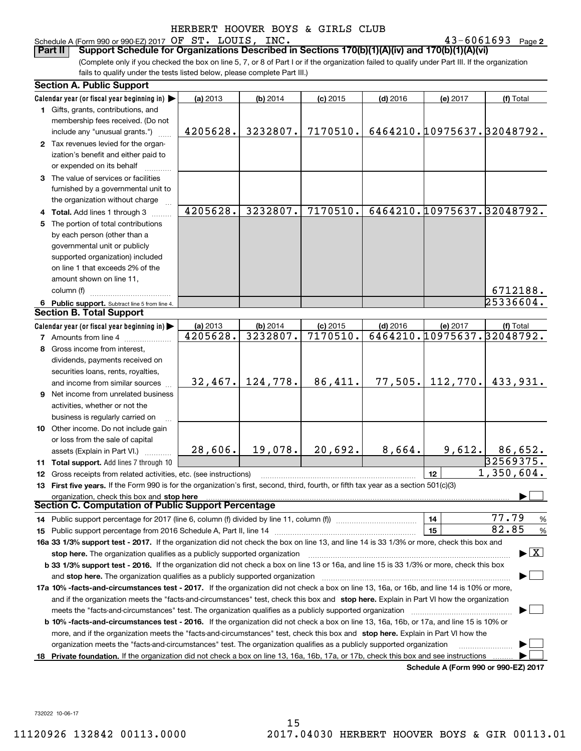#### Schedule A (Form 990 or 990-EZ) 2017 Page OF ST. LOUIS, INC. 43-6061693

43-6061693 Page 2

(Complete only if you checked the box on line 5, 7, or 8 of Part I or if the organization failed to qualify under Part III. If the organization fails to qualify under the tests listed below, please complete Part III.) **Part II Support Schedule for Organizations Described in Sections 170(b)(1)(A)(iv) and 170(b)(1)(A)(vi)**

|    | <b>Section A. Public Support</b>                                                                                                               |                      |                        |                        |            |                                        |                                          |
|----|------------------------------------------------------------------------------------------------------------------------------------------------|----------------------|------------------------|------------------------|------------|----------------------------------------|------------------------------------------|
|    | Calendar year (or fiscal year beginning in)                                                                                                    | (a) 2013             | (b) 2014               | $(c)$ 2015             | $(d)$ 2016 | (e) 2017                               | (f) Total                                |
|    | 1 Gifts, grants, contributions, and                                                                                                            |                      |                        |                        |            |                                        |                                          |
|    | membership fees received. (Do not                                                                                                              |                      |                        |                        |            |                                        |                                          |
|    | include any "unusual grants.")                                                                                                                 | 4205628.             | 3232807.               | 7170510.               |            |                                        | 6464210.10975637.32048792.               |
|    | 2 Tax revenues levied for the organ-                                                                                                           |                      |                        |                        |            |                                        |                                          |
|    | ization's benefit and either paid to                                                                                                           |                      |                        |                        |            |                                        |                                          |
|    | or expended on its behalf                                                                                                                      |                      |                        |                        |            |                                        |                                          |
|    | 3 The value of services or facilities                                                                                                          |                      |                        |                        |            |                                        |                                          |
|    | furnished by a governmental unit to                                                                                                            |                      |                        |                        |            |                                        |                                          |
|    | the organization without charge                                                                                                                |                      |                        |                        |            |                                        |                                          |
|    | 4 Total. Add lines 1 through 3                                                                                                                 | 4205628.             | 3232807.               | 7170510.               |            |                                        | 6464210.10975637.32048792.               |
|    | 5 The portion of total contributions                                                                                                           |                      |                        |                        |            |                                        |                                          |
|    | by each person (other than a                                                                                                                   |                      |                        |                        |            |                                        |                                          |
|    | governmental unit or publicly                                                                                                                  |                      |                        |                        |            |                                        |                                          |
|    | supported organization) included                                                                                                               |                      |                        |                        |            |                                        |                                          |
|    | on line 1 that exceeds 2% of the                                                                                                               |                      |                        |                        |            |                                        |                                          |
|    | amount shown on line 11,                                                                                                                       |                      |                        |                        |            |                                        |                                          |
|    | column (f)                                                                                                                                     |                      |                        |                        |            |                                        | 6712188.                                 |
|    |                                                                                                                                                |                      |                        |                        |            |                                        | $\sqrt{25336604}$ .                      |
|    | 6 Public support. Subtract line 5 from line 4.<br><b>Section B. Total Support</b>                                                              |                      |                        |                        |            |                                        |                                          |
|    |                                                                                                                                                |                      |                        |                        |            |                                        |                                          |
|    | Calendar year (or fiscal year beginning in)                                                                                                    | (a) 2013<br>4205628. | $(b)$ 2014<br>3232807. | $(c)$ 2015<br>7170510. | $(d)$ 2016 | (e) 2017<br>6464210.10975637.32048792. | (f) Total                                |
|    | <b>7</b> Amounts from line 4                                                                                                                   |                      |                        |                        |            |                                        |                                          |
|    | 8 Gross income from interest.                                                                                                                  |                      |                        |                        |            |                                        |                                          |
|    | dividends, payments received on                                                                                                                |                      |                        |                        |            |                                        |                                          |
|    | securities loans, rents, royalties,                                                                                                            |                      |                        |                        |            |                                        |                                          |
|    | and income from similar sources                                                                                                                | 32,467.              | 124,778.               | 86,411.                | 77,505.    | 112,770.                               | 433,931.                                 |
| 9  | Net income from unrelated business                                                                                                             |                      |                        |                        |            |                                        |                                          |
|    | activities, whether or not the                                                                                                                 |                      |                        |                        |            |                                        |                                          |
|    | business is regularly carried on                                                                                                               |                      |                        |                        |            |                                        |                                          |
|    | 10 Other income. Do not include gain                                                                                                           |                      |                        |                        |            |                                        |                                          |
|    | or loss from the sale of capital                                                                                                               |                      |                        |                        |            |                                        |                                          |
|    | assets (Explain in Part VI.)                                                                                                                   | 28,606.              | 19,078.                | 20,692.                | 8,664.     | 9,612.                                 | 86,652.                                  |
|    | 11 Total support. Add lines 7 through 10                                                                                                       |                      |                        |                        |            |                                        | 32569375.                                |
|    | 12 Gross receipts from related activities, etc. (see instructions)                                                                             |                      |                        |                        |            | 12                                     | 1,350,604.                               |
|    | 13 First five years. If the Form 990 is for the organization's first, second, third, fourth, or fifth tax year as a section 501(c)(3)          |                      |                        |                        |            |                                        |                                          |
|    | organization, check this box and stop here                                                                                                     |                      |                        |                        |            |                                        |                                          |
|    | <b>Section C. Computation of Public Support Percentage</b>                                                                                     |                      |                        |                        |            |                                        |                                          |
|    |                                                                                                                                                |                      |                        |                        |            | 14                                     | 77.79<br>$\frac{9}{6}$                   |
|    |                                                                                                                                                |                      |                        |                        |            | 15                                     | 82.85<br>$\frac{9}{6}$                   |
|    | 16a 33 1/3% support test - 2017. If the organization did not check the box on line 13, and line 14 is 33 1/3% or more, check this box and      |                      |                        |                        |            |                                        |                                          |
|    | stop here. The organization qualifies as a publicly supported organization                                                                     |                      |                        |                        |            |                                        | $\blacktriangleright$ $\boxed{\text{X}}$ |
|    | b 33 1/3% support test - 2016. If the organization did not check a box on line 13 or 16a, and line 15 is 33 1/3% or more, check this box       |                      |                        |                        |            |                                        |                                          |
|    | and stop here. The organization qualifies as a publicly supported organization                                                                 |                      |                        |                        |            |                                        |                                          |
|    | 17a 10% -facts-and-circumstances test - 2017. If the organization did not check a box on line 13, 16a, or 16b, and line 14 is 10% or more,     |                      |                        |                        |            |                                        |                                          |
|    | and if the organization meets the "facts-and-circumstances" test, check this box and stop here. Explain in Part VI how the organization        |                      |                        |                        |            |                                        |                                          |
|    | meets the "facts-and-circumstances" test. The organization qualifies as a publicly supported organization                                      |                      |                        |                        |            |                                        |                                          |
|    | <b>b 10% -facts-and-circumstances test - 2016.</b> If the organization did not check a box on line 13, 16a, 16b, or 17a, and line 15 is 10% or |                      |                        |                        |            |                                        |                                          |
|    | more, and if the organization meets the "facts-and-circumstances" test, check this box and stop here. Explain in Part VI how the               |                      |                        |                        |            |                                        |                                          |
|    | organization meets the "facts-and-circumstances" test. The organization qualifies as a publicly supported organization                         |                      |                        |                        |            |                                        |                                          |
| 18 | Private foundation. If the organization did not check a box on line 13, 16a, 16b, 17a, or 17b, check this box and see instructions             |                      |                        |                        |            |                                        |                                          |
|    |                                                                                                                                                |                      |                        |                        |            |                                        | Schedule A (Form 990 or 990-F7) 2017     |

**Schedule A (Form 990 or 990-EZ) 2017**

732022 10-06-17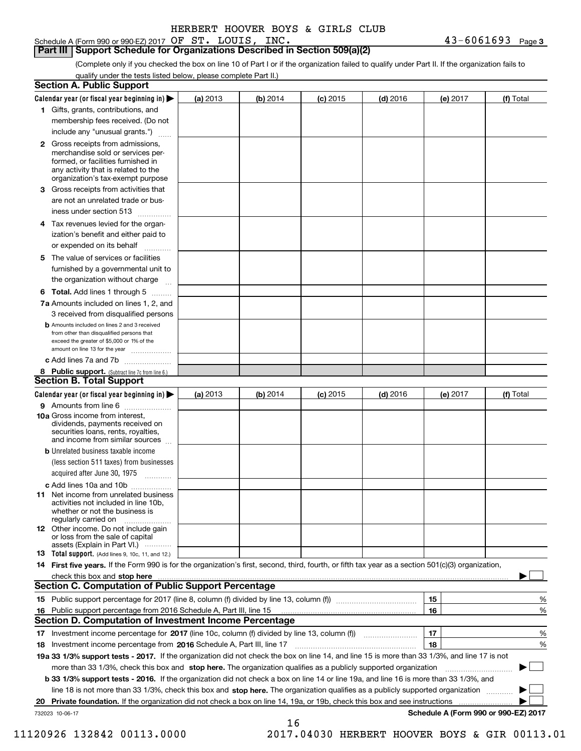Schedule A (Form 990 or 990-EZ) 2017 Page OF ST. LOUIS, INC. 43-6061693

**Part III Support Schedule for Organizations Described in Section 509(a)(2)** 

(Complete only if you checked the box on line 10 of Part I or if the organization failed to qualify under Part II. If the organization fails to qualify under the tests listed below, please complete Part II.)

|     | <b>Section A. Public Support</b>                                                                                                                                                                |          |          |            |            |          |                                      |
|-----|-------------------------------------------------------------------------------------------------------------------------------------------------------------------------------------------------|----------|----------|------------|------------|----------|--------------------------------------|
|     | Calendar year (or fiscal year beginning in) $\blacktriangleright$                                                                                                                               | (a) 2013 | (b) 2014 | $(c)$ 2015 | $(d)$ 2016 | (e) 2017 | (f) Total                            |
|     | 1 Gifts, grants, contributions, and                                                                                                                                                             |          |          |            |            |          |                                      |
|     | membership fees received. (Do not                                                                                                                                                               |          |          |            |            |          |                                      |
|     | include any "unusual grants.")                                                                                                                                                                  |          |          |            |            |          |                                      |
|     | <b>2</b> Gross receipts from admissions,<br>merchandise sold or services per-<br>formed, or facilities furnished in<br>any activity that is related to the<br>organization's tax-exempt purpose |          |          |            |            |          |                                      |
|     | 3 Gross receipts from activities that<br>are not an unrelated trade or bus-                                                                                                                     |          |          |            |            |          |                                      |
|     | iness under section 513                                                                                                                                                                         |          |          |            |            |          |                                      |
|     | 4 Tax revenues levied for the organ-<br>ization's benefit and either paid to                                                                                                                    |          |          |            |            |          |                                      |
|     | or expended on its behalf<br>.                                                                                                                                                                  |          |          |            |            |          |                                      |
|     | 5 The value of services or facilities<br>furnished by a governmental unit to                                                                                                                    |          |          |            |            |          |                                      |
|     | the organization without charge                                                                                                                                                                 |          |          |            |            |          |                                      |
|     | <b>6 Total.</b> Add lines 1 through 5                                                                                                                                                           |          |          |            |            |          |                                      |
|     | 7a Amounts included on lines 1, 2, and<br>3 received from disqualified persons                                                                                                                  |          |          |            |            |          |                                      |
|     | <b>b</b> Amounts included on lines 2 and 3 received<br>from other than disqualified persons that<br>exceed the greater of \$5,000 or 1% of the<br>amount on line 13 for the year                |          |          |            |            |          |                                      |
|     | c Add lines 7a and 7b                                                                                                                                                                           |          |          |            |            |          |                                      |
|     | 8 Public support. (Subtract line 7c from line 6.)<br><b>Section B. Total Support</b>                                                                                                            |          |          |            |            |          |                                      |
|     | Calendar year (or fiscal year beginning in)                                                                                                                                                     | (a) 2013 | (b) 2014 | $(c)$ 2015 | $(d)$ 2016 | (e) 2017 | (f) Total                            |
|     | 9 Amounts from line 6                                                                                                                                                                           |          |          |            |            |          |                                      |
|     | 10a Gross income from interest,<br>dividends, payments received on<br>securities loans, rents, royalties,<br>and income from similar sources                                                    |          |          |            |            |          |                                      |
|     | <b>b</b> Unrelated business taxable income<br>(less section 511 taxes) from businesses                                                                                                          |          |          |            |            |          |                                      |
|     | acquired after June 30, 1975                                                                                                                                                                    |          |          |            |            |          |                                      |
|     | c Add lines 10a and 10b<br>11 Net income from unrelated business<br>activities not included in line 10b,<br>whether or not the business is<br>regularly carried on                              |          |          |            |            |          |                                      |
|     | 12 Other income. Do not include gain<br>or loss from the sale of capital<br>assets (Explain in Part VI.)                                                                                        |          |          |            |            |          |                                      |
|     | 13 Total support. (Add lines 9, 10c, 11, and 12.)                                                                                                                                               |          |          |            |            |          |                                      |
|     | 14 First five years. If the Form 990 is for the organization's first, second, third, fourth, or fifth tax year as a section 501(c)(3) organization,                                             |          |          |            |            |          |                                      |
|     | check this box and stop here with the continuum control to the state of the state of the state of the state of                                                                                  |          |          |            |            |          |                                      |
|     | <b>Section C. Computation of Public Support Percentage</b>                                                                                                                                      |          |          |            |            |          |                                      |
|     |                                                                                                                                                                                                 |          |          |            |            | 15       | %                                    |
| 16. | Public support percentage from 2016 Schedule A, Part III, line 15                                                                                                                               |          |          |            |            | 16       | %                                    |
|     | <b>Section D. Computation of Investment Income Percentage</b>                                                                                                                                   |          |          |            |            |          |                                      |
|     | 17 Investment income percentage for 2017 (line 10c, column (f) divided by line 13, column (f))<br>18 Investment income percentage from 2016 Schedule A, Part III, line 17                       |          |          |            |            | 17<br>18 | %<br>%                               |
|     | 19a 33 1/3% support tests - 2017. If the organization did not check the box on line 14, and line 15 is more than 33 1/3%, and line 17 is not                                                    |          |          |            |            |          |                                      |
|     | more than 33 1/3%, check this box and stop here. The organization qualifies as a publicly supported organization                                                                                |          |          |            |            |          |                                      |
|     | b 33 1/3% support tests - 2016. If the organization did not check a box on line 14 or line 19a, and line 16 is more than 33 1/3%, and                                                           |          |          |            |            |          |                                      |
|     | line 18 is not more than 33 1/3%, check this box and stop here. The organization qualifies as a publicly supported organization                                                                 |          |          |            |            |          |                                      |
| 20  | Private foundation. If the organization did not check a box on line 14, 19a, or 19b, check this box and see instructions                                                                        |          |          |            |            |          | .                                    |
|     | 732023 10-06-17                                                                                                                                                                                 |          |          |            |            |          | Schedule A (Form 990 or 990-EZ) 2017 |
|     |                                                                                                                                                                                                 |          | 16       |            |            |          |                                      |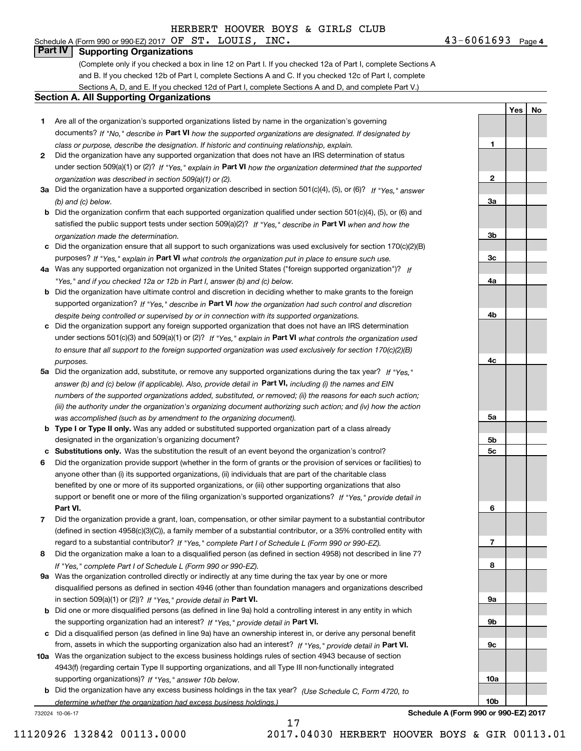# Schedule A (Form 990 or 990-EZ) 2017 Page OF ST. LOUIS, INC. 43-6061693

**Part IV Supporting Organizations**

(Complete only if you checked a box in line 12 on Part I. If you checked 12a of Part I, complete Sections A and B. If you checked 12b of Part I, complete Sections A and C. If you checked 12c of Part I, complete Sections A, D, and E. If you checked 12d of Part I, complete Sections A and D, and complete Part V.)

#### **Section A. All Supporting Organizations**

- **1** Are all of the organization's supported organizations listed by name in the organization's governing documents? If "No," describe in **Part VI** how the supported organizations are designated. If designated by *class or purpose, describe the designation. If historic and continuing relationship, explain.*
- **2** Did the organization have any supported organization that does not have an IRS determination of status under section 509(a)(1) or (2)? If "Yes," explain in Part VI how the organization determined that the supported *organization was described in section 509(a)(1) or (2).*
- **3a** Did the organization have a supported organization described in section 501(c)(4), (5), or (6)? If "Yes," answer *(b) and (c) below.*
- **b** Did the organization confirm that each supported organization qualified under section 501(c)(4), (5), or (6) and satisfied the public support tests under section 509(a)(2)? If "Yes," describe in **Part VI** when and how the *organization made the determination.*
- **c**Did the organization ensure that all support to such organizations was used exclusively for section 170(c)(2)(B) purposes? If "Yes," explain in **Part VI** what controls the organization put in place to ensure such use.
- **4a***If* Was any supported organization not organized in the United States ("foreign supported organization")? *"Yes," and if you checked 12a or 12b in Part I, answer (b) and (c) below.*
- **b** Did the organization have ultimate control and discretion in deciding whether to make grants to the foreign supported organization? If "Yes," describe in **Part VI** how the organization had such control and discretion *despite being controlled or supervised by or in connection with its supported organizations.*
- **c** Did the organization support any foreign supported organization that does not have an IRS determination under sections 501(c)(3) and 509(a)(1) or (2)? If "Yes," explain in **Part VI** what controls the organization used *to ensure that all support to the foreign supported organization was used exclusively for section 170(c)(2)(B) purposes.*
- **5a** Did the organization add, substitute, or remove any supported organizations during the tax year? If "Yes," answer (b) and (c) below (if applicable). Also, provide detail in **Part VI,** including (i) the names and EIN *numbers of the supported organizations added, substituted, or removed; (ii) the reasons for each such action; (iii) the authority under the organization's organizing document authorizing such action; and (iv) how the action was accomplished (such as by amendment to the organizing document).*
- **b** Type I or Type II only. Was any added or substituted supported organization part of a class already designated in the organization's organizing document?
- **cSubstitutions only.**  Was the substitution the result of an event beyond the organization's control?
- **6** Did the organization provide support (whether in the form of grants or the provision of services or facilities) to **Part VI.** *If "Yes," provide detail in* support or benefit one or more of the filing organization's supported organizations? anyone other than (i) its supported organizations, (ii) individuals that are part of the charitable class benefited by one or more of its supported organizations, or (iii) other supporting organizations that also
- **7**Did the organization provide a grant, loan, compensation, or other similar payment to a substantial contributor *If "Yes," complete Part I of Schedule L (Form 990 or 990-EZ).* regard to a substantial contributor? (defined in section 4958(c)(3)(C)), a family member of a substantial contributor, or a 35% controlled entity with
- **8** Did the organization make a loan to a disqualified person (as defined in section 4958) not described in line 7? *If "Yes," complete Part I of Schedule L (Form 990 or 990-EZ).*
- **9a** Was the organization controlled directly or indirectly at any time during the tax year by one or more in section 509(a)(1) or (2))? If "Yes," *provide detail in* <code>Part VI.</code> disqualified persons as defined in section 4946 (other than foundation managers and organizations described
- **b** Did one or more disqualified persons (as defined in line 9a) hold a controlling interest in any entity in which the supporting organization had an interest? If "Yes," provide detail in P**art VI**.
- **c**Did a disqualified person (as defined in line 9a) have an ownership interest in, or derive any personal benefit from, assets in which the supporting organization also had an interest? If "Yes," provide detail in P**art VI.**
- **10a** Was the organization subject to the excess business holdings rules of section 4943 because of section supporting organizations)? If "Yes," answer 10b below. 4943(f) (regarding certain Type II supporting organizations, and all Type III non-functionally integrated
- **b** Did the organization have any excess business holdings in the tax year? (Use Schedule C, Form 4720, to *determine whether the organization had excess business holdings.)*

17

732024 10-06-17

**Schedule A (Form 990 or 990-EZ) 2017**

**10a**

**10b**

11120926 132842 00113.0000 2017.04030 HERBERT HOOVER BOYS & GIR 00113.01

**3a3b3c4a4b4c5a 5b5c6789a 9b9c**

**1**

**2**

**YesNo**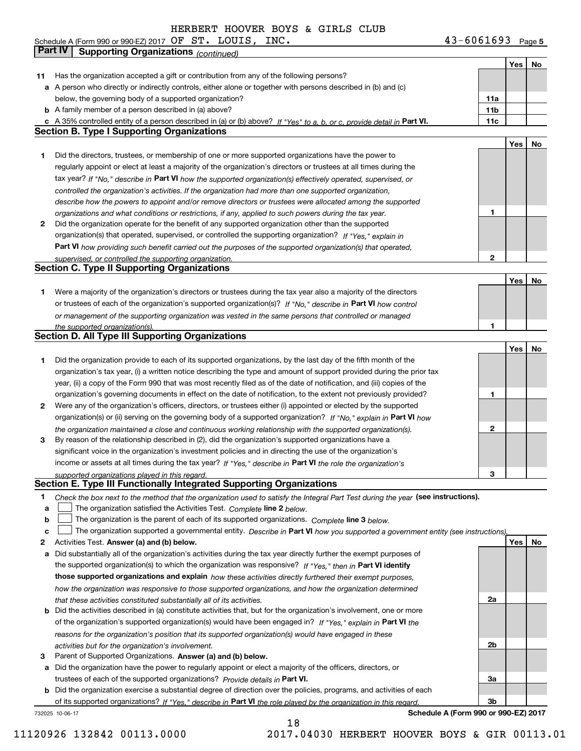Schedule A (Form 990 or 990-EZ) 2017 Page OF ST. LOUIS, INC. 43-6061693 **Part IV Supporting Organizations** *(continued)*

**5**

|    |                                                                                                                                   |              | Yes | No |
|----|-----------------------------------------------------------------------------------------------------------------------------------|--------------|-----|----|
| 11 | Has the organization accepted a gift or contribution from any of the following persons?                                           |              |     |    |
|    | a A person who directly or indirectly controls, either alone or together with persons described in (b) and (c)                    |              |     |    |
|    | below, the governing body of a supported organization?                                                                            | 11a          |     |    |
|    | <b>b</b> A family member of a person described in (a) above?                                                                      | 11b          |     |    |
|    | c A 35% controlled entity of a person described in (a) or (b) above? If "Yes" to a, b, or c, provide detail in Part VI.           | 11c          |     |    |
|    | <b>Section B. Type I Supporting Organizations</b>                                                                                 |              |     |    |
|    |                                                                                                                                   |              | Yes | No |
| 1  | Did the directors, trustees, or membership of one or more supported organizations have the power to                               |              |     |    |
|    | regularly appoint or elect at least a majority of the organization's directors or trustees at all times during the                |              |     |    |
|    | tax year? If "No," describe in Part VI how the supported organization(s) effectively operated, supervised, or                     |              |     |    |
|    | controlled the organization's activities. If the organization had more than one supported organization,                           |              |     |    |
|    | describe how the powers to appoint and/or remove directors or trustees were allocated among the supported                         |              |     |    |
|    | organizations and what conditions or restrictions, if any, applied to such powers during the tax year.                            | 1            |     |    |
| 2  | Did the organization operate for the benefit of any supported organization other than the supported                               |              |     |    |
|    | organization(s) that operated, supervised, or controlled the supporting organization? If "Yes," explain in                        |              |     |    |
|    | Part VI how providing such benefit carried out the purposes of the supported organization(s) that operated,                       |              |     |    |
|    | supervised, or controlled the supporting organization.                                                                            | 2            |     |    |
|    | <b>Section C. Type II Supporting Organizations</b>                                                                                |              |     |    |
|    |                                                                                                                                   |              | Yes | No |
| 1  | Were a majority of the organization's directors or trustees during the tax year also a majority of the directors                  |              |     |    |
|    | or trustees of each of the organization's supported organization(s)? If "No," describe in Part VI how control                     |              |     |    |
|    | or management of the supporting organization was vested in the same persons that controlled or managed                            |              |     |    |
|    | the supported organization(s).                                                                                                    | 1            |     |    |
|    | <b>Section D. All Type III Supporting Organizations</b>                                                                           |              |     |    |
|    |                                                                                                                                   |              | Yes | No |
| 1  | Did the organization provide to each of its supported organizations, by the last day of the fifth month of the                    |              |     |    |
|    | organization's tax year, (i) a written notice describing the type and amount of support provided during the prior tax             |              |     |    |
|    | year, (ii) a copy of the Form 990 that was most recently filed as of the date of notification, and (iii) copies of the            |              |     |    |
|    | organization's governing documents in effect on the date of notification, to the extent not previously provided?                  | 1            |     |    |
| 2  | Were any of the organization's officers, directors, or trustees either (i) appointed or elected by the supported                  |              |     |    |
|    |                                                                                                                                   |              |     |    |
|    | organization(s) or (ii) serving on the governing body of a supported organization? If "No," explain in Part VI how                | $\mathbf{2}$ |     |    |
|    | the organization maintained a close and continuous working relationship with the supported organization(s).                       |              |     |    |
| 3  | By reason of the relationship described in (2), did the organization's supported organizations have a                             |              |     |    |
|    | significant voice in the organization's investment policies and in directing the use of the organization's                        |              |     |    |
|    | income or assets at all times during the tax year? If "Yes," describe in Part VI the role the organization's                      |              |     |    |
|    | supported organizations played in this regard.<br>Section E. Type III Functionally Integrated Supporting Organizations            | 3            |     |    |
|    |                                                                                                                                   |              |     |    |
| 1  | Check the box next to the method that the organization used to satisfy the Integral Part Test during the year (see instructions). |              |     |    |
| a  | The organization satisfied the Activities Test. Complete line 2 below.                                                            |              |     |    |
| b  | The organization is the parent of each of its supported organizations. Complete line 3 below.                                     |              |     |    |
| c  | The organization supported a governmental entity. Describe in Part VI how you supported a government entity (see instructions).   |              |     |    |
| 2  | Activities Test. Answer (a) and (b) below.                                                                                        |              | Yes | No |
| a  | Did substantially all of the organization's activities during the tax year directly further the exempt purposes of                |              |     |    |
|    | the supported organization(s) to which the organization was responsive? If "Yes," then in Part VI identify                        |              |     |    |
|    | those supported organizations and explain how these activities directly furthered their exempt purposes,                          |              |     |    |
|    | how the organization was responsive to those supported organizations, and how the organization determined                         |              |     |    |
|    | that these activities constituted substantially all of its activities.                                                            | 2a           |     |    |
| b  | Did the activities described in (a) constitute activities that, but for the organization's involvement, one or more               |              |     |    |
|    | of the organization's supported organization(s) would have been engaged in? If "Yes," explain in Part VI the                      |              |     |    |
|    | reasons for the organization's position that its supported organization(s) would have engaged in these                            |              |     |    |
|    | activities but for the organization's involvement.                                                                                | 2b           |     |    |
| 3  | Parent of Supported Organizations. Answer (a) and (b) below.                                                                      |              |     |    |
| a  | Did the organization have the power to regularly appoint or elect a majority of the officers, directors, or                       |              |     |    |
|    | trustees of each of the supported organizations? Provide details in Part VI.                                                      | За           |     |    |
|    | <b>b</b> Did the organization exercise a substantial degree of direction over the policies, programs, and activities of each      |              |     |    |
|    | of its supported organizations? If "Yes." describe in Part VI the role played by the organization in this regard.                 | 3b           |     |    |
|    | Schedule A (Form 990 or 990-EZ) 2017<br>732025 10-06-17                                                                           |              |     |    |

**Schedule A (Form 990 or 990-EZ) 2017**

18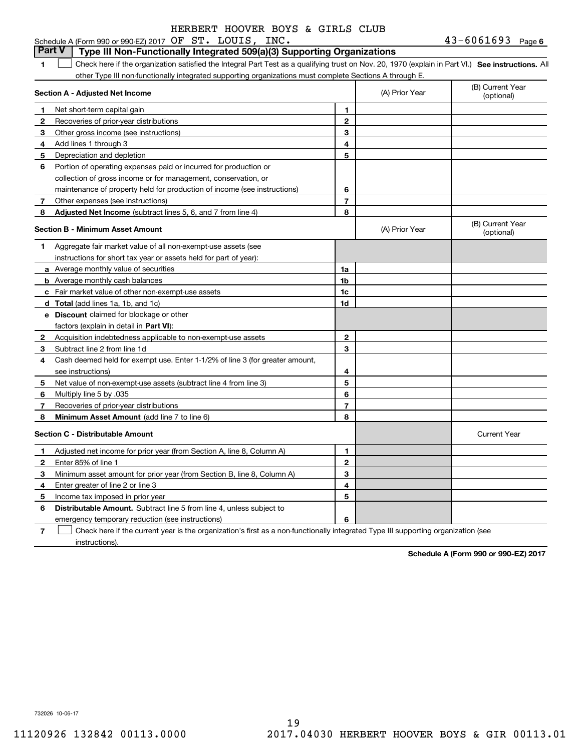#### **1SEP 10. See instructions.** All antegral Part Test as a qualifying trust on Nov. 20, 1970 (explain in Part VI.) See instructions. All **Section A - Adjusted Net Income 12** Recoveries of prior-year distributions **3** Other gross income (see instructions) **4**Add lines 1 through 3 **56** Portion of operating expenses paid or incurred for production or **7** Other expenses (see instructions) **8** Adjusted Net Income (subtract lines 5, 6, and 7 from line 4) **8 8 1234567Section B - Minimum Asset Amount 1**Aggregate fair market value of all non-exempt-use assets (see **2**Acquisition indebtedness applicable to non-exempt-use assets **3** Subtract line 2 from line 1d **4**Cash deemed held for exempt use. Enter 1-1/2% of line 3 (for greater amount, **5** Net value of non-exempt-use assets (subtract line 4 from line 3) **678a** Average monthly value of securities **b** Average monthly cash balances **c**Fair market value of other non-exempt-use assets **dTotal**  (add lines 1a, 1b, and 1c) **eDiscount** claimed for blockage or other **1a1b1c1d2345678**factors (explain in detail in **Part VI**): **Minimum Asset Amount**  (add line 7 to line 6) **Section C - Distributable Amount 12**Enter 85% of line 1 **3456** Distributable Amount. Subtract line 5 from line 4, unless subject to **123456**Schedule A (Form 990 or 990-EZ) 2017 Page OF ST. LOUIS, INC. 43-6061693 other Type III non-functionally integrated supporting organizations must complete Sections A through E. (B) Current Year (optional)(A) Prior Year Net short-term capital gain Depreciation and depletion collection of gross income or for management, conservation, or maintenance of property held for production of income (see instructions) (B) Current Year (optional)(A) Prior Year instructions for short tax year or assets held for part of year): see instructions) Multiply line 5 by .035 Recoveries of prior-year distributions Current Year Adjusted net income for prior year (from Section A, line 8, Column A) Minimum asset amount for prior year (from Section B, line 8, Column A) Enter greater of line 2 or line 3 Income tax imposed in prior year **Part V Type III Non-Functionally Integrated 509(a)(3) Supporting Organizations**   $\mathcal{L}^{\text{max}}$

emergency temporary reduction (see instructions)

**7**Check here if the current year is the organization's first as a non-functionally integrated Type III supporting organization (see instructions). $\mathcal{L}^{\text{max}}$ 

**Schedule A (Form 990 or 990-EZ) 2017**

732026 10-06-17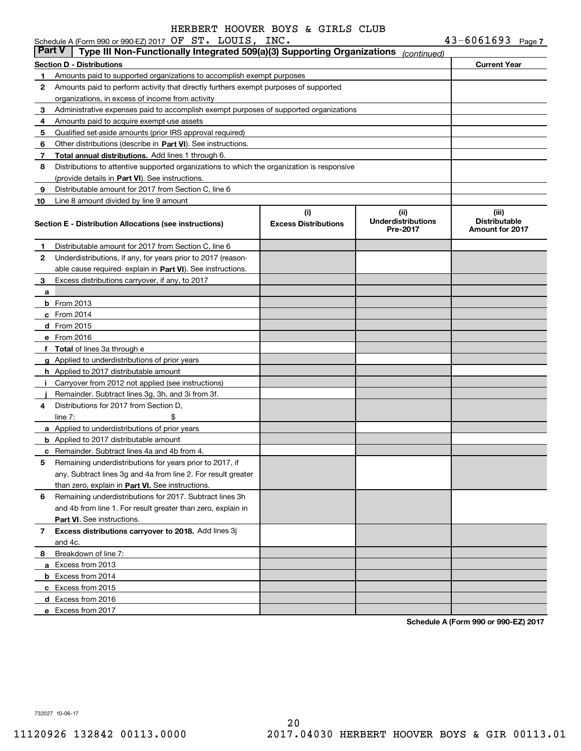|               | Schedule A (Form 990 or 990-EZ) 2017 OF ST. LOUIS, INC.                                    |                                    |                                               | $43 - 6061693$ Page 7                                   |  |
|---------------|--------------------------------------------------------------------------------------------|------------------------------------|-----------------------------------------------|---------------------------------------------------------|--|
| <b>Part V</b> | Type III Non-Functionally Integrated 509(a)(3) Supporting Organizations                    |                                    | (continued)                                   |                                                         |  |
|               | Section D - Distributions                                                                  |                                    |                                               | <b>Current Year</b>                                     |  |
| 1.            | Amounts paid to supported organizations to accomplish exempt purposes                      |                                    |                                               |                                                         |  |
| 2             | Amounts paid to perform activity that directly furthers exempt purposes of supported       |                                    |                                               |                                                         |  |
|               | organizations, in excess of income from activity                                           |                                    |                                               |                                                         |  |
| 3             | Administrative expenses paid to accomplish exempt purposes of supported organizations      |                                    |                                               |                                                         |  |
| 4             | Amounts paid to acquire exempt-use assets                                                  |                                    |                                               |                                                         |  |
| 5             | Qualified set-aside amounts (prior IRS approval required)                                  |                                    |                                               |                                                         |  |
| 6             | Other distributions (describe in Part VI). See instructions.                               |                                    |                                               |                                                         |  |
| 7             | Total annual distributions. Add lines 1 through 6.                                         |                                    |                                               |                                                         |  |
| 8             | Distributions to attentive supported organizations to which the organization is responsive |                                    |                                               |                                                         |  |
|               | (provide details in Part VI). See instructions.                                            |                                    |                                               |                                                         |  |
| 9             | Distributable amount for 2017 from Section C, line 6                                       |                                    |                                               |                                                         |  |
| 10            | Line 8 amount divided by line 9 amount                                                     |                                    |                                               |                                                         |  |
|               | <b>Section E - Distribution Allocations (see instructions)</b>                             | (i)<br><b>Excess Distributions</b> | (ii)<br><b>Underdistributions</b><br>Pre-2017 | (iii)<br><b>Distributable</b><br><b>Amount for 2017</b> |  |
| 1             | Distributable amount for 2017 from Section C, line 6                                       |                                    |                                               |                                                         |  |
| 2             | Underdistributions, if any, for years prior to 2017 (reason-                               |                                    |                                               |                                                         |  |
|               | able cause required-explain in Part VI). See instructions.                                 |                                    |                                               |                                                         |  |
| 3             | Excess distributions carryover, if any, to 2017                                            |                                    |                                               |                                                         |  |
| a             |                                                                                            |                                    |                                               |                                                         |  |
|               | <b>b</b> From 2013                                                                         |                                    |                                               |                                                         |  |
|               | $c$ From 2014                                                                              |                                    |                                               |                                                         |  |
|               | <b>d</b> From 2015                                                                         |                                    |                                               |                                                         |  |
|               | e From 2016                                                                                |                                    |                                               |                                                         |  |
|               | f Total of lines 3a through e                                                              |                                    |                                               |                                                         |  |
|               | g Applied to underdistributions of prior years                                             |                                    |                                               |                                                         |  |
|               | <b>h</b> Applied to 2017 distributable amount                                              |                                    |                                               |                                                         |  |
| Ť.            | Carryover from 2012 not applied (see instructions)                                         |                                    |                                               |                                                         |  |
|               | Remainder. Subtract lines 3g, 3h, and 3i from 3f.                                          |                                    |                                               |                                                         |  |
| 4             | Distributions for 2017 from Section D,                                                     |                                    |                                               |                                                         |  |
|               | \$<br>line $7:$                                                                            |                                    |                                               |                                                         |  |
|               | a Applied to underdistributions of prior years                                             |                                    |                                               |                                                         |  |
|               | <b>b</b> Applied to 2017 distributable amount                                              |                                    |                                               |                                                         |  |
|               | <b>c</b> Remainder. Subtract lines 4a and 4b from 4.                                       |                                    |                                               |                                                         |  |
|               | Remaining underdistributions for years prior to 2017, if                                   |                                    |                                               |                                                         |  |
|               | any. Subtract lines 3q and 4a from line 2. For result greater                              |                                    |                                               |                                                         |  |
|               | than zero, explain in Part VI. See instructions.                                           |                                    |                                               |                                                         |  |
| 6             | Remaining underdistributions for 2017. Subtract lines 3h                                   |                                    |                                               |                                                         |  |
|               | and 4b from line 1. For result greater than zero, explain in                               |                                    |                                               |                                                         |  |
|               | Part VI. See instructions.                                                                 |                                    |                                               |                                                         |  |
| 7             | Excess distributions carryover to 2018. Add lines 3j                                       |                                    |                                               |                                                         |  |
|               | and 4c.                                                                                    |                                    |                                               |                                                         |  |
| 8             | Breakdown of line 7:                                                                       |                                    |                                               |                                                         |  |
|               | a Excess from 2013                                                                         |                                    |                                               |                                                         |  |
|               | <b>b</b> Excess from 2014                                                                  |                                    |                                               |                                                         |  |
|               | c Excess from 2015                                                                         |                                    |                                               |                                                         |  |
|               | d Excess from 2016                                                                         |                                    |                                               |                                                         |  |
|               | e Excess from 2017                                                                         |                                    |                                               |                                                         |  |
|               |                                                                                            |                                    |                                               |                                                         |  |

**Schedule A (Form 990 or 990-EZ) 2017**

732027 10-06-17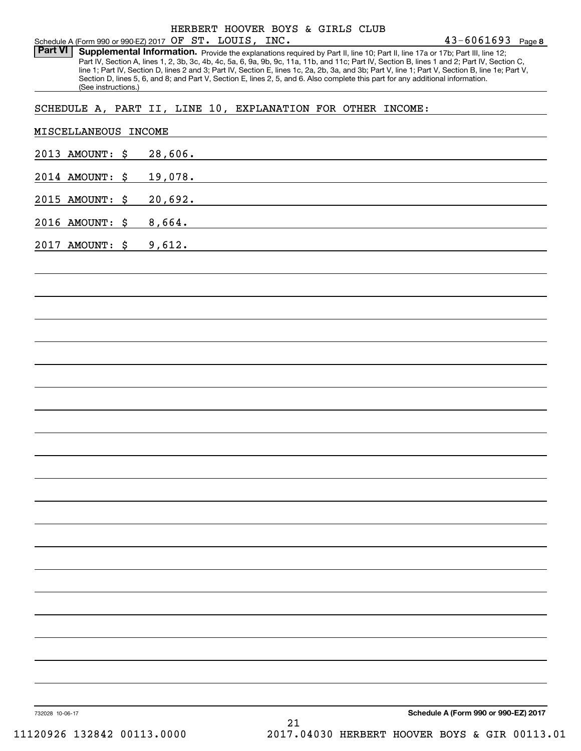Part VI | Supplemental Information. Provide the explanations required by Part II, line 10; Part II, line 17a or 17b; Part III, line 12; Part IV, Section A, lines 1, 2, 3b, 3c, 4b, 4c, 5a, 6, 9a, 9b, 9c, 11a, 11b, and 11c; Part IV, Section B, lines 1 and 2; Part IV, Section C, line 1; Part IV, Section D, lines 2 and 3; Part IV, Section E, lines 1c, 2a, 2b, 3a, and 3b; Part V, line 1; Part V, Section B, line 1e; Part V, Section D, lines 5, 6, and 8; and Part V, Section E, lines 2, 5, and 6. Also complete this part for any additional information. (See instructions.)

### SCHEDULE A, PART II, LINE 10, EXPLANATION FOR OTHER INCOME:

| 2013 AMOUNT: \$ | 28,606.                                                                                                                     |
|-----------------|-----------------------------------------------------------------------------------------------------------------------------|
| 2014 AMOUNT: \$ | 19,078.                                                                                                                     |
| 2015 AMOUNT: \$ | and the control of the control of the control of the control of the control of the control of the control of the<br>20,692. |
| 2016 AMOUNT: \$ | ,我们也不会有什么。""我们的人,我们也不会有什么?""我们的人,我们也不会有什么?""我们的人,我们也不会有什么?""我们的人,我们也不会有什么?""我们的人<br>8,664.                                  |
| 2017 AMOUNT: \$ | ,我们也不会有什么。""我们的人,我们也不会有什么?""我们的人,我们也不会有什么?""我们的人,我们也不会有什么?""我们的人,我们也不会有什么?""我们的人<br>9,612.                                  |
|                 | and the control of the control of the control of the control of the control of the control of the control of the            |
|                 |                                                                                                                             |
|                 |                                                                                                                             |
|                 |                                                                                                                             |
|                 |                                                                                                                             |
|                 |                                                                                                                             |
|                 |                                                                                                                             |
|                 |                                                                                                                             |
|                 |                                                                                                                             |
|                 |                                                                                                                             |
|                 |                                                                                                                             |
|                 |                                                                                                                             |
|                 |                                                                                                                             |
|                 |                                                                                                                             |
|                 |                                                                                                                             |
|                 |                                                                                                                             |
|                 |                                                                                                                             |
|                 |                                                                                                                             |
|                 |                                                                                                                             |
|                 |                                                                                                                             |
|                 | Schedule A (Form 990 or 990-EZ) 2017                                                                                        |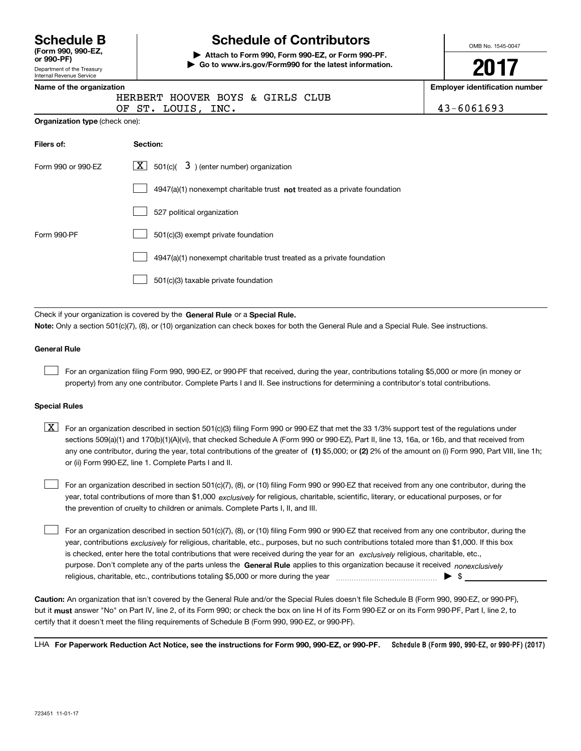| <b>Schedule B</b>  |  |
|--------------------|--|
| (Form 990, 990-EZ, |  |

Department of the Treasury Internal Revenue Service **or 990-PF)**

# **Schedule of Contributors**

**| Attach to Form 990, Form 990-EZ, or Form 990-PF. | Go to www.irs.gov/Form990 for the latest information.** OMB No. 1545-0047

**2017**

|                                       | Name of the organization                                                  |            |  |
|---------------------------------------|---------------------------------------------------------------------------|------------|--|
|                                       | HERBERT HOOVER BOYS & GIRLS CLUB<br>OF ST. LOUIS, INC.                    | 43-6061693 |  |
| <b>Organization type (check one):</b> |                                                                           |            |  |
| Filers of:                            | Section:                                                                  |            |  |
| Form 990 or 990-EZ                    | $\lfloor x \rfloor$ 501(c)( 3) (enter number) organization                |            |  |
|                                       | 4947(a)(1) nonexempt charitable trust not treated as a private foundation |            |  |
|                                       | 527 political organization                                                |            |  |
| Form 990-PF                           | 501(c)(3) exempt private foundation                                       |            |  |
|                                       | 4947(a)(1) nonexempt charitable trust treated as a private foundation     |            |  |
|                                       | 501(c)(3) taxable private foundation                                      |            |  |

Check if your organization is covered by the **General Rule** or a **Special Rule. Note:**  Only a section 501(c)(7), (8), or (10) organization can check boxes for both the General Rule and a Special Rule. See instructions.

#### **General Rule**

 $\mathcal{L}^{\text{max}}$ 

For an organization filing Form 990, 990-EZ, or 990-PF that received, during the year, contributions totaling \$5,000 or more (in money or property) from any one contributor. Complete Parts I and II. See instructions for determining a contributor's total contributions.

#### **Special Rules**

 $\mathcal{L}^{\text{max}}$ 

any one contributor, during the year, total contributions of the greater of  $\,$  (1) \$5,000; or **(2)** 2% of the amount on (i) Form 990, Part VIII, line 1h;  $\boxed{\textbf{X}}$  For an organization described in section 501(c)(3) filing Form 990 or 990-EZ that met the 33 1/3% support test of the regulations under sections 509(a)(1) and 170(b)(1)(A)(vi), that checked Schedule A (Form 990 or 990-EZ), Part II, line 13, 16a, or 16b, and that received from or (ii) Form 990-EZ, line 1. Complete Parts I and II.

year, total contributions of more than \$1,000 *exclusively* for religious, charitable, scientific, literary, or educational purposes, or for For an organization described in section 501(c)(7), (8), or (10) filing Form 990 or 990-EZ that received from any one contributor, during the the prevention of cruelty to children or animals. Complete Parts I, II, and III.  $\mathcal{L}^{\text{max}}$ 

purpose. Don't complete any of the parts unless the **General Rule** applies to this organization because it received *nonexclusively* year, contributions <sub>exclusively</sub> for religious, charitable, etc., purposes, but no such contributions totaled more than \$1,000. If this box is checked, enter here the total contributions that were received during the year for an *exclusively* religious, charitable, etc., For an organization described in section 501(c)(7), (8), or (10) filing Form 990 or 990-EZ that received from any one contributor, during the religious, charitable, etc., contributions totaling \$5,000 or more during the year  $\ldots$  $\ldots$  $\ldots$  $\ldots$  $\ldots$  $\ldots$ 

**Caution:**  An organization that isn't covered by the General Rule and/or the Special Rules doesn't file Schedule B (Form 990, 990-EZ, or 990-PF),  **must** but it answer "No" on Part IV, line 2, of its Form 990; or check the box on line H of its Form 990-EZ or on its Form 990-PF, Part I, line 2, to certify that it doesn't meet the filing requirements of Schedule B (Form 990, 990-EZ, or 990-PF).

**Schedule B (Form 990, 990-EZ, or 990-PF) (2017) For Paperwork Reduction Act Notice, see the instructions for Form 990, 990-EZ, or 990-PF.** LHA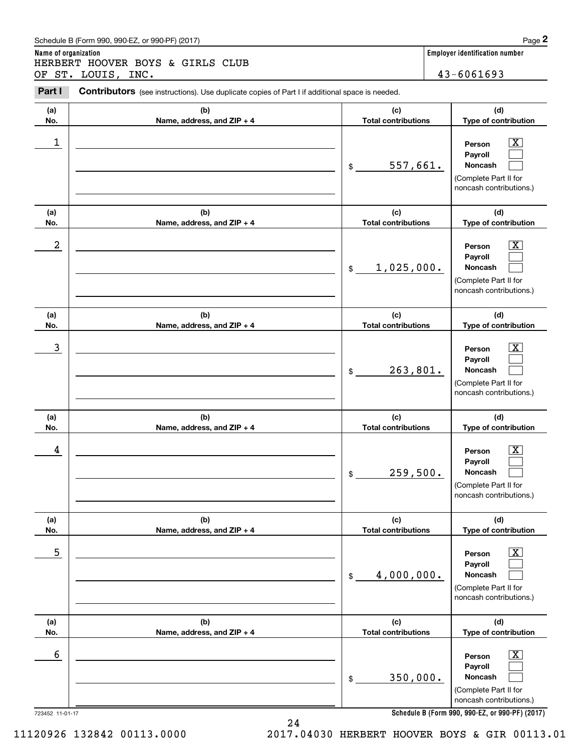### Schedule B (Form 990, 990-EZ, or 990-PF) (2017) **Page 2**

**Name of organization Employer identification number** Chedule B (Form 990, 990-EZ, or 990-PF) (2017)<br> **2Part I 2Part I Contributors** (see instructions). Use duplicate copies of Part I if additional space is needed.<br> **2Part I Contributors** (see instructions). Use duplica HERBERT HOOVER BOYS & GIRLS CLUB OF ST. LOUIS, INC. 43-6061693

Contributors (see instructions). Use duplicate copies of Part I if additional space is needed.

| (a)<br>No.                  | (b)<br>Name, address, and ZIP + 4 | (c)<br><b>Total contributions</b>              | (d)<br>Type of contribution                                                                                                                                                 |
|-----------------------------|-----------------------------------|------------------------------------------------|-----------------------------------------------------------------------------------------------------------------------------------------------------------------------------|
| 1                           |                                   | 557,661.<br>\$                                 | $\mathbf{X}$<br>Person<br>Payroll<br>Noncash<br>(Complete Part II for<br>noncash contributions.)                                                                            |
| (a)<br>No.                  | (b)<br>Name, address, and ZIP + 4 | (c)<br><b>Total contributions</b>              | (d)<br>Type of contribution                                                                                                                                                 |
| 2                           |                                   | 1,025,000.<br>$$\mathbb{S}$$                   | $\overline{\mathbf{X}}$<br>Person<br>Payroll<br>Noncash<br>(Complete Part II for<br>noncash contributions.)                                                                 |
| (a)<br>No.                  | (b)<br>Name, address, and ZIP + 4 | (c)<br><b>Total contributions</b>              | (d)<br>Type of contribution                                                                                                                                                 |
| 3                           |                                   | 263,801.<br>\$                                 | $\overline{\mathbf{X}}$<br>Person<br>Payroll<br><b>Noncash</b><br>(Complete Part II for<br>noncash contributions.)                                                          |
| (a)<br>No.                  | (b)<br>Name, address, and ZIP + 4 | (c)<br><b>Total contributions</b>              | (d)<br>Type of contribution                                                                                                                                                 |
| 4                           |                                   | 259,500.<br>\$                                 | $\overline{\mathbf{X}}$<br>Person<br>Payroll<br><b>Noncash</b><br>(Complete Part II for<br>noncash contributions.)                                                          |
| (a)                         |                                   |                                                |                                                                                                                                                                             |
|                             | (b)                               | (c)                                            | (d)                                                                                                                                                                         |
| No.<br>5                    | Name, address, and ZIP + 4        | <b>Total contributions</b><br>4,000,000.<br>\$ | Type of contribution<br>$\overline{\text{X}}$<br>Person<br>Payroll<br>Noncash<br>(Complete Part II for<br>noncash contributions.)                                           |
| (a)                         | (b)                               | (c)                                            | (d)                                                                                                                                                                         |
| No.<br>6<br>723452 11-01-17 | Name, address, and ZIP + 4        | <b>Total contributions</b><br>350,000.<br>\$   | Type of contribution<br>$\mathbf{X}$<br>Person<br>Payroll<br>Noncash<br>(Complete Part II for<br>noncash contributions.)<br>Schedule B (Form 990, 990-EZ, or 990-PF) (2017) |

24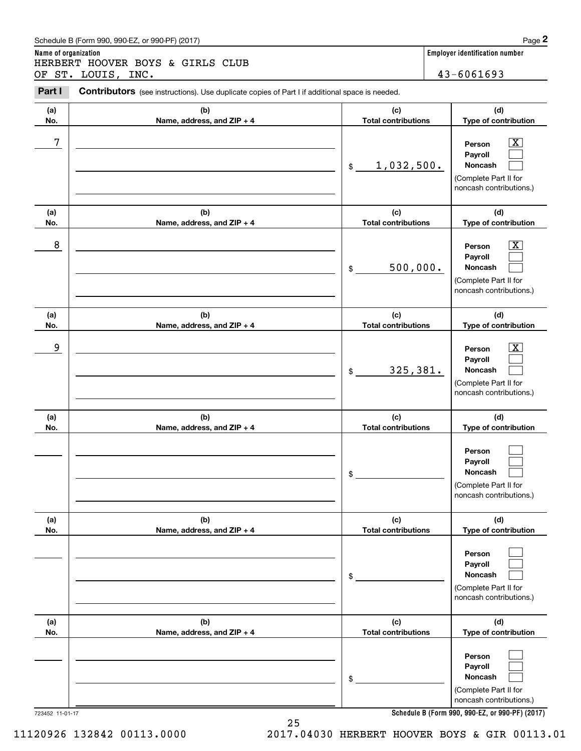### Schedule B (Form 990, 990-EZ, or 990-PF) (2017) **Page 2**

**Name of organization Employer identification number** Chedule B (Form 990, 990-EZ, or 990-PF) (2017)<br> **2Part I 2Part I Contributors** (see instructions). Use duplicate copies of Part I if additional space is needed.<br> **2Part I Contributors** (see instructions). Use duplica HERBERT HOOVER BOYS & GIRLS CLUB OF ST. LOUIS, INC. 43-6061693

Contributors (see instructions). Use duplicate copies of Part I if additional space is needed.

| (a)<br>No.             | (b)<br>Name, address, and ZIP + 4 | (c)<br><b>Total contributions</b> | (d)<br>Type of contribution                                                                                                                                 |
|------------------------|-----------------------------------|-----------------------------------|-------------------------------------------------------------------------------------------------------------------------------------------------------------|
| 7                      |                                   | 1,032,500.<br>\$                  | x<br>Person<br>Payroll<br>Noncash<br>(Complete Part II for<br>noncash contributions.)                                                                       |
| (a)<br>No.             | (b)<br>Name, address, and ZIP + 4 | (c)<br><b>Total contributions</b> | (d)<br>Type of contribution                                                                                                                                 |
| 8                      |                                   | 500,000.<br>\$                    | x<br>Person<br>Payroll<br>Noncash<br>(Complete Part II for<br>noncash contributions.)                                                                       |
| (a)<br>No.             | (b)<br>Name, address, and ZIP + 4 | (c)<br><b>Total contributions</b> | (d)<br>Type of contribution                                                                                                                                 |
| 9                      |                                   | 325,381.<br>\$                    | х<br>Person<br>Payroll<br>Noncash<br>(Complete Part II for<br>noncash contributions.)                                                                       |
| (a)<br>No.             | (b)<br>Name, address, and ZIP + 4 | (c)<br><b>Total contributions</b> | (d)<br>Type of contribution                                                                                                                                 |
|                        |                                   | \$                                | Person<br>Payroll<br>Noncash<br>(Complete Part II for<br>noncash contributions.)                                                                            |
| (a)<br>No.             | (b)<br>Name, address, and ZIP + 4 | (c)<br><b>Total contributions</b> | (d)<br>Type of contribution                                                                                                                                 |
|                        |                                   | \$                                | Person<br>Payroll<br>Noncash<br>(Complete Part II for<br>noncash contributions.)                                                                            |
| (a)                    | (b)                               | (c)                               | (d)                                                                                                                                                         |
| No.<br>723452 11-01-17 | Name, address, and ZIP + 4        | <b>Total contributions</b><br>\$  | Type of contribution<br>Person<br>Payroll<br>Noncash<br>(Complete Part II for<br>noncash contributions.)<br>Schedule B (Form 990, 990-EZ, or 990-PF) (2017) |

**Schedule B (Form 990, 990-EZ, or 990-PF) (2017)**

11120926 132842 00113.0000 2017.04030 HERBERT HOOVER BOYS & GIR 00113.01

25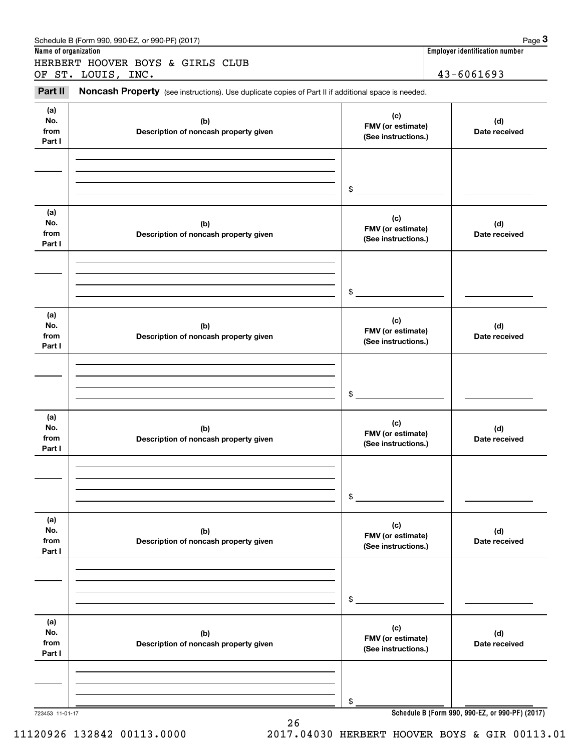| Name of organization         | Schedule B (Form 990, 990-EZ, or 990-PF) (2017)                                                     |                                                 | Page 3<br>Employer identification number        |
|------------------------------|-----------------------------------------------------------------------------------------------------|-------------------------------------------------|-------------------------------------------------|
|                              | HERBERT HOOVER BOYS & GIRLS CLUB                                                                    |                                                 |                                                 |
|                              | OF ST. LOUIS, INC.                                                                                  |                                                 | 43-6061693                                      |
| Part II                      | Noncash Property (see instructions). Use duplicate copies of Part II if additional space is needed. |                                                 |                                                 |
| (a)<br>No.<br>from<br>Part I | (b)<br>Description of noncash property given                                                        | (c)<br>FMV (or estimate)<br>(See instructions.) | (d)<br>Date received                            |
|                              |                                                                                                     | \$                                              |                                                 |
| (a)<br>No.<br>from<br>Part I | (b)<br>Description of noncash property given                                                        | (c)<br>FMV (or estimate)<br>(See instructions.) | (d)<br>Date received                            |
|                              |                                                                                                     | \$                                              |                                                 |
| (a)<br>No.<br>from<br>Part I | (b)<br>Description of noncash property given                                                        | (c)<br>FMV (or estimate)<br>(See instructions.) | (d)<br>Date received                            |
|                              |                                                                                                     | \$                                              |                                                 |
| (a)<br>No.<br>from<br>Part I | (b)<br>Description of noncash property given                                                        | (c)<br>FMV (or estimate)<br>(See instructions.) | (d)<br>Date received                            |
|                              |                                                                                                     | \$                                              |                                                 |
| (a)<br>No.<br>from<br>Part I | (b)<br>Description of noncash property given                                                        | (c)<br>FMV (or estimate)<br>(See instructions.) | (d)<br>Date received                            |
|                              |                                                                                                     | \$                                              |                                                 |
| (a)<br>No.<br>from<br>Part I | (b)<br>Description of noncash property given                                                        | (c)<br>FMV (or estimate)<br>(See instructions.) | (d)<br>Date received                            |
|                              |                                                                                                     | \$                                              |                                                 |
| 723453 11-01-17              |                                                                                                     |                                                 | Schedule B (Form 990, 990-EZ, or 990-PF) (2017) |

26

**Schedule B (Form 990, 990-EZ, or 990-PF) (2017)**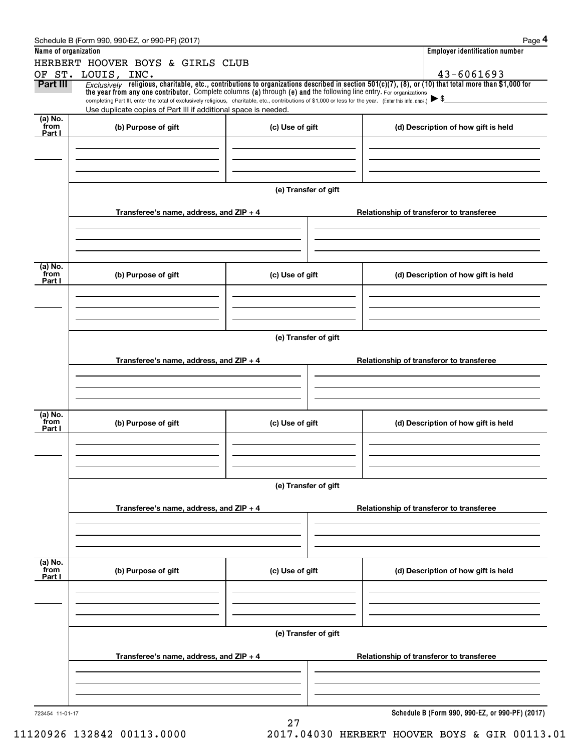|                      | Schedule B (Form 990, 990-EZ, or 990-PF) (2017)                                                                                                                                                                                                                                |                      |                                          | Page 4                                          |  |  |  |
|----------------------|--------------------------------------------------------------------------------------------------------------------------------------------------------------------------------------------------------------------------------------------------------------------------------|----------------------|------------------------------------------|-------------------------------------------------|--|--|--|
| Name of organization |                                                                                                                                                                                                                                                                                |                      |                                          | <b>Employer identification number</b>           |  |  |  |
|                      | HERBERT HOOVER BOYS & GIRLS CLUB                                                                                                                                                                                                                                               |                      |                                          |                                                 |  |  |  |
|                      | OF ST. LOUIS, INC.                                                                                                                                                                                                                                                             |                      |                                          | 43-6061693                                      |  |  |  |
| Part III             | $Exclusively$ religious, charitable, etc., contributions to organizations described in section 501(c)(7), (8), or (10) that total more than \$1,000 for<br>the year from any one contributor. Complete columns (a) through (e) and the following line entry. For organizations |                      |                                          |                                                 |  |  |  |
|                      | completing Part III, enter the total of exclusively religious, charitable, etc., contributions of \$1,000 or less for the year. (Enter this info. once.) $\blacktriangleright$ \$                                                                                              |                      |                                          |                                                 |  |  |  |
|                      | Use duplicate copies of Part III if additional space is needed.                                                                                                                                                                                                                |                      |                                          |                                                 |  |  |  |
| (a) No.<br>from      | (b) Purpose of gift                                                                                                                                                                                                                                                            | (c) Use of gift      |                                          | (d) Description of how gift is held             |  |  |  |
| Part I               |                                                                                                                                                                                                                                                                                |                      |                                          |                                                 |  |  |  |
|                      |                                                                                                                                                                                                                                                                                |                      |                                          |                                                 |  |  |  |
|                      |                                                                                                                                                                                                                                                                                |                      |                                          |                                                 |  |  |  |
|                      |                                                                                                                                                                                                                                                                                |                      |                                          |                                                 |  |  |  |
|                      |                                                                                                                                                                                                                                                                                |                      |                                          |                                                 |  |  |  |
|                      |                                                                                                                                                                                                                                                                                | (e) Transfer of gift |                                          |                                                 |  |  |  |
|                      | Transferee's name, address, and ZIP + 4                                                                                                                                                                                                                                        |                      |                                          |                                                 |  |  |  |
|                      |                                                                                                                                                                                                                                                                                |                      | Relationship of transferor to transferee |                                                 |  |  |  |
|                      |                                                                                                                                                                                                                                                                                |                      |                                          |                                                 |  |  |  |
|                      |                                                                                                                                                                                                                                                                                |                      |                                          |                                                 |  |  |  |
|                      |                                                                                                                                                                                                                                                                                |                      |                                          |                                                 |  |  |  |
| (a) No.              |                                                                                                                                                                                                                                                                                |                      |                                          |                                                 |  |  |  |
| from<br>Part I       | (b) Purpose of gift                                                                                                                                                                                                                                                            | (c) Use of gift      |                                          | (d) Description of how gift is held             |  |  |  |
|                      |                                                                                                                                                                                                                                                                                |                      |                                          |                                                 |  |  |  |
|                      |                                                                                                                                                                                                                                                                                |                      |                                          |                                                 |  |  |  |
|                      |                                                                                                                                                                                                                                                                                |                      |                                          |                                                 |  |  |  |
|                      |                                                                                                                                                                                                                                                                                |                      |                                          |                                                 |  |  |  |
|                      |                                                                                                                                                                                                                                                                                | (e) Transfer of gift |                                          |                                                 |  |  |  |
|                      |                                                                                                                                                                                                                                                                                |                      |                                          |                                                 |  |  |  |
|                      | Transferee's name, address, and $ZIP + 4$                                                                                                                                                                                                                                      |                      |                                          | Relationship of transferor to transferee        |  |  |  |
|                      |                                                                                                                                                                                                                                                                                |                      |                                          |                                                 |  |  |  |
|                      |                                                                                                                                                                                                                                                                                |                      |                                          |                                                 |  |  |  |
|                      |                                                                                                                                                                                                                                                                                |                      |                                          |                                                 |  |  |  |
| (a) No.              |                                                                                                                                                                                                                                                                                |                      |                                          |                                                 |  |  |  |
| from<br>Part I       | (b) Purpose of gift                                                                                                                                                                                                                                                            | (c) Use of gift      |                                          | (d) Description of how gift is held             |  |  |  |
|                      |                                                                                                                                                                                                                                                                                |                      |                                          |                                                 |  |  |  |
|                      |                                                                                                                                                                                                                                                                                |                      |                                          |                                                 |  |  |  |
|                      |                                                                                                                                                                                                                                                                                |                      |                                          |                                                 |  |  |  |
|                      |                                                                                                                                                                                                                                                                                |                      |                                          |                                                 |  |  |  |
|                      | (e) Transfer of gift                                                                                                                                                                                                                                                           |                      |                                          |                                                 |  |  |  |
|                      |                                                                                                                                                                                                                                                                                |                      |                                          |                                                 |  |  |  |
|                      | Transferee's name, address, and ZIP + 4                                                                                                                                                                                                                                        |                      |                                          | Relationship of transferor to transferee        |  |  |  |
|                      |                                                                                                                                                                                                                                                                                |                      |                                          |                                                 |  |  |  |
|                      |                                                                                                                                                                                                                                                                                |                      |                                          |                                                 |  |  |  |
|                      |                                                                                                                                                                                                                                                                                |                      |                                          |                                                 |  |  |  |
| (a) No.<br>from      |                                                                                                                                                                                                                                                                                |                      |                                          |                                                 |  |  |  |
| Part I               | (b) Purpose of gift                                                                                                                                                                                                                                                            | (c) Use of gift      |                                          | (d) Description of how gift is held             |  |  |  |
|                      |                                                                                                                                                                                                                                                                                |                      |                                          |                                                 |  |  |  |
|                      |                                                                                                                                                                                                                                                                                |                      |                                          |                                                 |  |  |  |
|                      |                                                                                                                                                                                                                                                                                |                      |                                          |                                                 |  |  |  |
|                      |                                                                                                                                                                                                                                                                                |                      |                                          |                                                 |  |  |  |
|                      |                                                                                                                                                                                                                                                                                | (e) Transfer of gift |                                          |                                                 |  |  |  |
|                      |                                                                                                                                                                                                                                                                                |                      |                                          |                                                 |  |  |  |
|                      | Transferee's name, address, and ZIP + 4                                                                                                                                                                                                                                        |                      |                                          | Relationship of transferor to transferee        |  |  |  |
|                      |                                                                                                                                                                                                                                                                                |                      |                                          |                                                 |  |  |  |
|                      |                                                                                                                                                                                                                                                                                |                      |                                          |                                                 |  |  |  |
|                      |                                                                                                                                                                                                                                                                                |                      |                                          |                                                 |  |  |  |
| 723454 11-01-17      |                                                                                                                                                                                                                                                                                |                      |                                          | Schedule B (Form 990, 990-EZ, or 990-PF) (2017) |  |  |  |
|                      |                                                                                                                                                                                                                                                                                | 27                   |                                          |                                                 |  |  |  |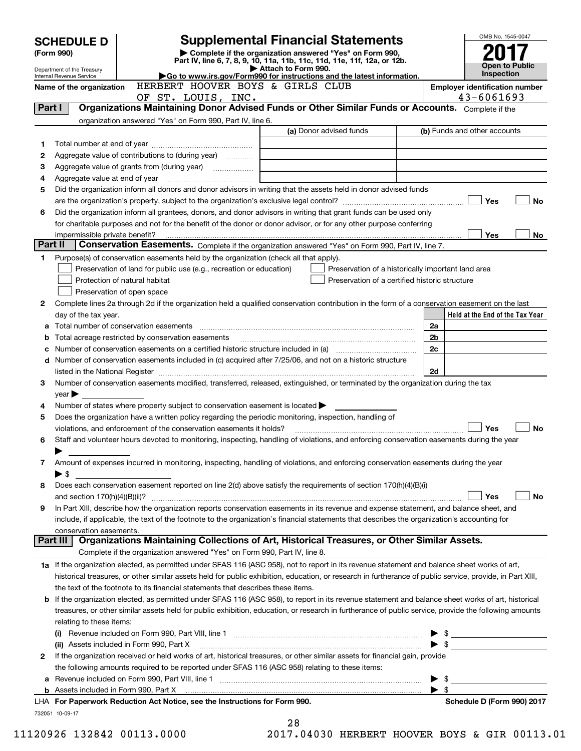|         | <b>SCHEDULE D</b>                                                                                                                                  |                                                                                                                | <b>Supplemental Financial Statements</b>                                                                                                                   |                                  | OMB No. 1545-0047                          |  |  |
|---------|----------------------------------------------------------------------------------------------------------------------------------------------------|----------------------------------------------------------------------------------------------------------------|------------------------------------------------------------------------------------------------------------------------------------------------------------|----------------------------------|--------------------------------------------|--|--|
|         | Complete if the organization answered "Yes" on Form 990,<br>(Form 990)<br>Part IV, line 6, 7, 8, 9, 10, 11a, 11b, 11c, 11d, 11e, 11f, 12a, or 12b. |                                                                                                                |                                                                                                                                                            |                                  |                                            |  |  |
|         | Department of the Treasury                                                                                                                         |                                                                                                                | Attach to Form 990.<br>Go to www.irs.gov/Form990 for instructions and the latest information.                                                              |                                  | <b>Open to Public</b><br><b>Inspection</b> |  |  |
|         | Internal Revenue Service<br>Name of the organization                                                                                               |                                                                                                                | <b>Employer identification number</b>                                                                                                                      |                                  |                                            |  |  |
|         | HERBERT HOOVER BOYS & GIRLS CLUB<br>43-6061693<br>OF ST. LOUIS, INC.                                                                               |                                                                                                                |                                                                                                                                                            |                                  |                                            |  |  |
| Part I  |                                                                                                                                                    |                                                                                                                | Organizations Maintaining Donor Advised Funds or Other Similar Funds or Accounts. Complete if the                                                          |                                  |                                            |  |  |
|         |                                                                                                                                                    | organization answered "Yes" on Form 990, Part IV, line 6.                                                      |                                                                                                                                                            |                                  |                                            |  |  |
|         |                                                                                                                                                    |                                                                                                                | (a) Donor advised funds                                                                                                                                    |                                  | (b) Funds and other accounts               |  |  |
| 1       |                                                                                                                                                    |                                                                                                                |                                                                                                                                                            |                                  |                                            |  |  |
| 2<br>з  |                                                                                                                                                    | Aggregate value of contributions to (during year)                                                              |                                                                                                                                                            |                                  |                                            |  |  |
| 4       |                                                                                                                                                    | Aggregate value at end of year memorial and the control of the state of the state of the state of the state of |                                                                                                                                                            |                                  |                                            |  |  |
| 5       |                                                                                                                                                    |                                                                                                                | Did the organization inform all donors and donor advisors in writing that the assets held in donor advised funds                                           |                                  |                                            |  |  |
|         |                                                                                                                                                    |                                                                                                                |                                                                                                                                                            |                                  | Yes<br><b>No</b>                           |  |  |
| 6       |                                                                                                                                                    |                                                                                                                | Did the organization inform all grantees, donors, and donor advisors in writing that grant funds can be used only                                          |                                  |                                            |  |  |
|         |                                                                                                                                                    |                                                                                                                | for charitable purposes and not for the benefit of the donor or donor advisor, or for any other purpose conferring                                         |                                  |                                            |  |  |
|         |                                                                                                                                                    |                                                                                                                |                                                                                                                                                            |                                  | <b>Yes</b><br>No                           |  |  |
| Part II |                                                                                                                                                    |                                                                                                                | Conservation Easements. Complete if the organization answered "Yes" on Form 990, Part IV, line 7.                                                          |                                  |                                            |  |  |
| 1       |                                                                                                                                                    | Purpose(s) of conservation easements held by the organization (check all that apply).                          |                                                                                                                                                            |                                  |                                            |  |  |
|         |                                                                                                                                                    | Preservation of land for public use (e.g., recreation or education)<br>Protection of natural habitat           | Preservation of a historically important land area<br>Preservation of a certified historic structure                                                       |                                  |                                            |  |  |
|         |                                                                                                                                                    | Preservation of open space                                                                                     |                                                                                                                                                            |                                  |                                            |  |  |
| 2       |                                                                                                                                                    |                                                                                                                | Complete lines 2a through 2d if the organization held a qualified conservation contribution in the form of a conservation easement on the last             |                                  |                                            |  |  |
|         | day of the tax year.                                                                                                                               |                                                                                                                |                                                                                                                                                            |                                  | Held at the End of the Tax Year            |  |  |
|         |                                                                                                                                                    |                                                                                                                |                                                                                                                                                            | 2a                               |                                            |  |  |
| b       |                                                                                                                                                    | Total acreage restricted by conservation easements                                                             |                                                                                                                                                            | 2 <sub>b</sub>                   |                                            |  |  |
| с       |                                                                                                                                                    |                                                                                                                |                                                                                                                                                            | 2c                               |                                            |  |  |
|         |                                                                                                                                                    |                                                                                                                | d Number of conservation easements included in (c) acquired after 7/25/06, and not on a historic structure                                                 |                                  |                                            |  |  |
|         |                                                                                                                                                    |                                                                                                                |                                                                                                                                                            | 2d                               |                                            |  |  |
| З       | $\mathsf{year}$                                                                                                                                    |                                                                                                                | Number of conservation easements modified, transferred, released, extinguished, or terminated by the organization during the tax                           |                                  |                                            |  |  |
| 4       |                                                                                                                                                    | Number of states where property subject to conservation easement is located $\blacktriangleright$              |                                                                                                                                                            |                                  |                                            |  |  |
| 5       |                                                                                                                                                    | Does the organization have a written policy regarding the periodic monitoring, inspection, handling of         |                                                                                                                                                            |                                  |                                            |  |  |
|         |                                                                                                                                                    | violations, and enforcement of the conservation easements it holds?                                            |                                                                                                                                                            |                                  | Yes<br><b>No</b>                           |  |  |
| 6       |                                                                                                                                                    |                                                                                                                | Staff and volunteer hours devoted to monitoring, inspecting, handling of violations, and enforcing conservation easements during the year                  |                                  |                                            |  |  |
|         |                                                                                                                                                    |                                                                                                                |                                                                                                                                                            |                                  |                                            |  |  |
| 7       |                                                                                                                                                    |                                                                                                                | Amount of expenses incurred in monitoring, inspecting, handling of violations, and enforcing conservation easements during the year                        |                                  |                                            |  |  |
|         | $\blacktriangleright$ \$                                                                                                                           |                                                                                                                | Does each conservation easement reported on line 2(d) above satisfy the requirements of section 170(h)(4)(B)(i)                                            |                                  |                                            |  |  |
| 8       | and section $170(h)(4)(B)(ii)?$                                                                                                                    |                                                                                                                |                                                                                                                                                            |                                  | Yes<br>No                                  |  |  |
| 9       |                                                                                                                                                    |                                                                                                                | In Part XIII, describe how the organization reports conservation easements in its revenue and expense statement, and balance sheet, and                    |                                  |                                            |  |  |
|         |                                                                                                                                                    |                                                                                                                | include, if applicable, the text of the footnote to the organization's financial statements that describes the organization's accounting for               |                                  |                                            |  |  |
|         | conservation easements.                                                                                                                            |                                                                                                                |                                                                                                                                                            |                                  |                                            |  |  |
|         | Part III I                                                                                                                                         |                                                                                                                | Organizations Maintaining Collections of Art, Historical Treasures, or Other Similar Assets.                                                               |                                  |                                            |  |  |
|         |                                                                                                                                                    | Complete if the organization answered "Yes" on Form 990, Part IV, line 8.                                      |                                                                                                                                                            |                                  |                                            |  |  |
|         |                                                                                                                                                    |                                                                                                                | 1a If the organization elected, as permitted under SFAS 116 (ASC 958), not to report in its revenue statement and balance sheet works of art,              |                                  |                                            |  |  |
|         |                                                                                                                                                    | the text of the footnote to its financial statements that describes these items.                               | historical treasures, or other similar assets held for public exhibition, education, or research in furtherance of public service, provide, in Part XIII,  |                                  |                                            |  |  |
|         |                                                                                                                                                    |                                                                                                                | <b>b</b> If the organization elected, as permitted under SFAS 116 (ASC 958), to report in its revenue statement and balance sheet works of art, historical |                                  |                                            |  |  |
|         |                                                                                                                                                    |                                                                                                                | treasures, or other similar assets held for public exhibition, education, or research in furtherance of public service, provide the following amounts      |                                  |                                            |  |  |
|         | relating to these items:                                                                                                                           |                                                                                                                |                                                                                                                                                            |                                  |                                            |  |  |
|         |                                                                                                                                                    |                                                                                                                |                                                                                                                                                            | $\blacktriangleright$ \$         |                                            |  |  |
|         |                                                                                                                                                    | (ii) Assets included in Form 990, Part X                                                                       |                                                                                                                                                            | $\blacktriangleright$ \$         |                                            |  |  |
| 2       |                                                                                                                                                    |                                                                                                                | If the organization received or held works of art, historical treasures, or other similar assets for financial gain, provide                               |                                  |                                            |  |  |
|         |                                                                                                                                                    | the following amounts required to be reported under SFAS 116 (ASC 958) relating to these items:                |                                                                                                                                                            |                                  |                                            |  |  |
|         |                                                                                                                                                    |                                                                                                                |                                                                                                                                                            | - \$<br>$\blacktriangleright$ \$ |                                            |  |  |
|         |                                                                                                                                                    | LHA For Paperwork Reduction Act Notice, see the Instructions for Form 990.                                     |                                                                                                                                                            |                                  | Schedule D (Form 990) 2017                 |  |  |
|         | 732051 10-09-17                                                                                                                                    |                                                                                                                |                                                                                                                                                            |                                  |                                            |  |  |
|         |                                                                                                                                                    |                                                                                                                | つR                                                                                                                                                         |                                  |                                            |  |  |

<sup>28</sup>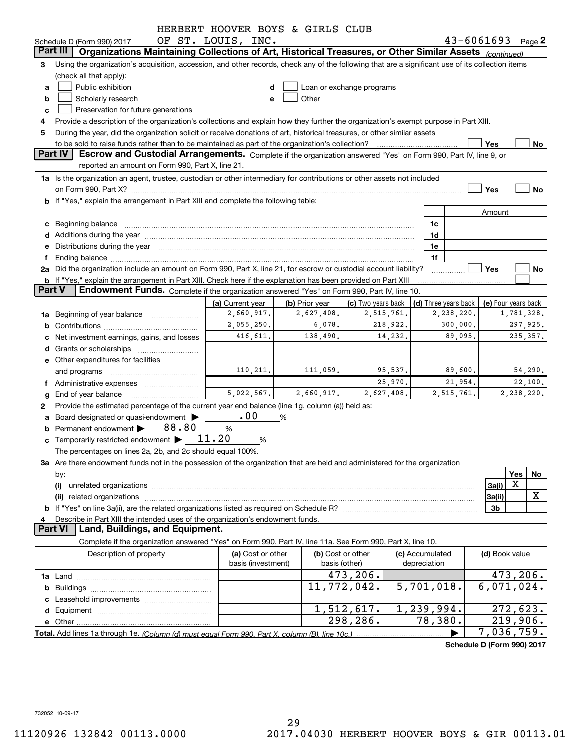| HERBERT HOOVER BOYS & GIRLS CLUB                                                                                                                                                                                                                         |                |                     |
|----------------------------------------------------------------------------------------------------------------------------------------------------------------------------------------------------------------------------------------------------------|----------------|---------------------|
| $43 - 6061693$ Page 2<br>OF ST. LOUIS, INC.<br>Schedule D (Form 990) 2017                                                                                                                                                                                |                |                     |
| Part III<br>Organizations Maintaining Collections of Art, Historical Treasures, or Other Similar Assets (continued)                                                                                                                                      |                |                     |
| Using the organization's acquisition, accession, and other records, check any of the following that are a significant use of its collection items<br>3                                                                                                   |                |                     |
| (check all that apply):                                                                                                                                                                                                                                  |                |                     |
| Public exhibition<br>Loan or exchange programs<br>a                                                                                                                                                                                                      |                |                     |
| Other and the contract of the contract of the contract of the contract of the contract of the contract of the contract of the contract of the contract of the contract of the contract of the contract of the contract of the<br>Scholarly research<br>b |                |                     |
| Preservation for future generations<br>c                                                                                                                                                                                                                 |                |                     |
| Provide a description of the organization's collections and explain how they further the organization's exempt purpose in Part XIII.                                                                                                                     |                |                     |
| During the year, did the organization solicit or receive donations of art, historical treasures, or other similar assets<br>5                                                                                                                            |                |                     |
| to be sold to raise funds rather than to be maintained as part of the organization's collection?<br>Yes<br>Part IV                                                                                                                                       |                | No                  |
| Escrow and Custodial Arrangements. Complete if the organization answered "Yes" on Form 990, Part IV, line 9, or<br>reported an amount on Form 990, Part X, line 21.                                                                                      |                |                     |
| 1a Is the organization an agent, trustee, custodian or other intermediary for contributions or other assets not included                                                                                                                                 |                |                     |
| Yes                                                                                                                                                                                                                                                      |                | No                  |
| <b>b</b> If "Yes," explain the arrangement in Part XIII and complete the following table:                                                                                                                                                                |                |                     |
|                                                                                                                                                                                                                                                          | Amount         |                     |
| 1c                                                                                                                                                                                                                                                       |                |                     |
| c Beginning balance entrance and contain a series of the series of the series of the series of the series of the series of the series of the series of the series of the series of the series of the series of the series of t<br>1d                     |                |                     |
| d Additions during the year manufactured and an account of the year manufactured and account of the year manufactured and account of the year manufactured and account of the year manufactured and account of the year manufa<br>1e                     |                |                     |
| e Distributions during the year manufactured and continuum and contract the contract of the contract of the contract of the contract of the contract of the contract of the contract of the contract of the contract of the co<br>1f                     |                |                     |
| Ť.<br>2a Did the organization include an amount on Form 990, Part X, line 21, for escrow or custodial account liability?<br>Yes                                                                                                                          |                | No                  |
| b If "Yes," explain the arrangement in Part XIII. Check here if the explanation has been provided on Part XIII                                                                                                                                           |                |                     |
| <b>Part V</b><br>Endowment Funds. Complete if the organization answered "Yes" on Form 990, Part IV, line 10.                                                                                                                                             |                |                     |
| (d) Three years back<br>(a) Current year<br>(b) Prior year<br>(c) Two years back                                                                                                                                                                         |                | (e) Four years back |
| 2,660,917.<br>2,627,408.<br>2,515,761.<br>2,238,220.<br>1a Beginning of year balance                                                                                                                                                                     |                | 1,781,328.          |
| 2,055,250.<br>6,078.<br>300,000.<br>218,922.                                                                                                                                                                                                             |                | 297,925.            |
| 416,611.<br>89,095.<br>138,490.<br>14,232.<br>c Net investment earnings, gains, and losses                                                                                                                                                               |                | 235, 357.           |
|                                                                                                                                                                                                                                                          |                |                     |
| e Other expenditures for facilities                                                                                                                                                                                                                      |                |                     |
| 110, 211.<br>111,059.<br>95,537.<br>89,600.<br>and programs                                                                                                                                                                                              |                | 54,290.             |
| 25,970.<br>21,954.<br>f Administrative expenses <i>manually</i> and the Administrative expenses                                                                                                                                                          |                | 22,100.             |
| 5,022,567.<br>2,660,917.<br>2,627,408.<br>2,515,761.<br><b>g</b> End of year balance                                                                                                                                                                     |                | 2,238,220.          |
| Provide the estimated percentage of the current year end balance (line 1g, column (a)) held as:<br>2                                                                                                                                                     |                |                     |
| .00<br>a Board designated or quasi-endowment ><br>%                                                                                                                                                                                                      |                |                     |
| <b>b</b> Permanent endowment $\triangleright$ 88.80<br>%                                                                                                                                                                                                 |                |                     |
| <b>c</b> Temporarily restricted endowment $\blacktriangleright$ 11.20<br>%                                                                                                                                                                               |                |                     |
| The percentages on lines 2a, 2b, and 2c should equal 100%.                                                                                                                                                                                               |                |                     |
| 3a Are there endowment funds not in the possession of the organization that are held and administered for the organization                                                                                                                               |                |                     |
| by:                                                                                                                                                                                                                                                      | Yes            | No                  |
| (i)                                                                                                                                                                                                                                                      | X<br>3a(i)     |                     |
|                                                                                                                                                                                                                                                          | 3a(ii)         | X                   |
|                                                                                                                                                                                                                                                          | 3b             |                     |
| Describe in Part XIII the intended uses of the organization's endowment funds.<br>4                                                                                                                                                                      |                |                     |
| <b>Part VI</b><br>Land, Buildings, and Equipment.                                                                                                                                                                                                        |                |                     |
| Complete if the organization answered "Yes" on Form 990, Part IV, line 11a. See Form 990, Part X, line 10.                                                                                                                                               |                |                     |
| Description of property<br>(a) Cost or other<br>(b) Cost or other<br>(c) Accumulated                                                                                                                                                                     | (d) Book value |                     |
| basis (investment)<br>basis (other)<br>depreciation                                                                                                                                                                                                      |                |                     |
| 473,206.                                                                                                                                                                                                                                                 |                | 473,206.            |
| 11,772,042.<br>$\overline{5,701},018.$                                                                                                                                                                                                                   |                | 6,071,024.          |
|                                                                                                                                                                                                                                                          |                |                     |
| 1,512,617.<br>1,239,994.                                                                                                                                                                                                                                 |                | 272,623.            |
| 78,380.<br>298,286.                                                                                                                                                                                                                                      |                | 219,906.            |
|                                                                                                                                                                                                                                                          |                | 7,036,759.          |
| Schedule D (Form 990) 2017                                                                                                                                                                                                                               |                |                     |

732052 10-09-17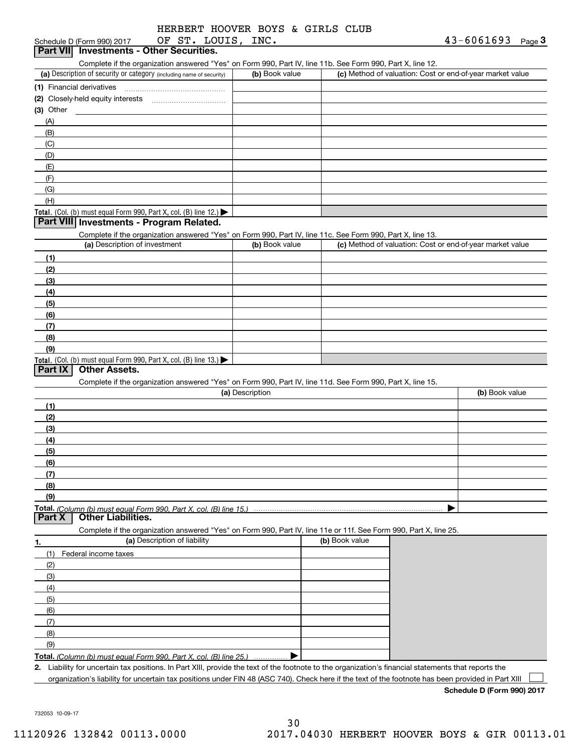| HERBERT HOOVER BOYS & GIRLS CLUB |  |  |  |
|----------------------------------|--|--|--|
|                                  |  |  |  |
|                                  |  |  |  |
|                                  |  |  |  |
|                                  |  |  |  |
|                                  |  |  |  |

| OF ST. LOUIS, INC.<br>Schedule D (Form 990) 2017                                                                                                     |                 |                | $43 - 6061693$ Page 3                                     |  |
|------------------------------------------------------------------------------------------------------------------------------------------------------|-----------------|----------------|-----------------------------------------------------------|--|
| Part VII Investments - Other Securities.                                                                                                             |                 |                |                                                           |  |
| Complete if the organization answered "Yes" on Form 990, Part IV, line 11b. See Form 990, Part X, line 12.                                           |                 |                |                                                           |  |
| (a) Description of security or category (including name of security)                                                                                 | (b) Book value  |                | (c) Method of valuation: Cost or end-of-year market value |  |
| (1) Financial derivatives                                                                                                                            |                 |                |                                                           |  |
|                                                                                                                                                      |                 |                |                                                           |  |
| $(3)$ Other                                                                                                                                          |                 |                |                                                           |  |
| (A)                                                                                                                                                  |                 |                |                                                           |  |
| (B)                                                                                                                                                  |                 |                |                                                           |  |
| (C)                                                                                                                                                  |                 |                |                                                           |  |
|                                                                                                                                                      |                 |                |                                                           |  |
| (D)                                                                                                                                                  |                 |                |                                                           |  |
| (E)                                                                                                                                                  |                 |                |                                                           |  |
| (F)                                                                                                                                                  |                 |                |                                                           |  |
| (G)                                                                                                                                                  |                 |                |                                                           |  |
| (H)                                                                                                                                                  |                 |                |                                                           |  |
| Total. (Col. (b) must equal Form 990, Part X, col. (B) line 12.)                                                                                     |                 |                |                                                           |  |
| Part VIII Investments - Program Related.                                                                                                             |                 |                |                                                           |  |
| Complete if the organization answered "Yes" on Form 990, Part IV, line 11c. See Form 990, Part X, line 13.                                           |                 |                |                                                           |  |
| (a) Description of investment                                                                                                                        | (b) Book value  |                | (c) Method of valuation: Cost or end-of-year market value |  |
| (1)                                                                                                                                                  |                 |                |                                                           |  |
| (2)                                                                                                                                                  |                 |                |                                                           |  |
| (3)                                                                                                                                                  |                 |                |                                                           |  |
| (4)                                                                                                                                                  |                 |                |                                                           |  |
| (5)                                                                                                                                                  |                 |                |                                                           |  |
| (6)                                                                                                                                                  |                 |                |                                                           |  |
| (7)                                                                                                                                                  |                 |                |                                                           |  |
| (8)                                                                                                                                                  |                 |                |                                                           |  |
| (9)                                                                                                                                                  |                 |                |                                                           |  |
|                                                                                                                                                      |                 |                |                                                           |  |
| Total. (Col. (b) must equal Form 990, Part X, col. (B) line 13.)<br>Part IX<br><b>Other Assets.</b>                                                  |                 |                |                                                           |  |
|                                                                                                                                                      |                 |                |                                                           |  |
| Complete if the organization answered "Yes" on Form 990, Part IV, line 11d. See Form 990, Part X, line 15.                                           | (a) Description |                | (b) Book value                                            |  |
|                                                                                                                                                      |                 |                |                                                           |  |
| (1)                                                                                                                                                  |                 |                |                                                           |  |
| (2)                                                                                                                                                  |                 |                |                                                           |  |
| (3)                                                                                                                                                  |                 |                |                                                           |  |
| (4)                                                                                                                                                  |                 |                |                                                           |  |
| (5)                                                                                                                                                  |                 |                |                                                           |  |
| (6)                                                                                                                                                  |                 |                |                                                           |  |
| (7)                                                                                                                                                  |                 |                |                                                           |  |
| (8)                                                                                                                                                  |                 |                |                                                           |  |
| (9)                                                                                                                                                  |                 |                |                                                           |  |
| Total. (Column (b) must equal Form 990. Part X. col. (B) line 15.) ……………………………………………………                                                              |                 |                |                                                           |  |
| <b>Other Liabilities.</b><br>Part X                                                                                                                  |                 |                |                                                           |  |
| Complete if the organization answered "Yes" on Form 990, Part IV, line 11e or 11f. See Form 990, Part X, line 25.                                    |                 |                |                                                           |  |
| (a) Description of liability                                                                                                                         |                 | (b) Book value |                                                           |  |
| 1.                                                                                                                                                   |                 |                |                                                           |  |
| Federal income taxes<br>(1)                                                                                                                          |                 |                |                                                           |  |
| (2)                                                                                                                                                  |                 |                |                                                           |  |
| (3)                                                                                                                                                  |                 |                |                                                           |  |
| (4)                                                                                                                                                  |                 |                |                                                           |  |
| (5)                                                                                                                                                  |                 |                |                                                           |  |
| (6)                                                                                                                                                  |                 |                |                                                           |  |
| (7)                                                                                                                                                  |                 |                |                                                           |  |
| (8)                                                                                                                                                  |                 |                |                                                           |  |
| (9)                                                                                                                                                  |                 |                |                                                           |  |
| Total. (Column (b) must equal Form 990. Part X, col. (B) line 25.)                                                                                   |                 |                |                                                           |  |
| 2. Liability for uncertain tax positions. In Part XIII, provide the text of the footnote to the organization's financial statements that reports the |                 |                |                                                           |  |
| organization's liability for uncertain tax positions under FIN 48 (ASC 740). Check here if the text of the footnote has been provided in Part XIII   |                 |                |                                                           |  |

732053 10-09-17

**Schedule D (Form 990) 2017**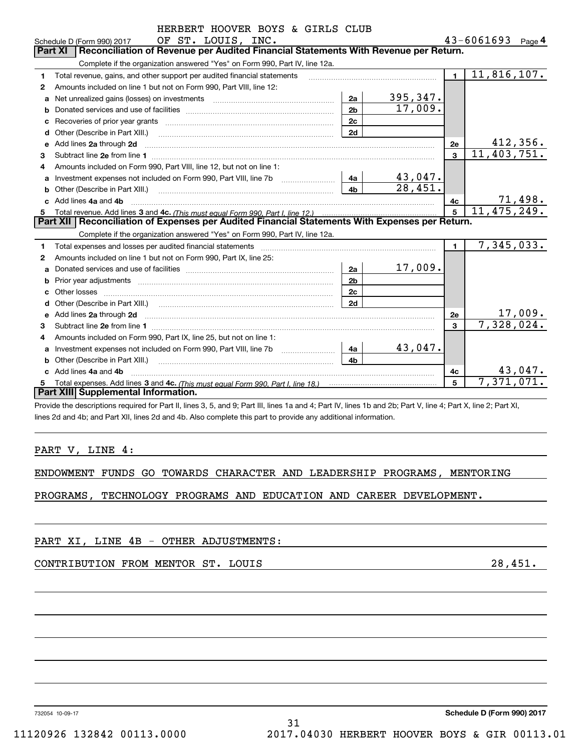|    | HERBERT HOOVER BOYS & GIRLS CLUB                                                                                                                                                                                               |                |                       |              |                              |
|----|--------------------------------------------------------------------------------------------------------------------------------------------------------------------------------------------------------------------------------|----------------|-----------------------|--------------|------------------------------|
|    | OF ST. LOUIS, INC.<br>Schedule D (Form 990) 2017                                                                                                                                                                               |                |                       |              | $43 - 6061693$ Page 4        |
|    | Reconciliation of Revenue per Audited Financial Statements With Revenue per Return.<br><b>Part XI</b>                                                                                                                          |                |                       |              |                              |
|    | Complete if the organization answered "Yes" on Form 990, Part IV, line 12a.                                                                                                                                                    |                |                       |              |                              |
| 1  | Total revenue, gains, and other support per audited financial statements                                                                                                                                                       |                |                       | $\mathbf{1}$ | 11,816,107.                  |
| 2  | Amounts included on line 1 but not on Form 990, Part VIII, line 12:                                                                                                                                                            |                |                       |              |                              |
| a  | Net unrealized gains (losses) on investments [11] matter contracts and the unrealized gains (losses) on investments                                                                                                            | 2a             | 395,347.              |              |                              |
| b  |                                                                                                                                                                                                                                | 2 <sub>b</sub> | 17,009.               |              |                              |
| с  | Recoveries of prior year grants [11,111] Recoveries of prior year grants [11,111] Recoveries of prior year grants                                                                                                              | 2c             |                       |              |                              |
| d  | Other (Describe in Part XIII.) <b>Construction Contract Construction</b> Chemistry Chemistry Chemistry Chemistry Chemistry                                                                                                     | 2d             |                       |              |                              |
| e  |                                                                                                                                                                                                                                |                |                       | 2е           | 412,356.                     |
| 3  |                                                                                                                                                                                                                                |                |                       | $\mathbf{3}$ | 11,403,751.                  |
| 4  | Amounts included on Form 990, Part VIII, line 12, but not on line 1:                                                                                                                                                           |                |                       |              |                              |
| a  | Investment expenses not included on Form 990, Part VIII, line 7b [100] [100] [100] [100] [100] [100] [100] [100] [100] [100] [100] [100] [100] [100] [100] [100] [100] [100] [100] [100] [100] [100] [100] [100] [100] [100] [ | 4a             | 43,047.               |              |                              |
| b  | Other (Describe in Part XIII.) <b>Construction Contract Construction</b> [100]                                                                                                                                                 | 4 <sub>b</sub> | $\overline{28,451}$ . |              |                              |
| c. | Add lines 4a and 4b                                                                                                                                                                                                            |                |                       | 4c           | 71,498.                      |
|    |                                                                                                                                                                                                                                |                |                       | 5            | 11,475,249.                  |
|    | Part XII   Reconciliation of Expenses per Audited Financial Statements With Expenses per Return.                                                                                                                               |                |                       |              |                              |
|    | Complete if the organization answered "Yes" on Form 990, Part IV, line 12a.                                                                                                                                                    |                |                       |              |                              |
| 1  |                                                                                                                                                                                                                                |                |                       | $\mathbf{1}$ | 7,345,033.                   |
| 2  | Amounts included on line 1 but not on Form 990, Part IX, line 25:                                                                                                                                                              |                |                       |              |                              |
| a  |                                                                                                                                                                                                                                | 2a             | 17,009.               |              |                              |
| b  |                                                                                                                                                                                                                                | 2 <sub>b</sub> |                       |              |                              |
|    |                                                                                                                                                                                                                                | 2c             |                       |              |                              |
| d  |                                                                                                                                                                                                                                | 2d             |                       |              |                              |
|    |                                                                                                                                                                                                                                |                |                       | 2e           | $\frac{17,009.}{7,328,024.}$ |
| 3  |                                                                                                                                                                                                                                |                |                       | $\mathbf{3}$ |                              |
|    | Amounts included on Form 990, Part IX, line 25, but not on line 1:                                                                                                                                                             |                |                       |              |                              |
| a  |                                                                                                                                                                                                                                | 4a             | 43,047.               |              |                              |
| b  | Other (Describe in Part XIII.)                                                                                                                                                                                                 | 4 <sub>b</sub> |                       |              |                              |
| c. | Add lines 4a and 4b                                                                                                                                                                                                            |                |                       | 4с           | 43,047.                      |
|    |                                                                                                                                                                                                                                |                |                       | 5            | 7,371,071.                   |
|    | Part XIII Supplemental Information.                                                                                                                                                                                            |                |                       |              |                              |
|    | Provide the descriptions required for Part II lines 3, 5, and 9; Part III lines 1a and 4; Part IV lines 1b and 2b; Part V, line 4; Part X, line 2; Part XI                                                                     |                |                       |              |                              |

Provide the descriptions required for Part II, lines 3, 5, and 9; Part III, lines 1a and 4; Part IV, lines 1b and 2b; Part V, line 4; Part X, line 2; Part XI, lines 2d and 4b; and Part XII, lines 2d and 4b. Also complete this part to provide any additional information.

#### PART V, LINE 4:

|  |  |  |  |  |  | ENDOWMENT FUNDS GO TOWARDS CHARACTER AND LEADERSHIP PROGRAMS, MENTORING |  |  |
|--|--|--|--|--|--|-------------------------------------------------------------------------|--|--|
|--|--|--|--|--|--|-------------------------------------------------------------------------|--|--|

PROGRAMS, TECHNOLOGY PROGRAMS AND EDUCATION AND CAREER DEVELOPMENT.

PART XI, LINE 4B - OTHER ADJUSTMENTS:

CONTRIBUTION FROM MENTOR ST. LOUIS 28,451.

732054 10-09-17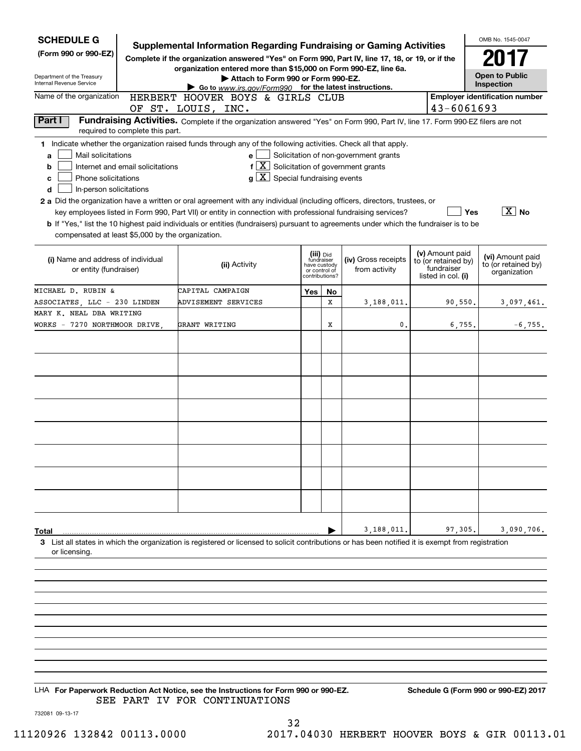| <b>SCHEDULE G</b><br>(Form 990 or 990-EZ)<br>Department of the Treasury<br>Internal Revenue Service                                                                                                                                                                                                                                                                                                                                                                                                                                                                         | <b>Supplemental Information Regarding Fundraising or Gaming Activities</b><br>Complete if the organization answered "Yes" on Form 990, Part IV, line 17, 18, or 19, or if the<br>organization entered more than \$15,000 on Form 990-EZ, line 6a.<br>Attach to Form 990 or Form 990-EZ.<br>Go to www.irs.gov/Form990 for the latest instructions. |                                       |                                                                            |                                                                                                                    |  |                   | OMB No. 1545-0047<br><b>Open to Public</b><br>Inspection |
|-----------------------------------------------------------------------------------------------------------------------------------------------------------------------------------------------------------------------------------------------------------------------------------------------------------------------------------------------------------------------------------------------------------------------------------------------------------------------------------------------------------------------------------------------------------------------------|---------------------------------------------------------------------------------------------------------------------------------------------------------------------------------------------------------------------------------------------------------------------------------------------------------------------------------------------------|---------------------------------------|----------------------------------------------------------------------------|--------------------------------------------------------------------------------------------------------------------|--|-------------------|----------------------------------------------------------|
| Name of the organization<br>HERBERT HOOVER BOYS & GIRLS CLUB<br>OF ST. LOUIS, INC.                                                                                                                                                                                                                                                                                                                                                                                                                                                                                          | 43-6061693                                                                                                                                                                                                                                                                                                                                        | <b>Employer identification number</b> |                                                                            |                                                                                                                    |  |                   |                                                          |
| Part I<br>required to complete this part.                                                                                                                                                                                                                                                                                                                                                                                                                                                                                                                                   | Fundraising Activities. Complete if the organization answered "Yes" on Form 990, Part IV, line 17. Form 990-EZ filers are not                                                                                                                                                                                                                     |                                       |                                                                            |                                                                                                                    |  |                   |                                                          |
| 1 Indicate whether the organization raised funds through any of the following activities. Check all that apply.<br>Mail solicitations<br>a<br>Internet and email solicitations<br>b<br>Phone solicitations<br>с<br>In-person solicitations<br>d<br>2 a Did the organization have a written or oral agreement with any individual (including officers, directors, trustees, or<br>b If "Yes," list the 10 highest paid individuals or entities (fundraisers) pursuant to agreements under which the fundraiser is to be<br>compensated at least \$5,000 by the organization. | e<br>$f\left[\frac{X}{X}\right]$ Solicitation of government grants<br>$g\mid X$ Special fundraising events<br>key employees listed in Form 990, Part VII) or entity in connection with professional fundraising services?                                                                                                                         |                                       |                                                                            | Solicitation of non-government grants                                                                              |  | Yes               | $ \overline{X} $ No                                      |
| (i) Name and address of individual<br>or entity (fundraiser)                                                                                                                                                                                                                                                                                                                                                                                                                                                                                                                | (ii) Activity                                                                                                                                                                                                                                                                                                                                     |                                       | (iii) Did<br>fundraiser<br>have custody<br>or control of<br>contributions? | (v) Amount paid<br>(iv) Gross receipts<br>to (or retained by)<br>fundraiser<br>from activity<br>listed in col. (i) |  |                   | (vi) Amount paid<br>to (or retained by)<br>organization  |
| MICHAEL D. RUBIN &                                                                                                                                                                                                                                                                                                                                                                                                                                                                                                                                                          | CAPITAL CAMPAIGN                                                                                                                                                                                                                                                                                                                                  | Yes                                   | No.                                                                        |                                                                                                                    |  |                   |                                                          |
| ASSOCIATES, LLC - 230 LINDEN<br>MARY K. NEAL DBA WRITING                                                                                                                                                                                                                                                                                                                                                                                                                                                                                                                    | ADVISEMENT SERVICES                                                                                                                                                                                                                                                                                                                               |                                       | x                                                                          | 3,188,011.                                                                                                         |  | 90,550.           | 3,097,461.                                               |
| WORKS - 7270 NORTHMOOR DRIVE,<br>Total                                                                                                                                                                                                                                                                                                                                                                                                                                                                                                                                      | GRANT WRITING                                                                                                                                                                                                                                                                                                                                     |                                       | X                                                                          | 0<br>3,188,011                                                                                                     |  | 6,755.<br>97,305. | $-6, 755.$<br>3,090,706.                                 |
| 3 List all states in which the organization is registered or licensed to solicit contributions or has been notified it is exempt from registration<br>or licensing.                                                                                                                                                                                                                                                                                                                                                                                                         |                                                                                                                                                                                                                                                                                                                                                   |                                       |                                                                            |                                                                                                                    |  |                   |                                                          |
|                                                                                                                                                                                                                                                                                                                                                                                                                                                                                                                                                                             |                                                                                                                                                                                                                                                                                                                                                   |                                       |                                                                            |                                                                                                                    |  |                   |                                                          |
|                                                                                                                                                                                                                                                                                                                                                                                                                                                                                                                                                                             |                                                                                                                                                                                                                                                                                                                                                   |                                       |                                                                            |                                                                                                                    |  |                   |                                                          |

LHA For Paperwork Reduction Act Notice, see the Instructions for Form 990 or 990-EZ. Schedule G (Form 990 or 990-EZ) 2017 SEE PART IV FOR CONTINUATIONS

732081 09-13-17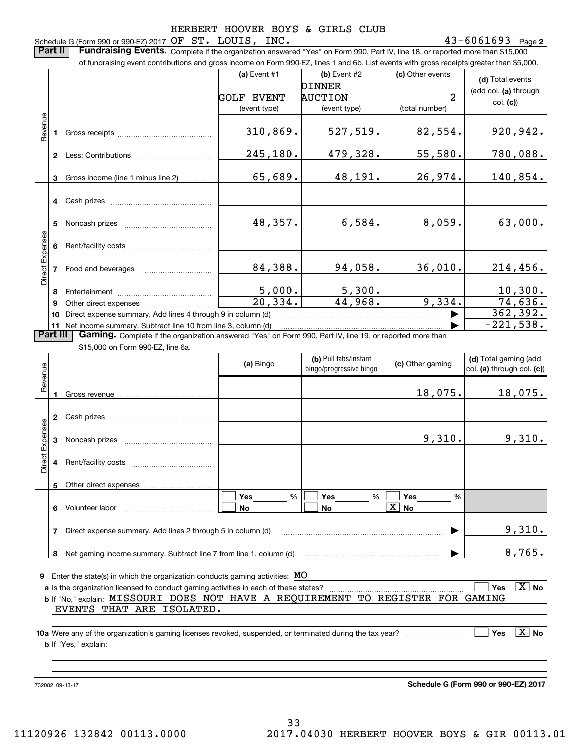#### 43-6061693 Page 2 Schedule G (Form 990 or 990-EZ) 2017 Page OF ST. LOUIS, INC. 43-6061693

**Part II** | Fundraising Events. Complete if the organization answered "Yes" on Form 990, Part IV, line 18, or reported more than \$15,000

|                        |                 | of fundraising event contributions and gross income on Form 990-EZ, lines 1 and 6b. List events with gross receipts greater than \$5,000. |                       |                                                   |                                    |                                                     |
|------------------------|-----------------|-------------------------------------------------------------------------------------------------------------------------------------------|-----------------------|---------------------------------------------------|------------------------------------|-----------------------------------------------------|
|                        |                 |                                                                                                                                           | (a) Event #1          | $(b)$ Event #2<br><b>DINNER</b><br><b>AUCTION</b> | (c) Other events<br>$\overline{2}$ | (d) Total events<br>(add col. (a) through           |
|                        |                 |                                                                                                                                           | <b>GOLF EVENT</b>     |                                                   |                                    | col. (c)                                            |
|                        |                 |                                                                                                                                           | (event type)          | (event type)                                      | (total number)                     |                                                     |
| Revenue                | 1.              |                                                                                                                                           | 310,869.              | 527,519.                                          | 82,554.                            | <u>920,942.</u>                                     |
|                        |                 |                                                                                                                                           | 245,180.              | 479,328.                                          | 55,580.                            | 780,088.                                            |
|                        | 3               | Gross income (line 1 minus line 2)                                                                                                        | 65,689.               | 48,191.                                           | 26,974.                            | 140,854.                                            |
|                        |                 |                                                                                                                                           |                       |                                                   |                                    |                                                     |
|                        | 5               |                                                                                                                                           | 48,357.               | 6,584.                                            | 8,059.                             | 63,000.                                             |
|                        | 6               |                                                                                                                                           |                       |                                                   |                                    |                                                     |
| Direct Expenses        | 7               | Food and beverages                                                                                                                        | 84,388.               | 94,058.                                           | 36,010.                            | 214,456.                                            |
|                        | 8               |                                                                                                                                           | 5,000.                | 5,300.                                            |                                    | 10,300.                                             |
|                        | 9               |                                                                                                                                           | $\overline{20,334}$ . | 44,968.                                           | 9,334.                             | 74,636.                                             |
|                        | 10              | Direct expense summary. Add lines 4 through 9 in column (d)                                                                               |                       |                                                   |                                    | 362,392.                                            |
|                        |                 | 11 Net income summary. Subtract line 10 from line 3, column (d)                                                                           |                       |                                                   |                                    | $-221,538.$                                         |
|                        | <b>Part III</b> | Gaming. Complete if the organization answered "Yes" on Form 990, Part IV, line 19, or reported more than                                  |                       |                                                   |                                    |                                                     |
|                        |                 | \$15,000 on Form 990-EZ, line 6a.                                                                                                         |                       |                                                   |                                    |                                                     |
| Revenue                |                 |                                                                                                                                           | (a) Bingo             | (b) Pull tabs/instant<br>bingo/progressive bingo  | (c) Other gaming                   | (d) Total gaming (add<br>col. (a) through col. (c)) |
|                        |                 |                                                                                                                                           |                       |                                                   | 18,075.                            | 18,075.                                             |
|                        | $\mathbf{2}$    |                                                                                                                                           |                       |                                                   |                                    |                                                     |
| <b>Direct Expenses</b> | 3               |                                                                                                                                           |                       |                                                   | 9,310.                             | 9,310.                                              |
|                        |                 |                                                                                                                                           |                       |                                                   |                                    |                                                     |

**9**Enter the state(s) in which the organization conducts gaming activities: MO

**8**Net gaming income summary. Subtract line 7 from line 1, column (d)

**7**Direct expense summary. Add lines 2 through 5 in column (d)

**6** Volunteer labor  $\ldots$   $\ldots$   $\ldots$   $\ldots$   $\ldots$   $\ldots$   $\ldots$   $\ldots$ 

Other direct expenses

**a** Is the organization licensed to conduct gaming activities in each of these states? **b** If "No," explain: MISSOURI DOES NOT HAVE A REQUIREMENT TO REGISTER FOR GAMING **Yes** $\Box$  Yes  $\boxed{\text{X}}$  No  $\mathcal{L}^{\text{max}}$ EVENTS THAT ARE ISOLATED.

%

 $\boxed{\Box}$  Yes \_\_\_\_\_\_\_ %  $\boxed{\Box}$  Yes \_\_\_\_\_\_\_ %  $\boxed{\Box}$ 

**Yes**

 $\mathcal{L}^{\text{max}}$ 

 $\mathcal{L}^{\text{max}}$ 

**No**

**10a**Were any of the organization's gaming licenses revoked, suspended, or terminated during the tax year? **b** If "Yes," explain: **Yes** es  $|\,\texttt{X}\,|$  No

732082 09-13-17

**5**

**Schedule G (Form 990 or 990-EZ) 2017**

 $\blacktriangleright$ 

9,310.

8,765.

…… ▶

**Yes Yes**

% %

 $\overline{\mathbf{X}}$ 

**No No**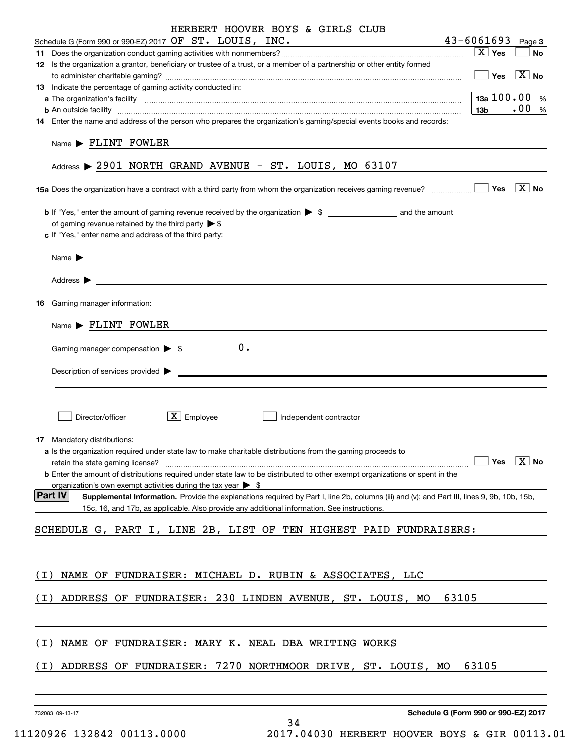| HERBERT HOOVER BOYS & GIRLS CLUB                                                                                                                                        |                                                 |
|-------------------------------------------------------------------------------------------------------------------------------------------------------------------------|-------------------------------------------------|
| Schedule G (Form 990 or 990-EZ) 2017 OF ST. LOUIS, INC.                                                                                                                 | $43 - 6061693$ Page 3                           |
| 12 Is the organization a grantor, beneficiary or trustee of a trust, or a member of a partnership or other entity formed                                                | $X$ Yes<br><b>No</b>                            |
|                                                                                                                                                                         | $\boxed{\phantom{1}}$ Yes $\boxed{\text{X}}$ No |
| 13 Indicate the percentage of gaming activity conducted in:                                                                                                             |                                                 |
|                                                                                                                                                                         | $13a \, 100.00 %$                               |
| <b>b</b> An outside facility <i>www.communicality www.communicality.communicality www.communicality www.communicality.communicality www.communicality.com</i>           | $\frac{1}{100}$ %<br>13b                        |
| 14 Enter the name and address of the person who prepares the organization's gaming/special events books and records:                                                    |                                                 |
| $Name \triangleright$ FLINT FOWLER                                                                                                                                      |                                                 |
| Address > 2901 NORTH GRAND AVENUE - ST. LOUIS, MO 63107                                                                                                                 |                                                 |
| <b>15a</b> Does the organization have a contract with a third party from whom the organization receives gaming revenue? $\Box$ Thes $\Box$ No                           |                                                 |
| of gaming revenue retained by the third party $\triangleright$ \$                                                                                                       |                                                 |
| c If "Yes," enter name and address of the third party:                                                                                                                  |                                                 |
|                                                                                                                                                                         |                                                 |
| Name $\blacktriangleright$                                                                                                                                              |                                                 |
|                                                                                                                                                                         |                                                 |
| <b>16</b> Gaming manager information:                                                                                                                                   |                                                 |
| $Name \triangleright$ FLINT FOWLER                                                                                                                                      |                                                 |
|                                                                                                                                                                         |                                                 |
| $Description of services provided$ $\triangleright$                                                                                                                     |                                                 |
|                                                                                                                                                                         |                                                 |
|                                                                                                                                                                         |                                                 |
| $X$ Employee<br>Director/officer<br>Independent contractor                                                                                                              |                                                 |
|                                                                                                                                                                         |                                                 |
| <b>17</b> Mandatory distributions:                                                                                                                                      |                                                 |
| a Is the organization required under state law to make charitable distributions from the gaming proceeds to                                                             | Yes $\boxed{\text{X}}$ No                       |
| retain the state gaming license?<br><b>b</b> Enter the amount of distributions required under state law to be distributed to other exempt organizations or spent in the |                                                 |
| organization's own exempt activities during the tax year $\triangleright$ \$                                                                                            |                                                 |
| <b>Part IV</b><br>Supplemental Information. Provide the explanations required by Part I, line 2b, columns (iii) and (v); and Part III, lines 9, 9b, 10b, 15b,           |                                                 |
| 15c, 16, and 17b, as applicable. Also provide any additional information. See instructions.                                                                             |                                                 |
| SCHEDULE G, PART I, LINE 2B, LIST OF TEN HIGHEST PAID FUNDRAISERS:                                                                                                      |                                                 |
|                                                                                                                                                                         |                                                 |
|                                                                                                                                                                         |                                                 |
| NAME OF FUNDRAISER: MICHAEL D. RUBIN & ASSOCIATES, LLC<br>( I )                                                                                                         |                                                 |
| ADDRESS OF FUNDRAISER: 230 LINDEN AVENUE, ST. LOUIS, MO<br>( I )                                                                                                        | 63105                                           |
|                                                                                                                                                                         |                                                 |
|                                                                                                                                                                         |                                                 |
| (I)<br>NAME OF FUNDRAISER: MARY K. NEAL DBA WRITING WORKS                                                                                                               |                                                 |
| ADDRESS OF FUNDRAISER: 7270 NORTHMOOR DRIVE, ST. LOUIS, MO<br>(I)                                                                                                       | 63105                                           |
|                                                                                                                                                                         |                                                 |
|                                                                                                                                                                         |                                                 |
| 732083 09-13-17                                                                                                                                                         | Schedule G (Form 990 or 990-EZ) 2017            |

34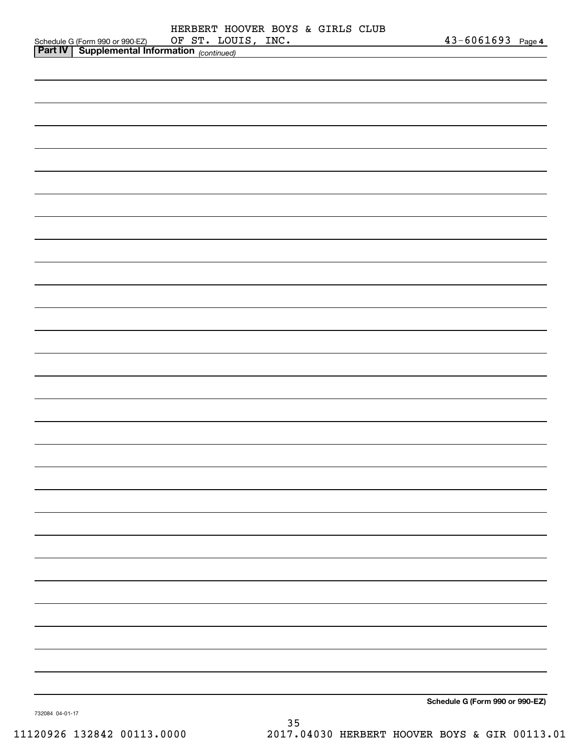|                                                                                            | HERBERT HOOVER BOYS & GIRLS CLUB<br>OF ST. LOUIS, INC. | $43 - 6061693$ Page 4           |
|--------------------------------------------------------------------------------------------|--------------------------------------------------------|---------------------------------|
| Schedule G (Form 990 or 990-EZ) OF ST. LOU<br>Part IV Supplemental Information (continued) |                                                        |                                 |
|                                                                                            |                                                        |                                 |
|                                                                                            |                                                        |                                 |
|                                                                                            |                                                        |                                 |
|                                                                                            |                                                        |                                 |
|                                                                                            |                                                        |                                 |
|                                                                                            |                                                        |                                 |
|                                                                                            |                                                        |                                 |
|                                                                                            |                                                        |                                 |
|                                                                                            |                                                        |                                 |
|                                                                                            |                                                        |                                 |
|                                                                                            |                                                        |                                 |
|                                                                                            |                                                        |                                 |
|                                                                                            |                                                        |                                 |
|                                                                                            |                                                        |                                 |
|                                                                                            |                                                        |                                 |
|                                                                                            |                                                        |                                 |
|                                                                                            |                                                        |                                 |
|                                                                                            |                                                        |                                 |
|                                                                                            |                                                        |                                 |
|                                                                                            |                                                        |                                 |
|                                                                                            |                                                        |                                 |
|                                                                                            |                                                        |                                 |
|                                                                                            |                                                        |                                 |
|                                                                                            |                                                        |                                 |
|                                                                                            |                                                        |                                 |
|                                                                                            |                                                        |                                 |
|                                                                                            |                                                        |                                 |
|                                                                                            |                                                        |                                 |
|                                                                                            |                                                        |                                 |
|                                                                                            |                                                        |                                 |
|                                                                                            |                                                        |                                 |
|                                                                                            |                                                        |                                 |
|                                                                                            |                                                        |                                 |
|                                                                                            |                                                        |                                 |
|                                                                                            |                                                        |                                 |
|                                                                                            |                                                        |                                 |
|                                                                                            |                                                        |                                 |
|                                                                                            |                                                        |                                 |
|                                                                                            |                                                        |                                 |
|                                                                                            |                                                        |                                 |
|                                                                                            |                                                        |                                 |
|                                                                                            |                                                        |                                 |
|                                                                                            |                                                        |                                 |
|                                                                                            |                                                        |                                 |
|                                                                                            |                                                        |                                 |
|                                                                                            |                                                        |                                 |
|                                                                                            |                                                        |                                 |
|                                                                                            |                                                        | Schedule G (Form 990 or 990-EZ) |
| 732084 04:01:17                                                                            |                                                        |                                 |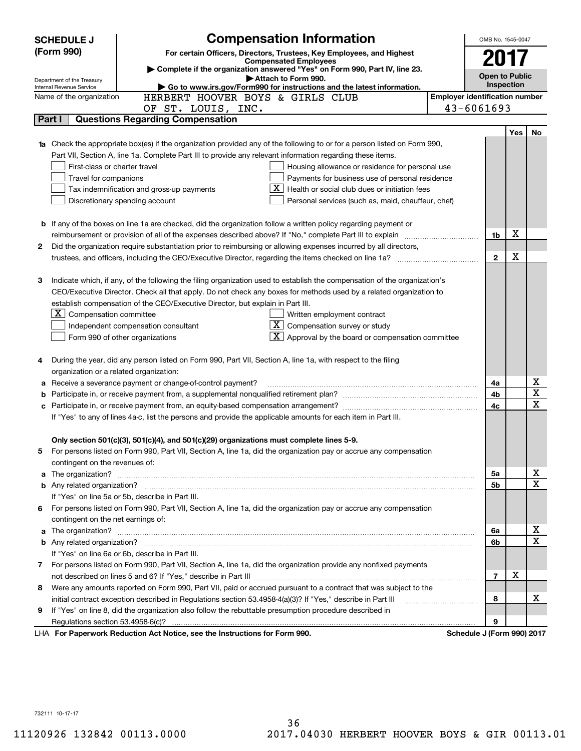|   | <b>SCHEDULE J</b>                       | <b>Compensation Information</b>                                                                                                                                                                               | OMB No. 1545-0047                     |     |                  |
|---|-----------------------------------------|---------------------------------------------------------------------------------------------------------------------------------------------------------------------------------------------------------------|---------------------------------------|-----|------------------|
|   | (Form 990)                              | For certain Officers, Directors, Trustees, Key Employees, and Highest                                                                                                                                         |                                       |     |                  |
|   |                                         | <b>Compensated Employees</b><br>Complete if the organization answered "Yes" on Form 990, Part IV, line 23.                                                                                                    | 2017                                  |     |                  |
|   | Department of the Treasury              | Attach to Form 990.                                                                                                                                                                                           | <b>Open to Public</b>                 |     |                  |
|   | Internal Revenue Service                | Go to www.irs.gov/Form990 for instructions and the latest information.                                                                                                                                        | Inspection                            |     |                  |
|   | Name of the organization                | HERBERT HOOVER BOYS & GIRLS CLUB                                                                                                                                                                              | <b>Employer identification number</b> |     |                  |
|   |                                         | OF ST. LOUIS, INC.                                                                                                                                                                                            | 43-6061693                            |     |                  |
|   | Part I                                  | <b>Questions Regarding Compensation</b>                                                                                                                                                                       |                                       |     |                  |
|   |                                         |                                                                                                                                                                                                               |                                       | Yes | No               |
|   |                                         | Check the appropriate box(es) if the organization provided any of the following to or for a person listed on Form 990,                                                                                        |                                       |     |                  |
|   |                                         | Part VII, Section A, line 1a. Complete Part III to provide any relevant information regarding these items.                                                                                                    |                                       |     |                  |
|   | First-class or charter travel           | Housing allowance or residence for personal use                                                                                                                                                               |                                       |     |                  |
|   | Travel for companions                   | Payments for business use of personal residence                                                                                                                                                               |                                       |     |                  |
|   |                                         | Health or social club dues or initiation fees<br>Tax indemnification and gross-up payments                                                                                                                    |                                       |     |                  |
|   |                                         | Discretionary spending account<br>Personal services (such as, maid, chauffeur, chef)                                                                                                                          |                                       |     |                  |
|   |                                         |                                                                                                                                                                                                               |                                       |     |                  |
|   |                                         | <b>b</b> If any of the boxes on line 1a are checked, did the organization follow a written policy regarding payment or                                                                                        |                                       |     |                  |
|   |                                         | reimbursement or provision of all of the expenses described above? If "No," complete Part III to explain                                                                                                      | 1b                                    | х   |                  |
| 2 |                                         | Did the organization require substantiation prior to reimbursing or allowing expenses incurred by all directors,                                                                                              |                                       |     |                  |
|   |                                         | trustees, and officers, including the CEO/Executive Director, regarding the items checked on line 1a?                                                                                                         | $\mathbf{2}$                          | Х   |                  |
|   |                                         |                                                                                                                                                                                                               |                                       |     |                  |
| 3 |                                         | Indicate which, if any, of the following the filing organization used to establish the compensation of the organization's                                                                                     |                                       |     |                  |
|   |                                         | CEO/Executive Director. Check all that apply. Do not check any boxes for methods used by a related organization to                                                                                            |                                       |     |                  |
|   |                                         | establish compensation of the CEO/Executive Director, but explain in Part III.                                                                                                                                |                                       |     |                  |
|   | $X$ Compensation committee              | Written employment contract                                                                                                                                                                                   |                                       |     |                  |
|   |                                         | $X$ Compensation survey or study<br>Independent compensation consultant                                                                                                                                       |                                       |     |                  |
|   |                                         | $\lfloor x \rfloor$ Approval by the board or compensation committee<br>Form 990 of other organizations                                                                                                        |                                       |     |                  |
|   |                                         |                                                                                                                                                                                                               |                                       |     |                  |
| 4 |                                         | During the year, did any person listed on Form 990, Part VII, Section A, line 1a, with respect to the filing                                                                                                  |                                       |     |                  |
|   | organization or a related organization: |                                                                                                                                                                                                               |                                       |     |                  |
| a |                                         | Receive a severance payment or change-of-control payment?                                                                                                                                                     | 4a                                    |     | х<br>$\mathbf X$ |
|   |                                         |                                                                                                                                                                                                               | 4b                                    |     | X                |
|   |                                         |                                                                                                                                                                                                               | 4c                                    |     |                  |
|   |                                         | If "Yes" to any of lines 4a-c, list the persons and provide the applicable amounts for each item in Part III.                                                                                                 |                                       |     |                  |
|   |                                         |                                                                                                                                                                                                               |                                       |     |                  |
|   |                                         | Only section 501(c)(3), 501(c)(4), and 501(c)(29) organizations must complete lines 5-9.<br>For persons listed on Form 990, Part VII, Section A, line 1a, did the organization pay or accrue any compensation |                                       |     |                  |
|   |                                         |                                                                                                                                                                                                               |                                       |     |                  |
|   | contingent on the revenues of:          |                                                                                                                                                                                                               |                                       |     | х                |
| a |                                         |                                                                                                                                                                                                               | 5a<br>5b                              |     | X                |
|   |                                         | If "Yes" on line 5a or 5b, describe in Part III.                                                                                                                                                              |                                       |     |                  |
|   |                                         | 6 For persons listed on Form 990, Part VII, Section A, line 1a, did the organization pay or accrue any compensation                                                                                           |                                       |     |                  |
|   |                                         |                                                                                                                                                                                                               |                                       |     |                  |
| a | contingent on the net earnings of:      |                                                                                                                                                                                                               | 6a                                    |     | х                |
|   |                                         |                                                                                                                                                                                                               | 6b                                    |     | X                |
|   |                                         | If "Yes" on line 6a or 6b, describe in Part III.                                                                                                                                                              |                                       |     |                  |
|   |                                         | 7 For persons listed on Form 990, Part VII, Section A, line 1a, did the organization provide any nonfixed payments                                                                                            |                                       |     |                  |
|   |                                         |                                                                                                                                                                                                               | $\overline{7}$                        | х   |                  |
|   |                                         | Were any amounts reported on Form 990, Part VII, paid or accrued pursuant to a contract that was subject to the                                                                                               |                                       |     |                  |
| 8 |                                         |                                                                                                                                                                                                               | 8                                     |     | х                |
|   |                                         | initial contract exception described in Regulations section 53.4958-4(a)(3)? If "Yes," describe in Part III                                                                                                   |                                       |     |                  |
| 9 |                                         | If "Yes" on line 8, did the organization also follow the rebuttable presumption procedure described in                                                                                                        | 9                                     |     |                  |
|   | Regulations section 53.4958-6(c)?       | LHA For Paperwork Reduction Act Notice, see the Instructions for Form 990.                                                                                                                                    | Schedule J (Form 990) 2017            |     |                  |
|   |                                         |                                                                                                                                                                                                               |                                       |     |                  |

732111 10-17-17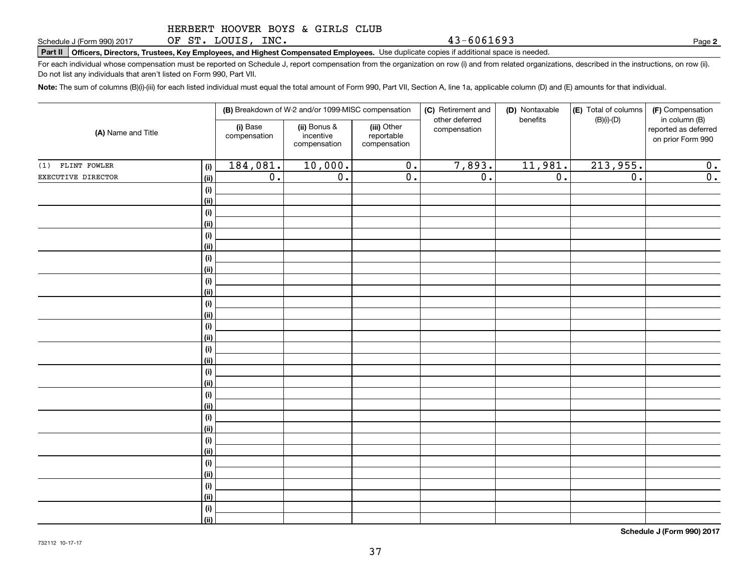OF ST. LOUIS, INC.

**Part II Officers, Directors, Trustees, Key Employees, and Highest Compensated Employees.**  Schedule J (Form 990) 2017 Page Use duplicate copies if additional space is needed.

For each individual whose compensation must be reported on Schedule J, report compensation from the organization on row (i) and from related organizations, described in the instructions, on row (ii). Do not list any individuals that aren't listed on Form 990, Part VII.

**Note:**  The sum of columns (B)(i)-(iii) for each listed individual must equal the total amount of Form 990, Part VII, Section A, line 1a, applicable column (D) and (E) amounts for that individual.

| (A) Name and Title |             | (B) Breakdown of W-2 and/or 1099-MISC compensation |                                           |                                           | (C) Retirement and<br>other deferred | (D) Nontaxable<br>benefits | (E) Total of columns | (F) Compensation                                           |
|--------------------|-------------|----------------------------------------------------|-------------------------------------------|-------------------------------------------|--------------------------------------|----------------------------|----------------------|------------------------------------------------------------|
|                    |             | (i) Base<br>compensation                           | (ii) Bonus &<br>incentive<br>compensation | (iii) Other<br>reportable<br>compensation | compensation                         |                            | $(B)(i)-(D)$         | in column (B)<br>reported as deferred<br>on prior Form 990 |
| $(1)$ FLINT FOWLER | (i)         | 184,081.                                           | 10,000.                                   | $\overline{0}$ .                          | 7,893.                               | 11,981.                    | 213,955.             | 0.                                                         |
| EXECUTIVE DIRECTOR | (ii)        | $\overline{0}$ .                                   | $\overline{0}$ .                          | $\overline{0}$ .                          | $\overline{0}$ .                     | $\overline{0}$ .           | $\overline{0}$ .     | $\overline{0}$ .                                           |
|                    | $(\sf{i})$  |                                                    |                                           |                                           |                                      |                            |                      |                                                            |
|                    | (ii)        |                                                    |                                           |                                           |                                      |                            |                      |                                                            |
|                    | (i)         |                                                    |                                           |                                           |                                      |                            |                      |                                                            |
|                    | (ii)        |                                                    |                                           |                                           |                                      |                            |                      |                                                            |
|                    | (i)         |                                                    |                                           |                                           |                                      |                            |                      |                                                            |
|                    | (ii)        |                                                    |                                           |                                           |                                      |                            |                      |                                                            |
|                    | (i)         |                                                    |                                           |                                           |                                      |                            |                      |                                                            |
|                    | (ii)        |                                                    |                                           |                                           |                                      |                            |                      |                                                            |
|                    | (i)         |                                                    |                                           |                                           |                                      |                            |                      |                                                            |
|                    | (ii)        |                                                    |                                           |                                           |                                      |                            |                      |                                                            |
|                    | (i)         |                                                    |                                           |                                           |                                      |                            |                      |                                                            |
|                    | (ii)<br>(i) |                                                    |                                           |                                           |                                      |                            |                      |                                                            |
|                    | (ii)        |                                                    |                                           |                                           |                                      |                            |                      |                                                            |
|                    | (i)         |                                                    |                                           |                                           |                                      |                            |                      |                                                            |
|                    | (ii)        |                                                    |                                           |                                           |                                      |                            |                      |                                                            |
|                    | (i)         |                                                    |                                           |                                           |                                      |                            |                      |                                                            |
|                    | (ii)        |                                                    |                                           |                                           |                                      |                            |                      |                                                            |
|                    | (i)         |                                                    |                                           |                                           |                                      |                            |                      |                                                            |
|                    | (ii)        |                                                    |                                           |                                           |                                      |                            |                      |                                                            |
|                    | (i)         |                                                    |                                           |                                           |                                      |                            |                      |                                                            |
|                    | (ii)        |                                                    |                                           |                                           |                                      |                            |                      |                                                            |
|                    | (i)         |                                                    |                                           |                                           |                                      |                            |                      |                                                            |
|                    | (ii)        |                                                    |                                           |                                           |                                      |                            |                      |                                                            |
|                    | (i)         |                                                    |                                           |                                           |                                      |                            |                      |                                                            |
|                    | (ii)        |                                                    |                                           |                                           |                                      |                            |                      |                                                            |
|                    | (i)         |                                                    |                                           |                                           |                                      |                            |                      |                                                            |
|                    | (ii)        |                                                    |                                           |                                           |                                      |                            |                      |                                                            |
|                    | (i)         |                                                    |                                           |                                           |                                      |                            |                      |                                                            |
|                    | (ii)        |                                                    |                                           |                                           |                                      |                            |                      |                                                            |

**Schedule J (Form 990) 2017**

**2**

43-6061693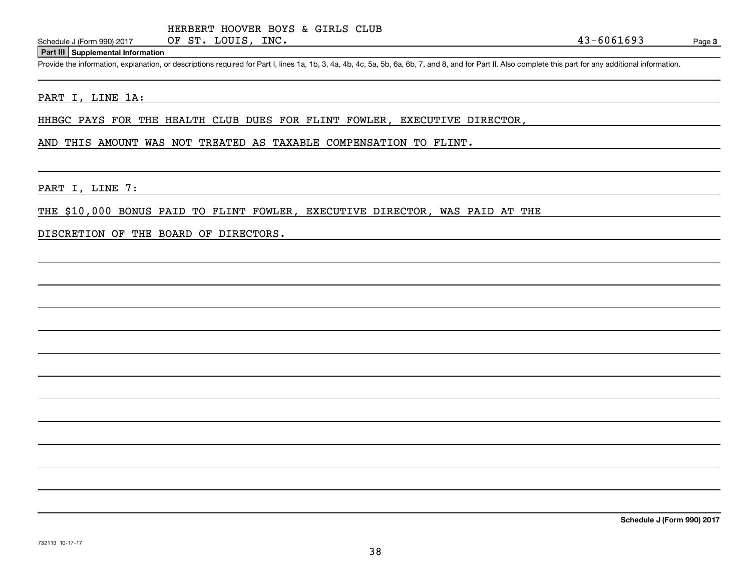OF ST. LOUIS, INC.

#### **Part III Supplemental Information**

Schedule J (Form 990) 2017 OF ST. LOUIS, INC. 43-6061693<br>Part III Supplemental Information<br>Provide the information, explanation, or descriptions required for Part I, lines 1a, 1b, 3, 4a, 4b, 4c, 5a, 5b, 6a, 6b, 7, and 8, a

#### PART I, LINE 1A:

HHBGC PAYS FOR THE HEALTH CLUB DUES FOR FLINT FOWLER, EXECUTIVE DIRECTOR,

#### AND THIS AMOUNT WAS NOT TREATED AS TAXABLE COMPENSATION TO FLINT.

PART I, LINE 7:

THE \$10,000 BONUS PAID TO FLINT FOWLER, EXECUTIVE DIRECTOR, WAS PAID AT THE

DISCRETION OF THE BOARD OF DIRECTORS.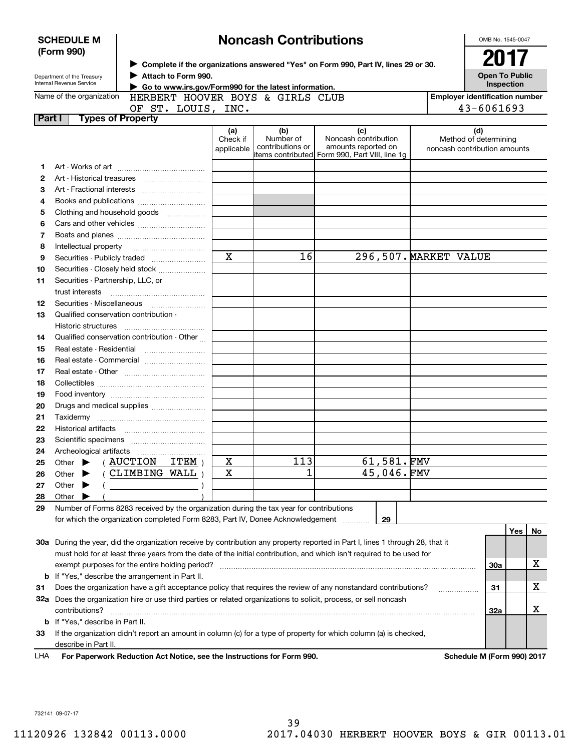|          | <b>SCHEDULE M</b>                                                                                  |                                                                                           |                        | <b>Noncash Contributions</b>  |                                                                                                                                |  | OMB No. 1545-0047                                     |
|----------|----------------------------------------------------------------------------------------------------|-------------------------------------------------------------------------------------------|------------------------|-------------------------------|--------------------------------------------------------------------------------------------------------------------------------|--|-------------------------------------------------------|
|          | (Form 990)<br>> Complete if the organizations answered "Yes" on Form 990, Part IV, lines 29 or 30. |                                                                                           |                        |                               |                                                                                                                                |  | 2017                                                  |
|          | Department of the Treasury<br><b>Internal Revenue Service</b>                                      | <b>Open To Public</b><br>Inspection                                                       |                        |                               |                                                                                                                                |  |                                                       |
|          | Name of the organization                                                                           | Go to www.irs.gov/Form990 for the latest information.<br>HERBERT HOOVER BOYS & GIRLS CLUB |                        |                               |                                                                                                                                |  | <b>Employer identification number</b>                 |
|          |                                                                                                    | OF ST. LOUIS, INC.                                                                        |                        |                               |                                                                                                                                |  | 43-6061693                                            |
| Part I   | <b>Types of Property</b>                                                                           |                                                                                           |                        |                               |                                                                                                                                |  |                                                       |
|          |                                                                                                    |                                                                                           | (a)                    | (b)                           | (c)                                                                                                                            |  | (d)                                                   |
|          |                                                                                                    |                                                                                           | Check if<br>applicable | Number of<br>contributions or | Noncash contribution<br>amounts reported on<br>items contributed Form 990, Part VIII, line 1q                                  |  | Method of determining<br>noncash contribution amounts |
| 1        |                                                                                                    |                                                                                           |                        |                               |                                                                                                                                |  |                                                       |
| 2        |                                                                                                    |                                                                                           |                        |                               |                                                                                                                                |  |                                                       |
| 3        |                                                                                                    |                                                                                           |                        |                               |                                                                                                                                |  |                                                       |
| 4        |                                                                                                    |                                                                                           |                        |                               |                                                                                                                                |  |                                                       |
| 5        |                                                                                                    | Clothing and household goods                                                              |                        |                               |                                                                                                                                |  |                                                       |
| 6        |                                                                                                    |                                                                                           |                        |                               |                                                                                                                                |  |                                                       |
| 7        |                                                                                                    |                                                                                           |                        |                               |                                                                                                                                |  |                                                       |
| 8        |                                                                                                    |                                                                                           |                        |                               |                                                                                                                                |  |                                                       |
| 9        |                                                                                                    |                                                                                           | X                      | 16                            | 296,507. MARKET VALUE                                                                                                          |  |                                                       |
| 10       |                                                                                                    | Securities - Closely held stock                                                           |                        |                               |                                                                                                                                |  |                                                       |
| 11       | Securities - Partnership, LLC, or                                                                  |                                                                                           |                        |                               |                                                                                                                                |  |                                                       |
|          | trust interests                                                                                    |                                                                                           |                        |                               |                                                                                                                                |  |                                                       |
| 12       |                                                                                                    |                                                                                           |                        |                               |                                                                                                                                |  |                                                       |
| 13       | Qualified conservation contribution -                                                              |                                                                                           |                        |                               |                                                                                                                                |  |                                                       |
|          | Historic structures                                                                                |                                                                                           |                        |                               |                                                                                                                                |  |                                                       |
| 14       |                                                                                                    | Qualified conservation contribution - Other                                               |                        |                               |                                                                                                                                |  |                                                       |
| 15       | Real estate - Residential                                                                          |                                                                                           |                        |                               |                                                                                                                                |  |                                                       |
| 16       |                                                                                                    | Real estate - Commercial                                                                  |                        |                               |                                                                                                                                |  |                                                       |
| 17       |                                                                                                    |                                                                                           |                        |                               |                                                                                                                                |  |                                                       |
| 18       |                                                                                                    |                                                                                           |                        |                               |                                                                                                                                |  |                                                       |
| 19<br>20 |                                                                                                    | Drugs and medical supplies                                                                |                        |                               |                                                                                                                                |  |                                                       |
| 21       |                                                                                                    |                                                                                           |                        |                               |                                                                                                                                |  |                                                       |
| 22       |                                                                                                    |                                                                                           |                        |                               |                                                                                                                                |  |                                                       |
| 23       |                                                                                                    |                                                                                           |                        |                               |                                                                                                                                |  |                                                       |
| 24       |                                                                                                    |                                                                                           |                        |                               |                                                                                                                                |  |                                                       |
| 25       | Other                                                                                              | <b>AUCTION</b><br>ITEM                                                                    | х                      | 113                           | 61,581.FMV                                                                                                                     |  |                                                       |
| 26       | Other                                                                                              | CLIMBING WALL                                                                             | X                      | 1                             | 45,046.FMV                                                                                                                     |  |                                                       |
| 27       | Other                                                                                              |                                                                                           |                        |                               |                                                                                                                                |  |                                                       |
| 28       | Other                                                                                              |                                                                                           |                        |                               |                                                                                                                                |  |                                                       |
| 29       |                                                                                                    | Number of Forms 8283 received by the organization during the tax year for contributions   |                        |                               |                                                                                                                                |  |                                                       |
|          |                                                                                                    | for which the organization completed Form 8283, Part IV, Donee Acknowledgement            |                        |                               | 29                                                                                                                             |  |                                                       |
|          |                                                                                                    |                                                                                           |                        |                               |                                                                                                                                |  | Yes<br>No                                             |
|          |                                                                                                    |                                                                                           |                        |                               | 30a During the year, did the organization receive by contribution any property reported in Part I, lines 1 through 28, that it |  |                                                       |
|          |                                                                                                    |                                                                                           |                        |                               | must hold for at least three years from the date of the initial contribution, and which isn't required to be used for          |  |                                                       |
|          |                                                                                                    | exempt purposes for the entire holding period?                                            |                        |                               |                                                                                                                                |  | х<br>30a                                              |
|          |                                                                                                    | <b>b</b> If "Yes," describe the arrangement in Part II.                                   |                        |                               |                                                                                                                                |  |                                                       |
| 31       |                                                                                                    |                                                                                           |                        |                               | Does the organization have a gift acceptance policy that requires the review of any nonstandard contributions?                 |  | Х<br>31                                               |
|          |                                                                                                    |                                                                                           |                        |                               | 32a Does the organization hire or use third parties or related organizations to solicit, process, or sell noncash              |  |                                                       |
|          | contributions?                                                                                     |                                                                                           |                        |                               |                                                                                                                                |  | х<br>32a                                              |
|          | <b>b</b> If "Yes," describe in Part II.                                                            |                                                                                           |                        |                               |                                                                                                                                |  |                                                       |
| 33       |                                                                                                    |                                                                                           |                        |                               | If the organization didn't report an amount in column (c) for a type of property for which column (a) is checked,              |  |                                                       |
|          | describe in Part II.                                                                               |                                                                                           |                        |                               |                                                                                                                                |  |                                                       |
| LHA      |                                                                                                    | For Paperwork Reduction Act Notice, see the Instructions for Form 990.                    |                        |                               |                                                                                                                                |  | Schedule M (Form 990) 2017                            |

732141 09-07-17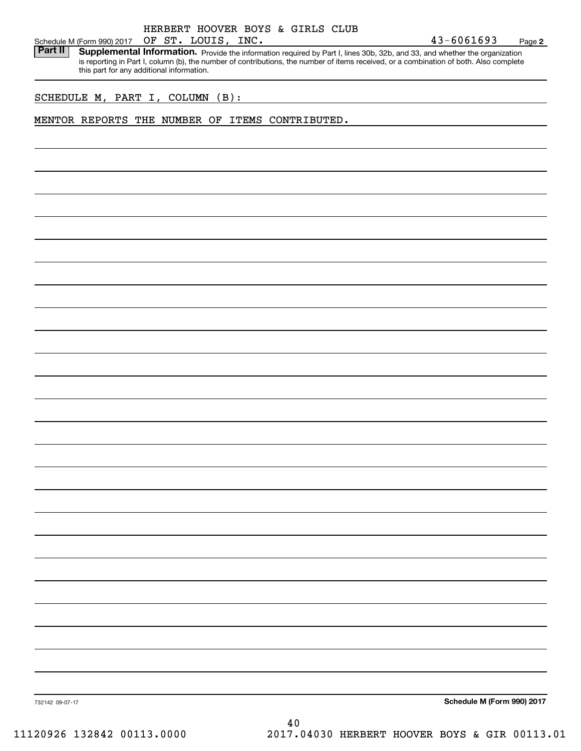Schedule M (Form 990) 2017 OF ST. LOUIS, INC.<br>**Part II** Supplemental Information. Provide the inform Part II | Supplemental Information. Provide the information required by Part I, lines 30b, 32b, and 33, and whether the organization is reporting in Part I, column (b), the number of contributions, the number of items received, or a combination of both. Also complete this part for any additional information.

SCHEDULE M, PART I, COLUMN (B):

#### MENTOR REPORTS THE NUMBER OF ITEMS CONTRIBUTED.

**Schedule M (Form 990) 2017**

732142 09-07-17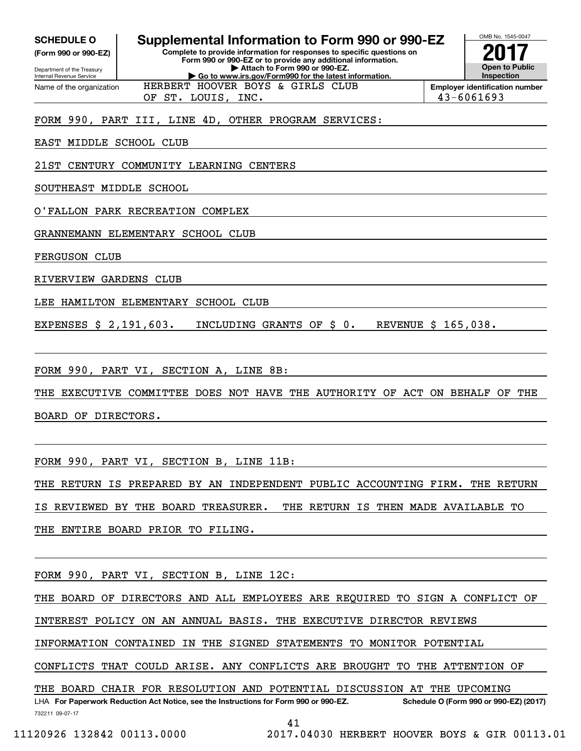| <b>SCHEDULE O</b> |  |
|-------------------|--|
|-------------------|--|

**(Form 990 or 990-EZ)**

Department of the Treasury Internal Revenue Service Name of the organization

# **Supplemental Information to Form 990 or 990-EZ**

**Complete to provide information for responses to specific questions on Form 990 or 990-EZ or to provide any additional information. | Attach to Form 990 or 990-EZ. | Go to www.irs.gov/Form990 for the latest information.**

HERBERT HOOVER BOYS & GIRLS CLUB



OMB No. 1545-0047

OF ST. LOUIS, INC. 43-6061693

FORM 990, PART III, LINE 4D, OTHER PROGRAM SERVICES:

EAST MIDDLE SCHOOL CLUB

21ST CENTURY COMMUNITY LEARNING CENTERS

SOUTHEAST MIDDLE SCHOOL

O'FALLON PARK RECREATION COMPLEX

GRANNEMANN ELEMENTARY SCHOOL CLUB

FERGUSON CLUB

RIVERVIEW GARDENS CLUB

LEE HAMILTON ELEMENTARY SCHOOL CLUB

EXPENSES \$ 2,191,603. INCLUDING GRANTS OF \$ 0. REVENUE \$ 165,038.

FORM 990, PART VI, SECTION A, LINE 8B:

THE EXECUTIVE COMMITTEE DOES NOT HAVE THE AUTHORITY OF ACT ON BEHALF OF THE

BOARD OF DIRECTORS.

FORM 990, PART VI, SECTION B, LINE 11B:

THE RETURN IS PREPARED BY AN INDEPENDENT PUBLIC ACCOUNTING FIRM. THE RETURN

IS REVIEWED BY THE BOARD TREASURER. THE RETURN IS THEN MADE AVAILABLE TO

THE ENTIRE BOARD PRIOR TO FILING.

FORM 990, PART VI, SECTION B, LINE 12C:

THE BOARD OF DIRECTORS AND ALL EMPLOYEES ARE REQUIRED TO SIGN A CONFLICT OF

INTEREST POLICY ON AN ANNUAL BASIS. THE EXECUTIVE DIRECTOR REVIEWS

INFORMATION CONTAINED IN THE SIGNED STATEMENTS TO MONITOR POTENTIAL

CONFLICTS THAT COULD ARISE. ANY CONFLICTS ARE BROUGHT TO THE ATTENTION OF

THE BOARD CHAIR FOR RESOLUTION AND POTENTIAL DISCUSSION AT THE UPCOMING

732211 09-07-17 LHA For Paperwork Reduction Act Notice, see the Instructions for Form 990 or 990-EZ. Schedule O (Form 990 or 990-EZ) (2017)

41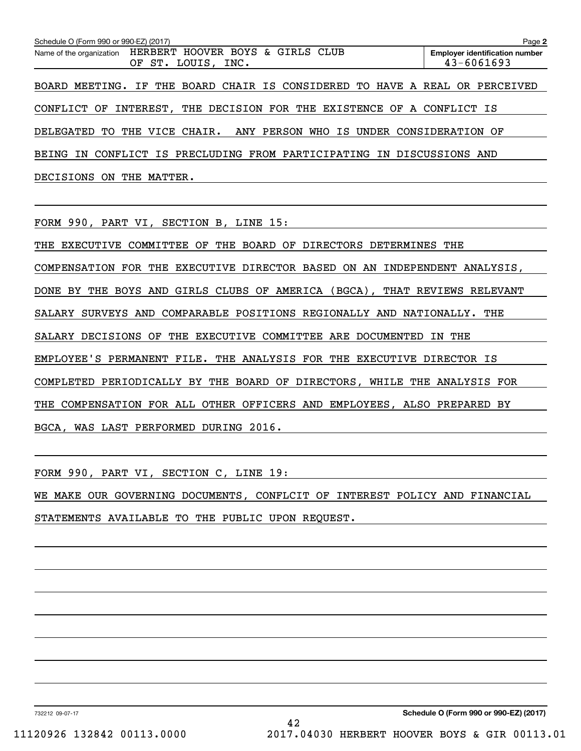| Schedule O (Form 990 or 990-EZ) (2017)                                          | Page 2                                                  |
|---------------------------------------------------------------------------------|---------------------------------------------------------|
| Name of the organization HERBERT HOOVER BOYS & GIRLS CLUB<br>OF ST. LOUIS, INC. | <b>Employer identification number</b><br>$43 - 6061693$ |
| BOARD MEETING. IF THE BOARD CHAIR IS CONSIDERED TO HAVE A REAL OR PERCEIVED     |                                                         |
| CONFLICT OF INTEREST, THE DECISION FOR THE EXISTENCE OF A CONFLICT IS           |                                                         |
| DELEGATED TO THE VICE CHAIR. ANY PERSON WHO IS UNDER CONSIDERATION OF           |                                                         |
| BEING IN CONFLICT IS PRECLUDING FROM PARTICIPATING IN DISCUSSIONS AND           |                                                         |
| DECISIONS ON THE MATTER.                                                        |                                                         |

FORM 990, PART VI, SECTION B, LINE 15:

THE EXECUTIVE COMMITTEE OF THE BOARD OF DIRECTORS DETERMINES THE COMPENSATION FOR THE EXECUTIVE DIRECTOR BASED ON AN INDEPENDENT ANALYSIS, DONE BY THE BOYS AND GIRLS CLUBS OF AMERICA (BGCA), THAT REVIEWS RELEVANT SALARY SURVEYS AND COMPARABLE POSITIONS REGIONALLY AND NATIONALLY. THE SALARY DECISIONS OF THE EXECUTIVE COMMITTEE ARE DOCUMENTED IN THE EMPLOYEE'S PERMANENT FILE. THE ANALYSIS FOR THE EXECUTIVE DIRECTOR IS COMPLETED PERIODICALLY BY THE BOARD OF DIRECTORS, WHILE THE ANALYSIS FOR THE COMPENSATION FOR ALL OTHER OFFICERS AND EMPLOYEES, ALSO PREPARED BY BGCA, WAS LAST PERFORMED DURING 2016.

FORM 990, PART VI, SECTION C, LINE 19:

WE MAKE OUR GOVERNING DOCUMENTS, CONFLCIT OF INTEREST POLICY AND FINANCIAL STATEMENTS AVAILABLE TO THE PUBLIC UPON REQUEST.

732212 09-07-17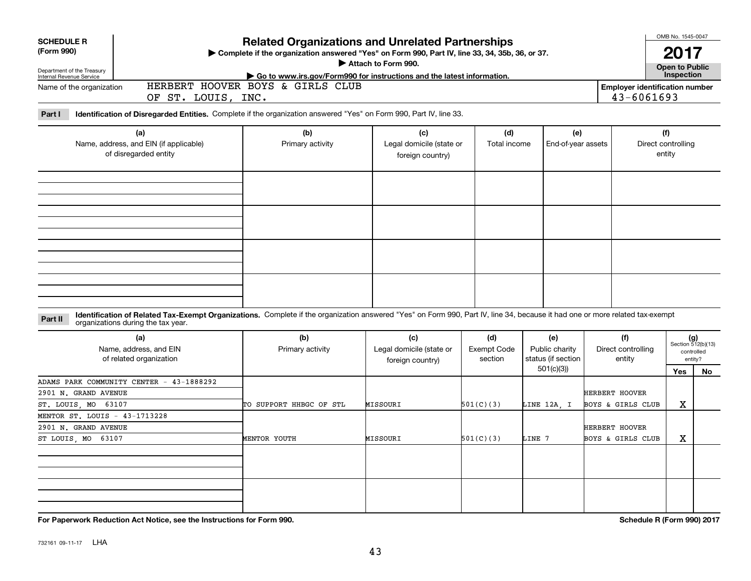| <b>SCHEDULE R</b>                                    |                                                                                                                                                                                                                    | <b>Related Organizations and Unrelated Partnerships</b>                                        |                                              |                    |                                 |                              | OMB No. 1545-0047                     |                             |
|------------------------------------------------------|--------------------------------------------------------------------------------------------------------------------------------------------------------------------------------------------------------------------|------------------------------------------------------------------------------------------------|----------------------------------------------|--------------------|---------------------------------|------------------------------|---------------------------------------|-----------------------------|
| (Form 990)                                           |                                                                                                                                                                                                                    | Complete if the organization answered "Yes" on Form 990, Part IV, line 33, 34, 35b, 36, or 37. | Attach to Form 990.                          |                    |                                 |                              | 2017                                  |                             |
| Department of the Treasury                           |                                                                                                                                                                                                                    | Go to www.irs.gov/Form990 for instructions and the latest information.                         |                                              |                    |                                 |                              | Open to Public<br>Inspection          |                             |
| Internal Revenue Service<br>Name of the organization |                                                                                                                                                                                                                    | HERBERT HOOVER BOYS & GIRLS CLUB                                                               |                                              |                    |                                 |                              | <b>Employer identification number</b> |                             |
|                                                      | OF ST. LOUIS, INC.                                                                                                                                                                                                 |                                                                                                |                                              |                    |                                 | 43-6061693                   |                                       |                             |
| Part I                                               | Identification of Disregarded Entities. Complete if the organization answered "Yes" on Form 990, Part IV, line 33.                                                                                                 |                                                                                                |                                              |                    |                                 |                              |                                       |                             |
|                                                      | (a)                                                                                                                                                                                                                | (b)                                                                                            | (c)                                          | (d)                | (e)                             |                              | (f)                                   |                             |
|                                                      | Name, address, and EIN (if applicable)<br>of disregarded entity                                                                                                                                                    | Primary activity                                                                               | Legal domicile (state or<br>foreign country) | Total income       | End-of-year assets              |                              | Direct controlling<br>entity          |                             |
|                                                      |                                                                                                                                                                                                                    |                                                                                                |                                              |                    |                                 |                              |                                       |                             |
|                                                      |                                                                                                                                                                                                                    |                                                                                                |                                              |                    |                                 |                              |                                       |                             |
|                                                      |                                                                                                                                                                                                                    |                                                                                                |                                              |                    |                                 |                              |                                       |                             |
|                                                      |                                                                                                                                                                                                                    |                                                                                                |                                              |                    |                                 |                              |                                       |                             |
| Part II                                              | Identification of Related Tax-Exempt Organizations. Complete if the organization answered "Yes" on Form 990, Part IV, line 34, because it had one or more related tax-exempt<br>organizations during the tax year. |                                                                                                |                                              |                    |                                 |                              |                                       |                             |
|                                                      | (a)                                                                                                                                                                                                                | (b)                                                                                            | (c)                                          | (d)                | (e)                             | (f)                          |                                       | $(g)$<br>Section 512(b)(13) |
|                                                      | Name, address, and EIN                                                                                                                                                                                             | Primary activity                                                                               | Legal domicile (state or                     | <b>Exempt Code</b> | Public charity                  | Direct controlling           |                                       | controlled                  |
|                                                      | of related organization                                                                                                                                                                                            |                                                                                                | foreign country)                             | section            | status (if section<br>501(c)(3) | entity                       |                                       | entity?                     |
|                                                      | ADAMS PARK COMMUNITY CENTER - 43-1888292                                                                                                                                                                           |                                                                                                |                                              |                    |                                 |                              | Yes                                   | No                          |
| 2901 N. GRAND AVENUE                                 |                                                                                                                                                                                                                    |                                                                                                |                                              |                    |                                 | <b>HERBERT HOOVER</b>        |                                       |                             |
| ST. LOUIS, MO 63107                                  |                                                                                                                                                                                                                    | TO SUPPORT HHBGC OF STL                                                                        | MISSOURI                                     | 501(C)(3)          | LINE 12A, I                     | BOYS & GIRLS CLUB            | Χ                                     |                             |
| MENTOR ST. LOUIS - 43-1713228                        |                                                                                                                                                                                                                    |                                                                                                |                                              |                    |                                 |                              |                                       |                             |
| 2901 N. GRAND AVENUE                                 |                                                                                                                                                                                                                    |                                                                                                |                                              |                    |                                 | <b>HERBERT HOOVER</b>        |                                       |                             |
| ST LOUIS, MO 63107                                   |                                                                                                                                                                                                                    | MENTOR YOUTH                                                                                   | MISSOURI                                     | 501(C)(3)          | LINE 7                          | <b>BOYS &amp; GIRLS CLUB</b> | X                                     |                             |
|                                                      |                                                                                                                                                                                                                    |                                                                                                |                                              |                    |                                 |                              |                                       |                             |
|                                                      |                                                                                                                                                                                                                    |                                                                                                |                                              |                    |                                 |                              |                                       |                             |
|                                                      |                                                                                                                                                                                                                    |                                                                                                |                                              |                    |                                 |                              |                                       |                             |
|                                                      |                                                                                                                                                                                                                    |                                                                                                |                                              |                    |                                 |                              |                                       |                             |
|                                                      |                                                                                                                                                                                                                    |                                                                                                |                                              |                    |                                 |                              |                                       |                             |

**For Paperwork Reduction Act Notice, see the Instructions for Form 990. Schedule R (Form 990) 2017**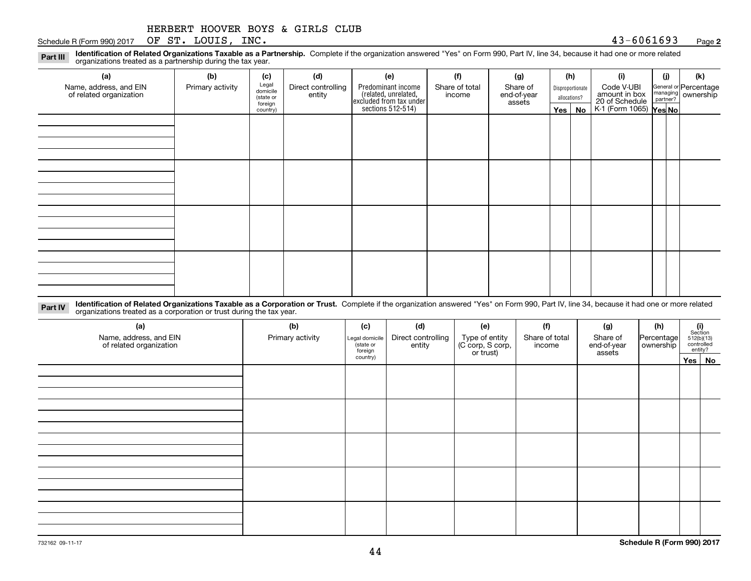|  | HERBERT HOOVER BOYS & GIRLS CLUB |  |  |  |  |  |
|--|----------------------------------|--|--|--|--|--|
|--|----------------------------------|--|--|--|--|--|

Schedule R (Form 990) 2017 Page OF ST. LOUIS, INC. 43-6061693

**2**

**Identification of Related Organizations Taxable as a Partnership.** Complete if the organization answered "Yes" on Form 990, Part IV, line 34, because it had one or more related **Part III** organizations treated as a partnership during the tax year.

| (b)              | (c)      | (d)                                       | (e)                | (f)            | (g)                                                                            |                       |    | (i)                                                   | (j) | (k)                                                                                                                  |
|------------------|----------|-------------------------------------------|--------------------|----------------|--------------------------------------------------------------------------------|-----------------------|----|-------------------------------------------------------|-----|----------------------------------------------------------------------------------------------------------------------|
| Primary activity |          | Direct controlling                        | Predominant income | Share of total | Share of                                                                       |                       |    | Code V-UBI                                            |     |                                                                                                                      |
|                  |          |                                           |                    |                |                                                                                |                       |    |                                                       |     |                                                                                                                      |
|                  | country) |                                           |                    |                |                                                                                |                       | No |                                                       |     |                                                                                                                      |
|                  |          |                                           |                    |                |                                                                                |                       |    |                                                       |     |                                                                                                                      |
|                  |          |                                           |                    |                |                                                                                |                       |    |                                                       |     |                                                                                                                      |
|                  |          |                                           |                    |                |                                                                                |                       |    |                                                       |     |                                                                                                                      |
|                  |          |                                           |                    |                |                                                                                |                       |    |                                                       |     |                                                                                                                      |
|                  |          |                                           |                    |                |                                                                                |                       |    |                                                       |     |                                                                                                                      |
|                  |          |                                           |                    |                |                                                                                |                       |    |                                                       |     |                                                                                                                      |
|                  |          |                                           |                    |                |                                                                                |                       |    |                                                       |     |                                                                                                                      |
|                  |          |                                           |                    |                |                                                                                |                       |    |                                                       |     |                                                                                                                      |
|                  |          |                                           |                    |                |                                                                                |                       |    |                                                       |     |                                                                                                                      |
|                  |          |                                           |                    |                |                                                                                |                       |    |                                                       |     |                                                                                                                      |
|                  |          |                                           |                    |                |                                                                                |                       |    |                                                       |     |                                                                                                                      |
|                  |          |                                           |                    |                |                                                                                |                       |    |                                                       |     |                                                                                                                      |
|                  |          |                                           |                    |                |                                                                                |                       |    |                                                       |     |                                                                                                                      |
|                  |          |                                           |                    |                |                                                                                |                       |    |                                                       |     |                                                                                                                      |
|                  |          |                                           |                    |                |                                                                                |                       |    |                                                       |     |                                                                                                                      |
|                  |          |                                           |                    |                |                                                                                |                       |    |                                                       |     |                                                                                                                      |
|                  |          | Legal<br>domicile<br>(state or<br>foreign | entity             |                | (related, unrelated,<br>excluded from tax under<br>sections 512-514)<br>income | end-of-year<br>assets |    | (h)<br>Disproportionate<br>allocations?<br>$Yes \mid$ |     | General or Percentage<br>managing ownership<br>partner?<br>amount in box<br>20 of Schedule<br>K-1 (Form 1065) Yes No |

**Identification of Related Organizations Taxable as a Corporation or Trust.** Complete if the organization answered "Yes" on Form 990, Part IV, line 34, because it had one or more related **Part IV** organizations treated as a corporation or trust during the tax year.

| (a)<br>Name, address, and EIN<br>of related organization | (b)<br>Primary activity | (c)<br>Legal domicile<br>(state or<br>foreign | (d)<br>Direct controlling<br>entity | (e)<br>Type of entity<br>(C corp, S corp,<br>or trust) | (f)<br>Share of total<br>income | (g)<br>Share of<br>end-of-year<br>assets | (h)<br>Percentage<br>ownership | $\begin{array}{c} \textbf{(i)}\\ \text{Section}\\ 512 \text{(b)} \text{(13)}\\ \text{controlled}\\ \text{entity?} \end{array}$ |
|----------------------------------------------------------|-------------------------|-----------------------------------------------|-------------------------------------|--------------------------------------------------------|---------------------------------|------------------------------------------|--------------------------------|--------------------------------------------------------------------------------------------------------------------------------|
|                                                          |                         | country)                                      |                                     |                                                        |                                 |                                          |                                | Yes No                                                                                                                         |
|                                                          |                         |                                               |                                     |                                                        |                                 |                                          |                                |                                                                                                                                |
|                                                          |                         |                                               |                                     |                                                        |                                 |                                          |                                |                                                                                                                                |
|                                                          |                         |                                               |                                     |                                                        |                                 |                                          |                                |                                                                                                                                |
|                                                          |                         |                                               |                                     |                                                        |                                 |                                          |                                |                                                                                                                                |
|                                                          |                         |                                               |                                     |                                                        |                                 |                                          |                                |                                                                                                                                |
|                                                          |                         |                                               |                                     |                                                        |                                 |                                          |                                |                                                                                                                                |
|                                                          |                         |                                               |                                     |                                                        |                                 |                                          |                                |                                                                                                                                |
|                                                          |                         |                                               |                                     |                                                        |                                 |                                          |                                |                                                                                                                                |
|                                                          |                         |                                               |                                     |                                                        |                                 |                                          |                                |                                                                                                                                |
|                                                          |                         |                                               |                                     |                                                        |                                 |                                          |                                |                                                                                                                                |
|                                                          |                         |                                               |                                     |                                                        |                                 |                                          |                                |                                                                                                                                |
|                                                          |                         |                                               |                                     |                                                        |                                 |                                          |                                |                                                                                                                                |
|                                                          |                         |                                               |                                     |                                                        |                                 |                                          |                                |                                                                                                                                |
|                                                          |                         |                                               |                                     |                                                        |                                 |                                          |                                |                                                                                                                                |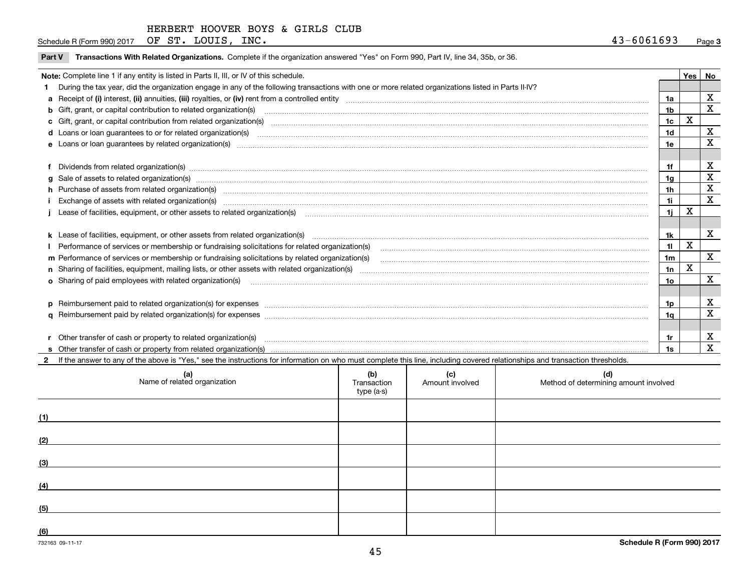Schedule R (Form 990) 2017 Page OF ST. LOUIS, INC. 43-6061693

|  |  | Part V Transactions With Related Organizations. Complete if the organization answered "Yes" on Form 990, Part IV, line 34, 35b, or 36. |  |  |  |
|--|--|----------------------------------------------------------------------------------------------------------------------------------------|--|--|--|
|--|--|----------------------------------------------------------------------------------------------------------------------------------------|--|--|--|

| Note: Complete line 1 if any entity is listed in Parts II, III, or IV of this schedule.                                                                                                                                        |                 | Yes | <b>No</b>    |
|--------------------------------------------------------------------------------------------------------------------------------------------------------------------------------------------------------------------------------|-----------------|-----|--------------|
| 1 During the tax year, did the organization engage in any of the following transactions with one or more related organizations listed in Parts II-IV?                                                                          |                 |     |              |
|                                                                                                                                                                                                                                | 1a              |     | X            |
|                                                                                                                                                                                                                                | 1 <sub>b</sub>  |     | $\mathbf x$  |
| c Gift, grant, or capital contribution from related organization(s) matches contains and content and contribution from related organization(s) matches contains and contribution from related organization(s) matches contains | 1c              | x   |              |
|                                                                                                                                                                                                                                | 1d              |     | X            |
| e Loans or loan quarantees by related organization(s)                                                                                                                                                                          | 1e              |     | X            |
|                                                                                                                                                                                                                                |                 |     |              |
| f Dividends from related organization(s) manufactured contains and contained a series of the contact of the contact of the contact of the contact of the contact of the contact of the contact of the contact of the contact o | 1f              |     | X            |
|                                                                                                                                                                                                                                | 1g              |     | X            |
| h Purchase of assets from related organization(s) manufactured and content to the content of the content of the content of the content of the content of the content of the content of the content of the content of the conte | 1h              |     | X            |
| Exchange of assets with related organization(s) www.communicallycommunicallycommunicallycommunicallycommunicallycommunicallycommunicallycommunicallycommunicallycommunicallycommunicallycommunicallycommunicallycommunicallyco | 1i.             |     | X            |
|                                                                                                                                                                                                                                | 1i.             | х   |              |
|                                                                                                                                                                                                                                |                 |     |              |
| k Lease of facilities, equipment, or other assets from related organization(s) manufaction content and content to the assets from related organization(s) manufaction content and content and content and content and content  | 1k              |     | X            |
| Performance of services or membership or fundraising solicitations for related organization(s)                                                                                                                                 | 11              | X   |              |
| m Performance of services or membership or fundraising solicitations by related organization(s)                                                                                                                                | 1 <sub>m</sub>  |     | $\mathbf{x}$ |
|                                                                                                                                                                                                                                | 1n              | X   |              |
|                                                                                                                                                                                                                                | 10 <sub>o</sub> |     | X            |
|                                                                                                                                                                                                                                |                 |     |              |
|                                                                                                                                                                                                                                | 1p              |     | X            |
|                                                                                                                                                                                                                                | 1q              |     | X            |
|                                                                                                                                                                                                                                |                 |     |              |
| r Other transfer of cash or property to related organization(s)                                                                                                                                                                | 1r              |     | х            |
|                                                                                                                                                                                                                                |                 |     | X            |

**2**If the answer to any of the above is "Yes," see the instructions for information on who must complete this line, including covered relationships and transaction thresholds.

| (a)<br>Name of related organization | (b)<br>Transaction<br>type (a-s) | (c)<br>Amount involved | (d)<br>Method of determining amount involved |
|-------------------------------------|----------------------------------|------------------------|----------------------------------------------|
| (1)                                 |                                  |                        |                                              |
| (2)                                 |                                  |                        |                                              |
| (3)                                 |                                  |                        |                                              |
| (4)                                 |                                  |                        |                                              |
| (5)                                 |                                  |                        |                                              |
| (6)                                 |                                  |                        |                                              |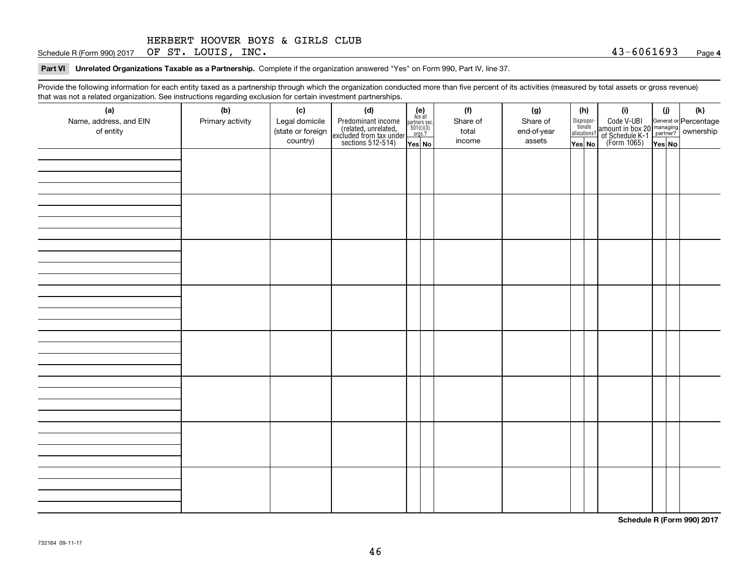Schedule R (Form 990) 2017 Page OF ST. LOUIS, INC. 43-6061693

**Part VI Unrelated Organizations Taxable as a Partnership. Complete if the organization answered "Yes" on Form 990, Part IV, line 37.** 

Provide the following information for each entity taxed as a partnership through which the organization conducted more than five percent of its activities (measured by total assets or gross revenue) that was not a related organization. See instructions regarding exclusion for certain investment partnerships.

| (a)                    | (b)              | (c)               | (d)                                                                                        |                                                          |  | (f)      | (g)         |  | (h)                   | (i)                                                                                          | (i) | (k) |
|------------------------|------------------|-------------------|--------------------------------------------------------------------------------------------|----------------------------------------------------------|--|----------|-------------|--|-----------------------|----------------------------------------------------------------------------------------------|-----|-----|
| Name, address, and EIN | Primary activity | Legal domicile    |                                                                                            | (e)<br>Are all<br>partners sec.<br>$501(c)(3)$<br>orgs.? |  | Share of | Share of    |  | Dispropor-<br>tionate |                                                                                              |     |     |
| of entity              |                  | (state or foreign |                                                                                            |                                                          |  | total    | end-of-year |  | allocations?          |                                                                                              |     |     |
|                        |                  | country)          | Predominant income<br>(related, unrelated,<br>excluded from tax under<br>sections 512-514) | Yes No                                                   |  | income   | assets      |  | Yes No                | Code V-UBI<br>amount in box 20 managing<br>of Schedule K-1 partner?<br>(Form 1065)<br>ves No |     |     |
|                        |                  |                   |                                                                                            |                                                          |  |          |             |  |                       |                                                                                              |     |     |
|                        |                  |                   |                                                                                            |                                                          |  |          |             |  |                       |                                                                                              |     |     |
|                        |                  |                   |                                                                                            |                                                          |  |          |             |  |                       |                                                                                              |     |     |
|                        |                  |                   |                                                                                            |                                                          |  |          |             |  |                       |                                                                                              |     |     |
|                        |                  |                   |                                                                                            |                                                          |  |          |             |  |                       |                                                                                              |     |     |
|                        |                  |                   |                                                                                            |                                                          |  |          |             |  |                       |                                                                                              |     |     |
|                        |                  |                   |                                                                                            |                                                          |  |          |             |  |                       |                                                                                              |     |     |
|                        |                  |                   |                                                                                            |                                                          |  |          |             |  |                       |                                                                                              |     |     |
|                        |                  |                   |                                                                                            |                                                          |  |          |             |  |                       |                                                                                              |     |     |
|                        |                  |                   |                                                                                            |                                                          |  |          |             |  |                       |                                                                                              |     |     |
|                        |                  |                   |                                                                                            |                                                          |  |          |             |  |                       |                                                                                              |     |     |
|                        |                  |                   |                                                                                            |                                                          |  |          |             |  |                       |                                                                                              |     |     |
|                        |                  |                   |                                                                                            |                                                          |  |          |             |  |                       |                                                                                              |     |     |
|                        |                  |                   |                                                                                            |                                                          |  |          |             |  |                       |                                                                                              |     |     |
|                        |                  |                   |                                                                                            |                                                          |  |          |             |  |                       |                                                                                              |     |     |
|                        |                  |                   |                                                                                            |                                                          |  |          |             |  |                       |                                                                                              |     |     |
|                        |                  |                   |                                                                                            |                                                          |  |          |             |  |                       |                                                                                              |     |     |
|                        |                  |                   |                                                                                            |                                                          |  |          |             |  |                       |                                                                                              |     |     |
|                        |                  |                   |                                                                                            |                                                          |  |          |             |  |                       |                                                                                              |     |     |
|                        |                  |                   |                                                                                            |                                                          |  |          |             |  |                       |                                                                                              |     |     |
|                        |                  |                   |                                                                                            |                                                          |  |          |             |  |                       |                                                                                              |     |     |
|                        |                  |                   |                                                                                            |                                                          |  |          |             |  |                       |                                                                                              |     |     |
|                        |                  |                   |                                                                                            |                                                          |  |          |             |  |                       |                                                                                              |     |     |
|                        |                  |                   |                                                                                            |                                                          |  |          |             |  |                       |                                                                                              |     |     |
|                        |                  |                   |                                                                                            |                                                          |  |          |             |  |                       |                                                                                              |     |     |
|                        |                  |                   |                                                                                            |                                                          |  |          |             |  |                       |                                                                                              |     |     |
|                        |                  |                   |                                                                                            |                                                          |  |          |             |  |                       |                                                                                              |     |     |
|                        |                  |                   |                                                                                            |                                                          |  |          |             |  |                       |                                                                                              |     |     |
|                        |                  |                   |                                                                                            |                                                          |  |          |             |  |                       |                                                                                              |     |     |
|                        |                  |                   |                                                                                            |                                                          |  |          |             |  |                       |                                                                                              |     |     |
|                        |                  |                   |                                                                                            |                                                          |  |          |             |  |                       |                                                                                              |     |     |
|                        |                  |                   |                                                                                            |                                                          |  |          |             |  |                       |                                                                                              |     |     |

**Schedule R (Form 990) 2017**